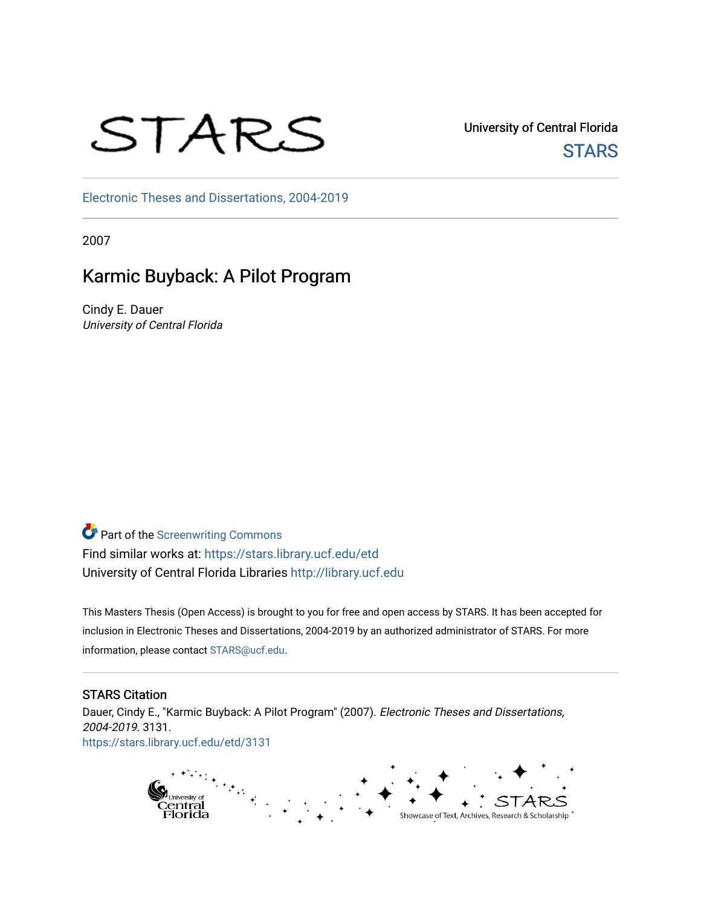# STARS

University of Central Florida **STARS** 

[Electronic Theses and Dissertations, 2004-2019](https://stars.library.ucf.edu/etd) 

2007

# Karmic Buyback: A Pilot Program

Cindy E. Dauer University of Central Florida

**Part of the Screenwriting Commons** Find similar works at: <https://stars.library.ucf.edu/etd> University of Central Florida Libraries [http://library.ucf.edu](http://library.ucf.edu/) 

This Masters Thesis (Open Access) is brought to you for free and open access by STARS. It has been accepted for inclusion in Electronic Theses and Dissertations, 2004-2019 by an authorized administrator of STARS. For more information, please contact [STARS@ucf.edu.](mailto:STARS@ucf.edu)

# STARS Citation

Dauer, Cindy E., "Karmic Buyback: A Pilot Program" (2007). Electronic Theses and Dissertations, 2004-2019. 3131. [https://stars.library.ucf.edu/etd/3131](https://stars.library.ucf.edu/etd/3131?utm_source=stars.library.ucf.edu%2Fetd%2F3131&utm_medium=PDF&utm_campaign=PDFCoverPages) 

> $t_{\text{eff}}$ p<sub>university of</sub><br>Central<br>Florida Showcase of Text, Archives, Research & Scholarship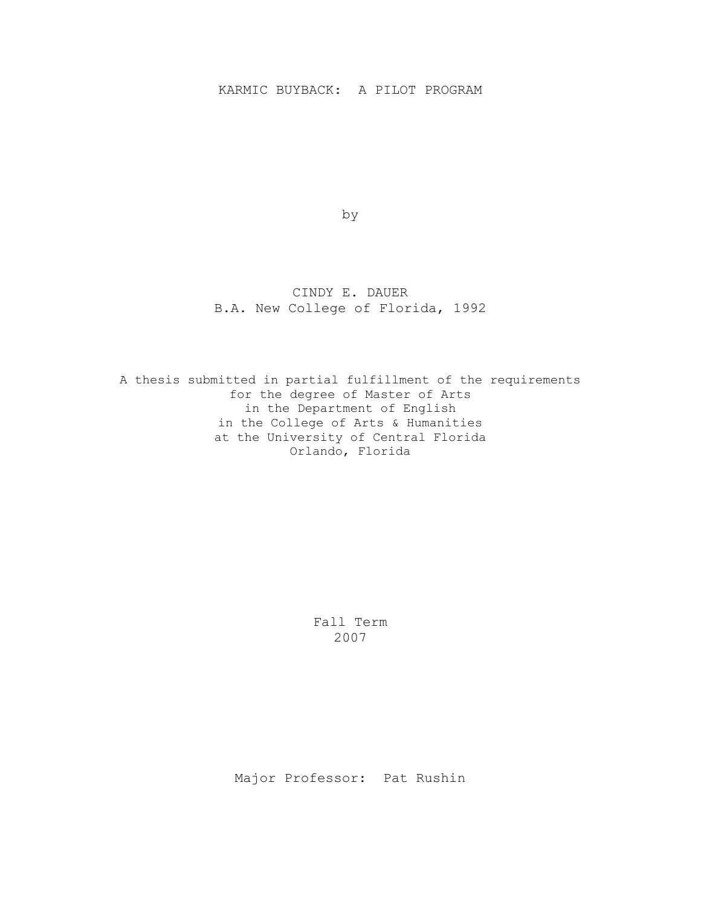# KARMIC BUYBACK: A PILOT PROGRAM

by

# CINDY E. DAUER B.A. New College of Florida, 1992

A thesis submitted in partial fulfillment of the requirements for the degree of Master of Arts in the Department of English in the College of Arts & Humanities at the University of Central Florida Orlando, Florida

> Fall Term 2007

Major Professor: Pat Rushin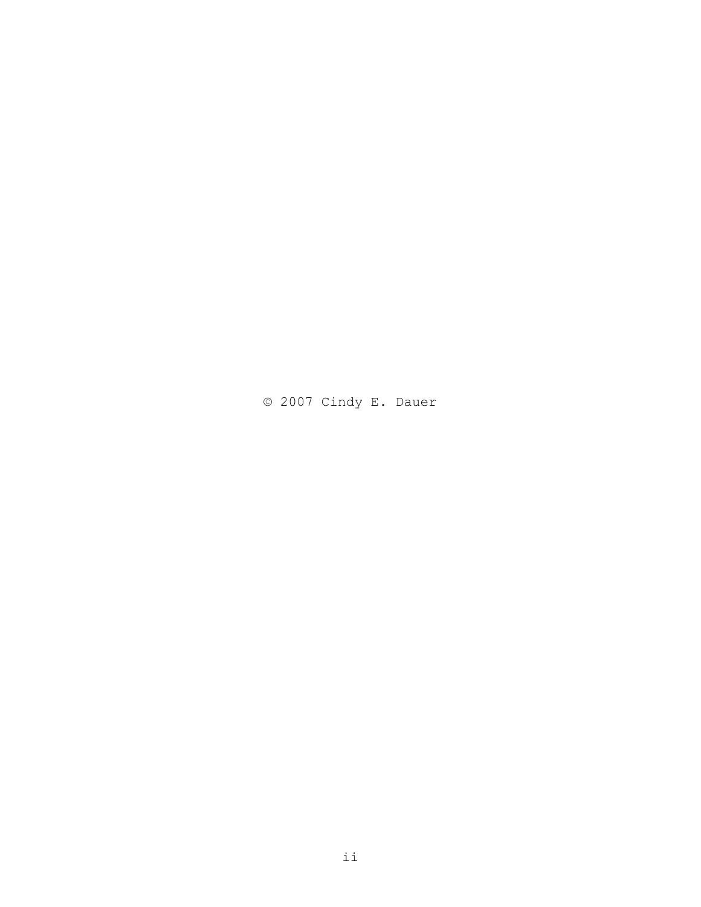© 2007 Cindy E. Dauer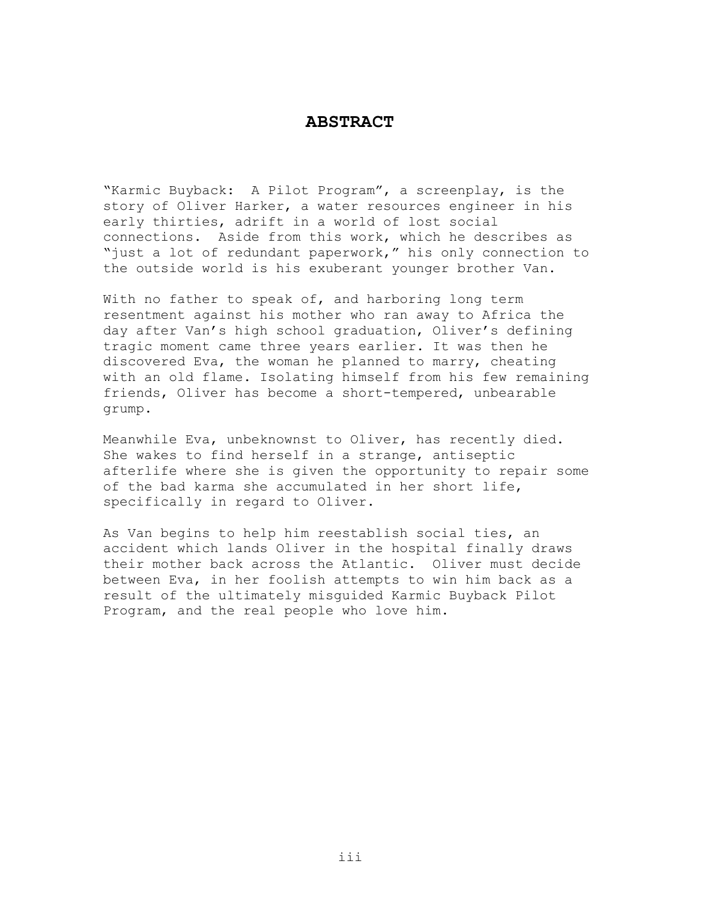## **ABSTRACT**

"Karmic Buyback: A Pilot Program", a screenplay, is the story of Oliver Harker, a water resources engineer in his early thirties, adrift in a world of lost social connections. Aside from this work, which he describes as "just a lot of redundant paperwork," his only connection to the outside world is his exuberant younger brother Van.

With no father to speak of, and harboring long term resentment against his mother who ran away to Africa the day after Van's high school graduation, Oliver's defining tragic moment came three years earlier. It was then he discovered Eva, the woman he planned to marry, cheating with an old flame. Isolating himself from his few remaining friends, Oliver has become a short-tempered, unbearable grump.

Meanwhile Eva, unbeknownst to Oliver, has recently died. She wakes to find herself in a strange, antiseptic afterlife where she is given the opportunity to repair some of the bad karma she accumulated in her short life, specifically in regard to Oliver.

As Van begins to help him reestablish social ties, an accident which lands Oliver in the hospital finally draws their mother back across the Atlantic. Oliver must decide between Eva, in her foolish attempts to win him back as a result of the ultimately misguided Karmic Buyback Pilot Program, and the real people who love him.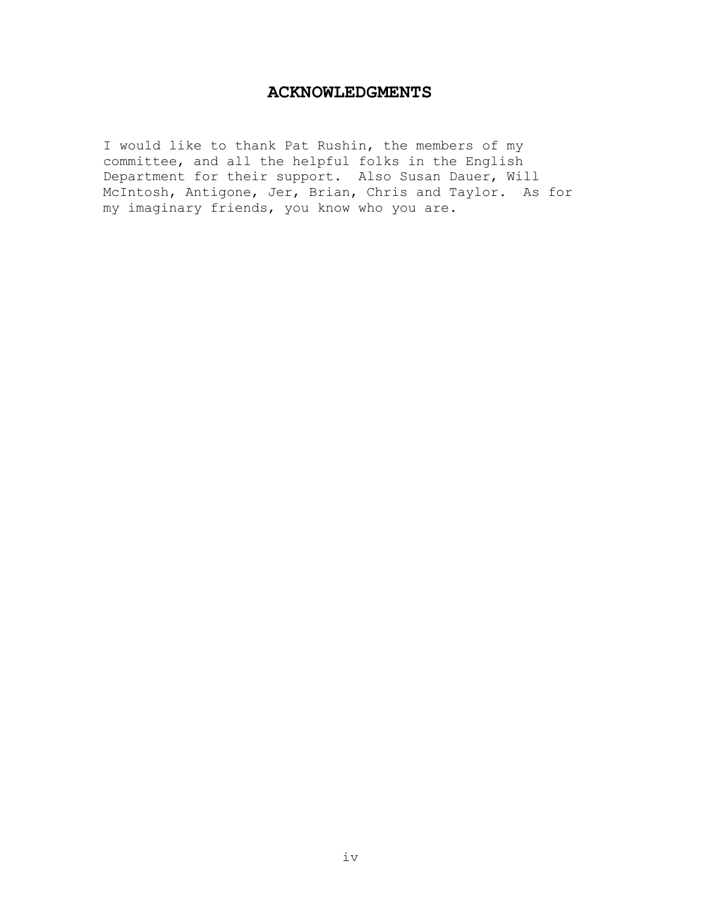# **ACKNOWLEDGMENTS**

I would like to thank Pat Rushin, the members of my committee, and all the helpful folks in the English Department for their support. Also Susan Dauer, Will McIntosh, Antigone, Jer, Brian, Chris and Taylor. As for my imaginary friends, you know who you are.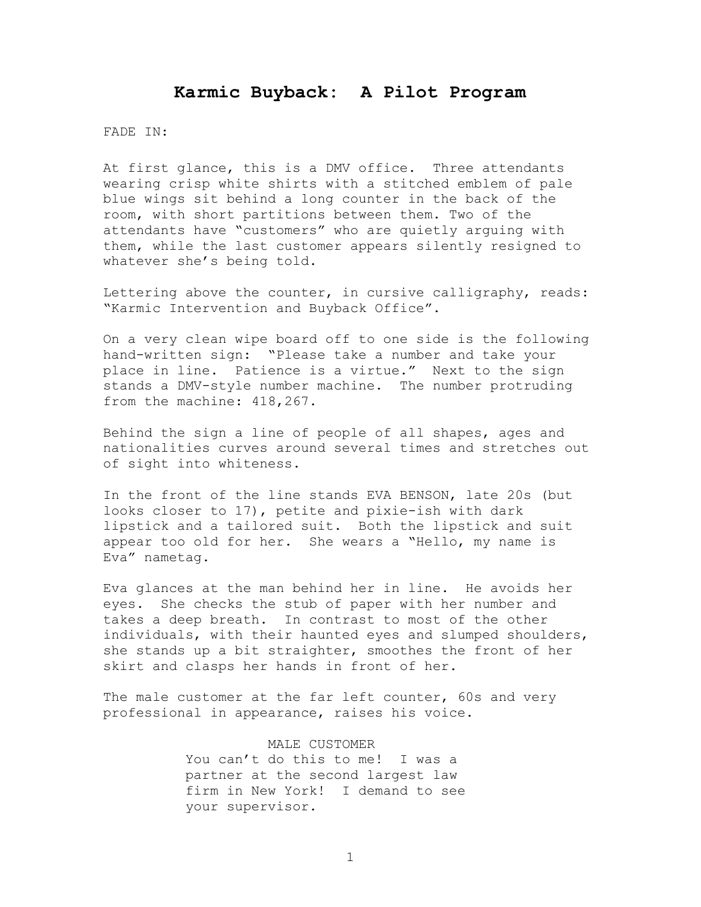# **Karmic Buyback: A Pilot Program**

#### FADE IN:

At first glance, this is a DMV office. Three attendants wearing crisp white shirts with a stitched emblem of pale blue wings sit behind a long counter in the back of the room, with short partitions between them. Two of the attendants have "customers" who are quietly arguing with them, while the last customer appears silently resigned to whatever she's being told.

Lettering above the counter, in cursive calligraphy, reads: "Karmic Intervention and Buyback Office".

On a very clean wipe board off to one side is the following hand-written sign: "Please take a number and take your place in line. Patience is a virtue." Next to the sign stands a DMV-style number machine. The number protruding from the machine: 418,267.

Behind the sign a line of people of all shapes, ages and nationalities curves around several times and stretches out of sight into whiteness.

In the front of the line stands EVA BENSON, late 20s (but looks closer to 17), petite and pixie-ish with dark lipstick and a tailored suit. Both the lipstick and suit appear too old for her. She wears a "Hello, my name is Eva" nametag.

Eva glances at the man behind her in line. He avoids her eyes. She checks the stub of paper with her number and takes a deep breath. In contrast to most of the other individuals, with their haunted eyes and slumped shoulders, she stands up a bit straighter, smoothes the front of her skirt and clasps her hands in front of her.

The male customer at the far left counter, 60s and very professional in appearance, raises his voice.

> MALE CUSTOMER You can't do this to me! I was a partner at the second largest law firm in New York! I demand to see your supervisor.

> > 1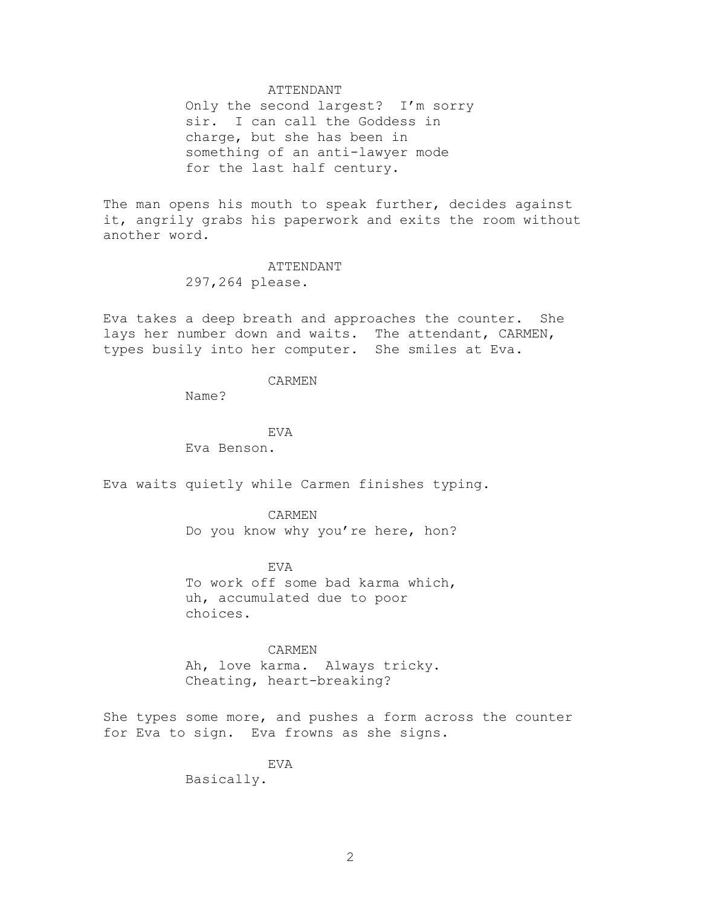#### ATTENDANT

Only the second largest? I'm sorry sir. I can call the Goddess in charge, but she has been in something of an anti-lawyer mode for the last half century.

The man opens his mouth to speak further, decides against it, angrily grabs his paperwork and exits the room without another word.

# ATTENDANT

297,264 please.

Eva takes a deep breath and approaches the counter. She lays her number down and waits. The attendant, CARMEN, types busily into her computer. She smiles at Eva.

### CARMEN

Name?

EVA Eva Benson.

Eva waits quietly while Carmen finishes typing.

#### CARMEN

Do you know why you're here, hon?

#### EVA

To work off some bad karma which, uh, accumulated due to poor choices.

#### CARMEN

Ah, love karma. Always tricky. Cheating, heart-breaking?

She types some more, and pushes a form across the counter for Eva to sign. Eva frowns as she signs.

#### EVA

Basically.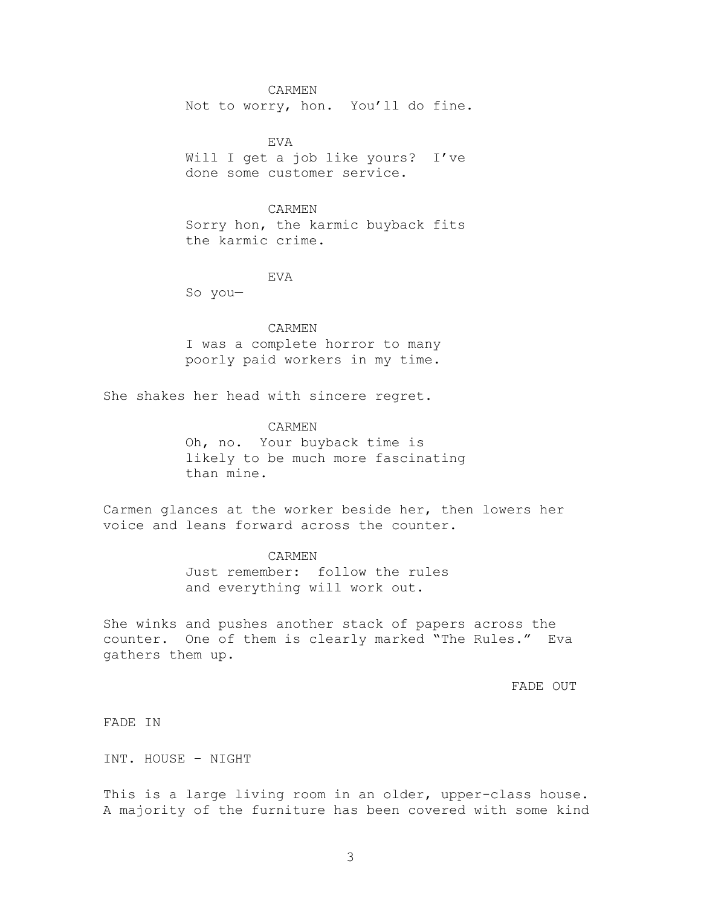#### CARMEN

Not to worry, hon. You'll do fine.

EVA Will I get a job like yours? I've done some customer service.

#### CARMEN

Sorry hon, the karmic buyback fits the karmic crime.

#### EVA

So you—

CARMEN I was a complete horror to many poorly paid workers in my time.

She shakes her head with sincere regret.

# CARMEN Oh, no. Your buyback time is likely to be much more fascinating than mine.

Carmen glances at the worker beside her, then lowers her voice and leans forward across the counter.

#### CARMEN

Just remember: follow the rules and everything will work out.

She winks and pushes another stack of papers across the counter. One of them is clearly marked "The Rules." Eva gathers them up.

FADE OUT

FADE IN

INT. HOUSE – NIGHT

This is a large living room in an older, upper-class house. A majority of the furniture has been covered with some kind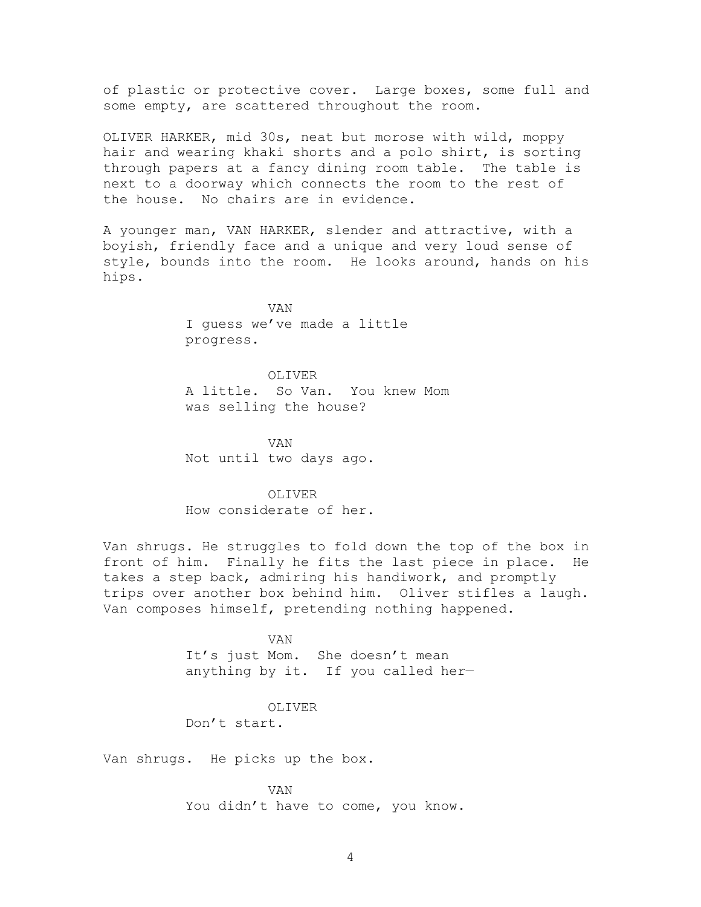of plastic or protective cover. Large boxes, some full and some empty, are scattered throughout the room.

OLIVER HARKER, mid 30s, neat but morose with wild, moppy hair and wearing khaki shorts and a polo shirt, is sorting through papers at a fancy dining room table. The table is next to a doorway which connects the room to the rest of the house. No chairs are in evidence.

A younger man, VAN HARKER, slender and attractive, with a boyish, friendly face and a unique and very loud sense of style, bounds into the room. He looks around, hands on his hips.

> VAN I guess we've made a little progress.

OLIVER A little. So Van. You knew Mom was selling the house?

VAN Not until two days ago.

OLIVER How considerate of her.

Van shrugs. He struggles to fold down the top of the box in front of him. Finally he fits the last piece in place. He takes a step back, admiring his handiwork, and promptly trips over another box behind him. Oliver stifles a laugh. Van composes himself, pretending nothing happened.

> VAN It's just Mom. She doesn't mean anything by it. If you called her—

> > OLIVER

Don't start.

Van shrugs. He picks up the box.

VAN You didn't have to come, you know.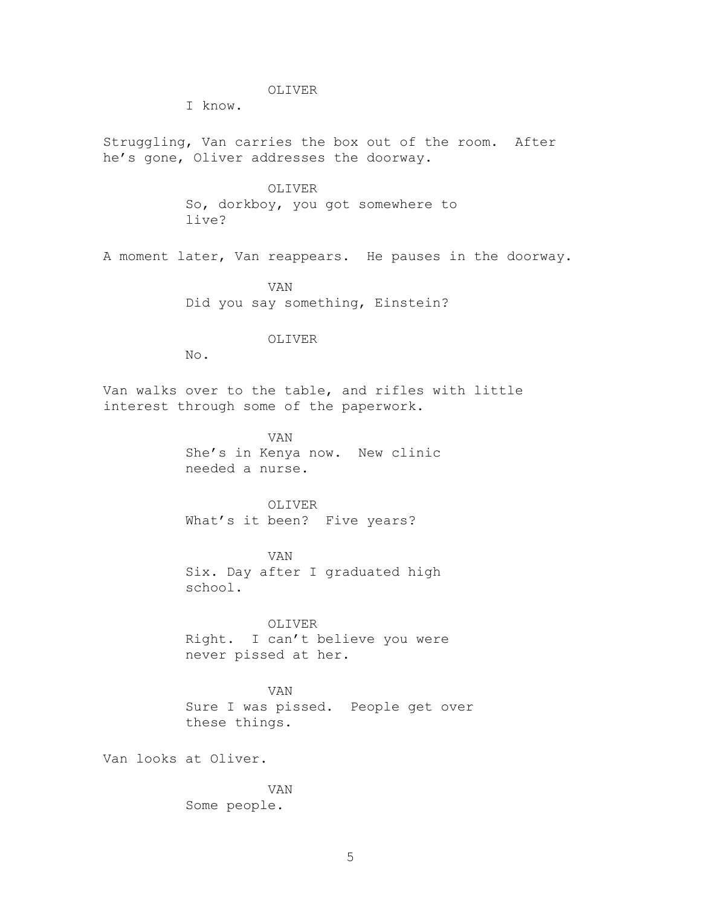#### OLIVER

I know.

Struggling, Van carries the box out of the room. After he's gone, Oliver addresses the doorway.

> OLIVER So, dorkboy, you got somewhere to live?

A moment later, Van reappears. He pauses in the doorway.

VAN Did you say something, Einstein?

#### OLIVER

No.

Van walks over to the table, and rifles with little interest through some of the paperwork.

> VAN She's in Kenya now. New clinic needed a nurse.

OLIVER What's it been? Five years?

VAN Six. Day after I graduated high school.

OLIVER Right. I can't believe you were never pissed at her.

VAN Sure I was pissed. People get over these things.

Van looks at Oliver.

VAN Some people.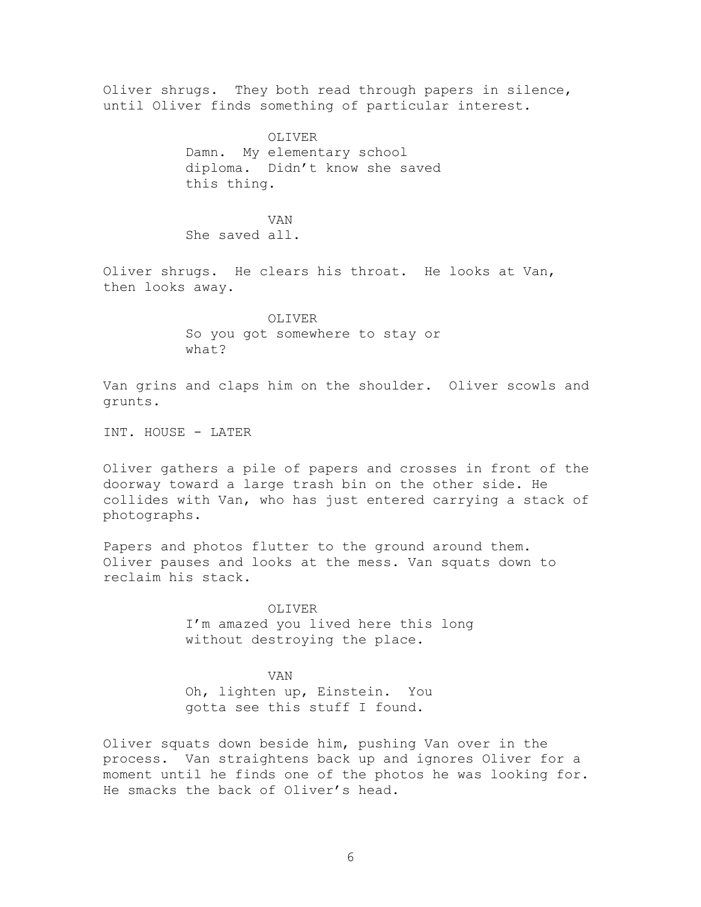Oliver shrugs. They both read through papers in silence, until Oliver finds something of particular interest.

> OLIVER Damn. My elementary school diploma. Didn't know she saved this thing.

VAN She saved all.

Oliver shrugs. He clears his throat. He looks at Van, then looks away.

> OLIVER So you got somewhere to stay or what?

Van grins and claps him on the shoulder. Oliver scowls and grunts.

INT. HOUSE - LATER

Oliver gathers a pile of papers and crosses in front of the doorway toward a large trash bin on the other side. He collides with Van, who has just entered carrying a stack of photographs.

Papers and photos flutter to the ground around them. Oliver pauses and looks at the mess. Van squats down to reclaim his stack.

> OLIVER I'm amazed you lived here this long without destroying the place.

VAN Oh, lighten up, Einstein. You gotta see this stuff I found.

Oliver squats down beside him, pushing Van over in the process. Van straightens back up and ignores Oliver for a moment until he finds one of the photos he was looking for. He smacks the back of Oliver's head.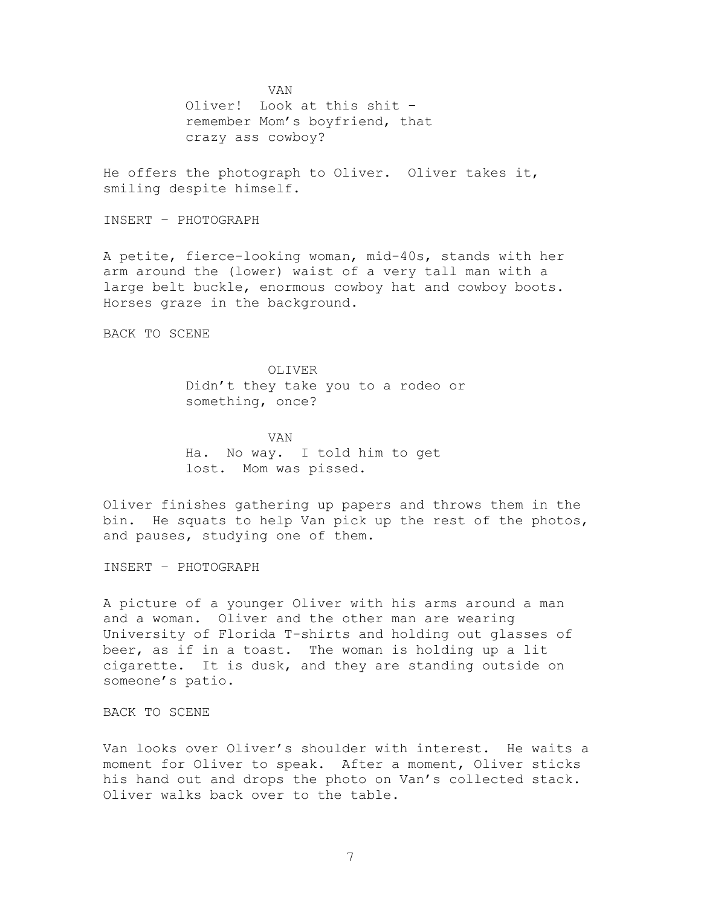VAN Oliver! Look at this shit – remember Mom's boyfriend, that crazy ass cowboy?

He offers the photograph to Oliver. Oliver takes it, smiling despite himself.

INSERT – PHOTOGRAPH

A petite, fierce-looking woman, mid-40s, stands with her arm around the (lower) waist of a very tall man with a large belt buckle, enormous cowboy hat and cowboy boots. Horses graze in the background.

BACK TO SCENE

OLIVER Didn't they take you to a rodeo or something, once?

VAN Ha. No way. I told him to get lost. Mom was pissed.

Oliver finishes gathering up papers and throws them in the bin. He squats to help Van pick up the rest of the photos, and pauses, studying one of them.

INSERT – PHOTOGRAPH

A picture of a younger Oliver with his arms around a man and a woman. Oliver and the other man are wearing University of Florida T-shirts and holding out glasses of beer, as if in a toast. The woman is holding up a lit cigarette. It is dusk, and they are standing outside on someone's patio.

BACK TO SCENE

Van looks over Oliver's shoulder with interest. He waits a moment for Oliver to speak. After a moment, Oliver sticks his hand out and drops the photo on Van's collected stack. Oliver walks back over to the table.

7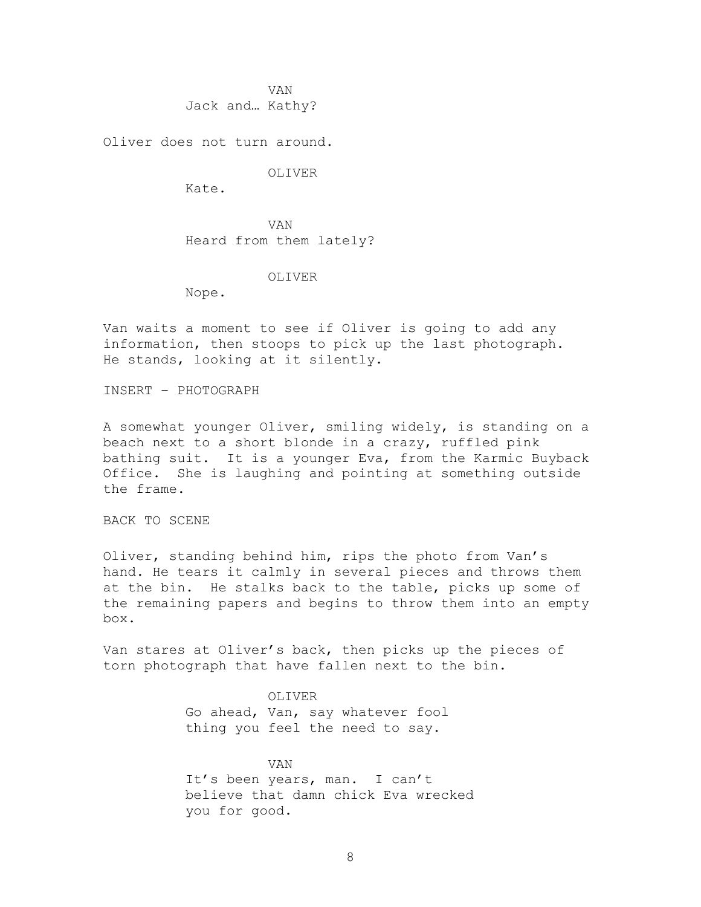VAN Jack and… Kathy?

Oliver does not turn around.

#### OLIVER

Kate.

VAN Heard from them lately?

#### OLIVER

Nope.

Van waits a moment to see if Oliver is going to add any information, then stoops to pick up the last photograph. He stands, looking at it silently.

INSERT – PHOTOGRAPH

A somewhat younger Oliver, smiling widely, is standing on a beach next to a short blonde in a crazy, ruffled pink bathing suit. It is a younger Eva, from the Karmic Buyback Office. She is laughing and pointing at something outside the frame.

BACK TO SCENE

Oliver, standing behind him, rips the photo from Van's hand. He tears it calmly in several pieces and throws them at the bin. He stalks back to the table, picks up some of the remaining papers and begins to throw them into an empty box.

Van stares at Oliver's back, then picks up the pieces of torn photograph that have fallen next to the bin.

> OLIVER Go ahead, Van, say whatever fool thing you feel the need to say.

VAN It's been years, man. I can't believe that damn chick Eva wrecked you for good.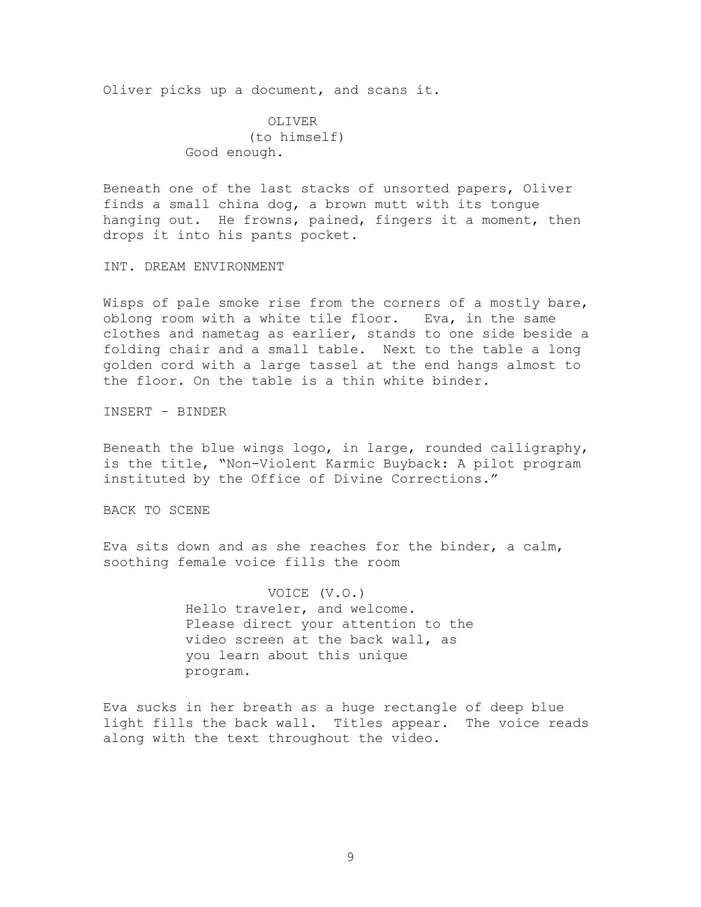Oliver picks up a document, and scans it.

OLIVER (to himself) Good enough.

Beneath one of the last stacks of unsorted papers, Oliver finds a small china dog, a brown mutt with its tongue hanging out. He frowns, pained, fingers it a moment, then drops it into his pants pocket.

INT. DREAM ENVIRONMENT

Wisps of pale smoke rise from the corners of a mostly bare, oblong room with a white tile floor. Eva, in the same clothes and nametag as earlier, stands to one side beside a folding chair and a small table. Next to the table a long golden cord with a large tassel at the end hangs almost to the floor. On the table is a thin white binder.

INSERT – BINDER

Beneath the blue wings logo, in large, rounded calligraphy, is the title, "Non-Violent Karmic Buyback: A pilot program instituted by the Office of Divine Corrections."

BACK TO SCENE

Eva sits down and as she reaches for the binder, a calm, soothing female voice fills the room

> VOICE (V.O.) Hello traveler, and welcome. Please direct your attention to the video screen at the back wall, as you learn about this unique program.

Eva sucks in her breath as a huge rectangle of deep blue light fills the back wall. Titles appear. The voice reads along with the text throughout the video.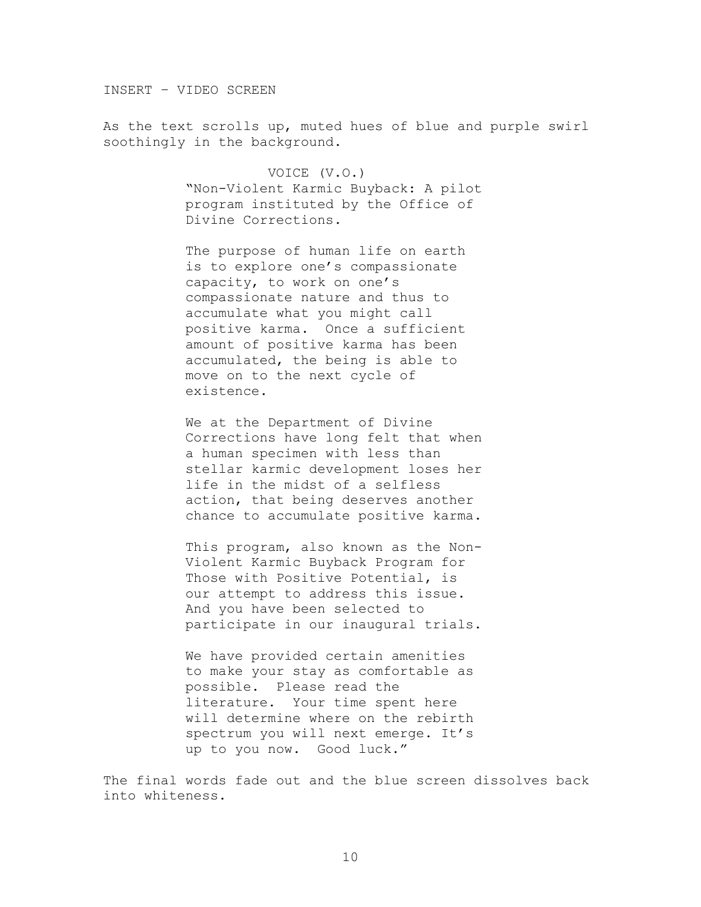INSERT – VIDEO SCREEN

As the text scrolls up, muted hues of blue and purple swirl soothingly in the background.

> VOICE (V.O.) ―Non-Violent Karmic Buyback: A pilot program instituted by the Office of Divine Corrections.

The purpose of human life on earth is to explore one's compassionate capacity, to work on one's compassionate nature and thus to accumulate what you might call positive karma. Once a sufficient amount of positive karma has been accumulated, the being is able to move on to the next cycle of existence.

We at the Department of Divine Corrections have long felt that when a human specimen with less than stellar karmic development loses her life in the midst of a selfless action, that being deserves another chance to accumulate positive karma.

This program, also known as the Non-Violent Karmic Buyback Program for Those with Positive Potential, is our attempt to address this issue. And you have been selected to participate in our inaugural trials.

We have provided certain amenities to make your stay as comfortable as possible. Please read the literature. Your time spent here will determine where on the rebirth spectrum you will next emerge. It's up to you now. Good luck."

The final words fade out and the blue screen dissolves back into whiteness.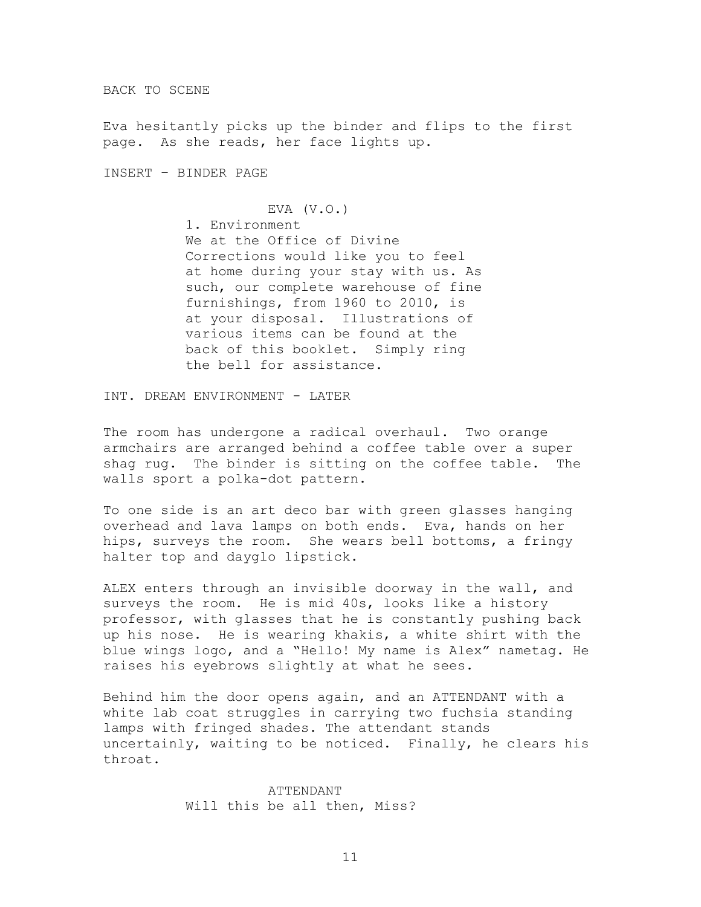BACK TO SCENE

Eva hesitantly picks up the binder and flips to the first page. As she reads, her face lights up.

INSERT – BINDER PAGE

## EVA (V.O.)

1. Environment We at the Office of Divine Corrections would like you to feel at home during your stay with us. As such, our complete warehouse of fine furnishings, from 1960 to 2010, is at your disposal. Illustrations of various items can be found at the back of this booklet. Simply ring the bell for assistance.

INT. DREAM ENVIRONMENT - LATER

The room has undergone a radical overhaul. Two orange armchairs are arranged behind a coffee table over a super shag rug. The binder is sitting on the coffee table. The walls sport a polka-dot pattern.

To one side is an art deco bar with green glasses hanging overhead and lava lamps on both ends. Eva, hands on her hips, surveys the room. She wears bell bottoms, a fringy halter top and dayglo lipstick.

ALEX enters through an invisible doorway in the wall, and surveys the room. He is mid 40s, looks like a history professor, with glasses that he is constantly pushing back up his nose. He is wearing khakis, a white shirt with the blue wings logo, and a "Hello! My name is Alex" nametag. He raises his eyebrows slightly at what he sees.

Behind him the door opens again, and an ATTENDANT with a white lab coat struggles in carrying two fuchsia standing lamps with fringed shades. The attendant stands uncertainly, waiting to be noticed. Finally, he clears his throat.

> ATTENDANT Will this be all then, Miss?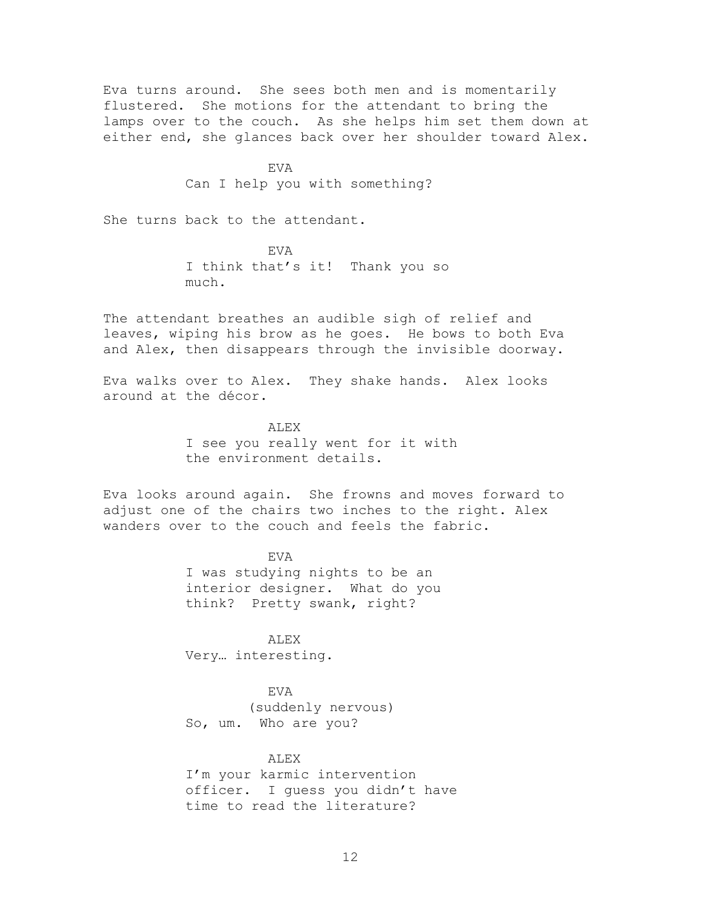Eva turns around. She sees both men and is momentarily flustered. She motions for the attendant to bring the lamps over to the couch. As she helps him set them down at either end, she glances back over her shoulder toward Alex.

> EVA Can I help you with something?

She turns back to the attendant.

EVA I think that's it! Thank you so much.

The attendant breathes an audible sigh of relief and leaves, wiping his brow as he goes. He bows to both Eva and Alex, then disappears through the invisible doorway.

Eva walks over to Alex. They shake hands. Alex looks around at the décor.

> **ALEX** I see you really went for it with the environment details.

Eva looks around again. She frowns and moves forward to adjust one of the chairs two inches to the right. Alex wanders over to the couch and feels the fabric.

> EVA I was studying nights to be an interior designer. What do you think? Pretty swank, right?

ALEX Very… interesting.

EVA (suddenly nervous) So, um. Who are you?

#### ALEX

I'm your karmic intervention officer. I guess you didn't have time to read the literature?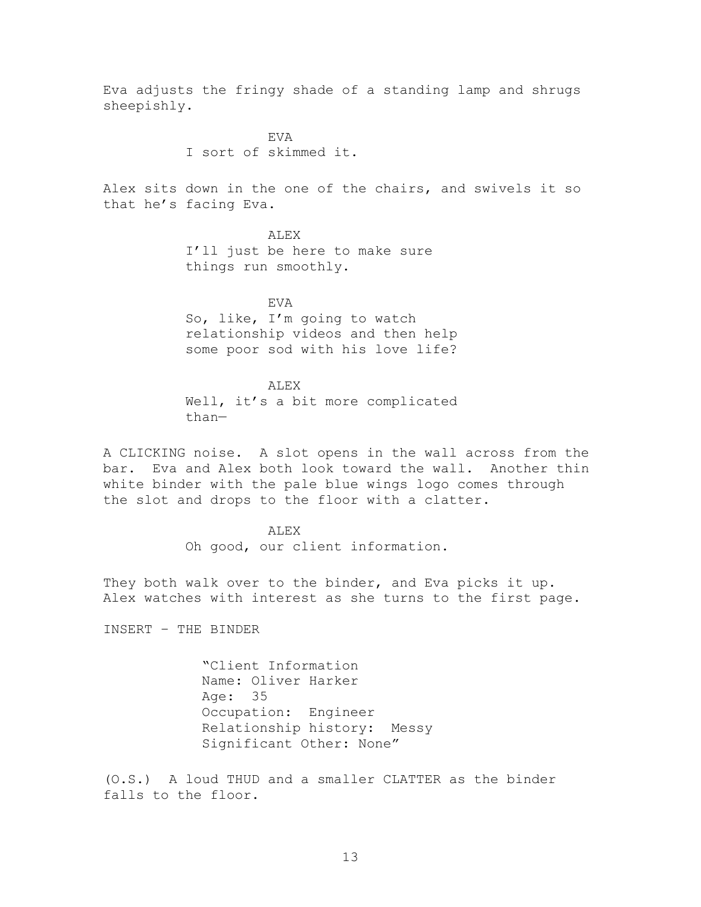Eva adjusts the fringy shade of a standing lamp and shrugs sheepishly.

> EVA I sort of skimmed it.

Alex sits down in the one of the chairs, and swivels it so that he's facing Eva.

> ALEX I'll just be here to make sure things run smoothly.

EVA So, like, I'm going to watch relationship videos and then help some poor sod with his love life?

ALEX Well, it's a bit more complicated than—

A CLICKING noise. A slot opens in the wall across from the bar. Eva and Alex both look toward the wall. Another thin white binder with the pale blue wings logo comes through the slot and drops to the floor with a clatter.

> ALEX Oh good, our client information.

They both walk over to the binder, and Eva picks it up. Alex watches with interest as she turns to the first page.

INSERT – THE BINDER

―Client Information Name: Oliver Harker Age: 35 Occupation: Engineer Relationship history: Messy Significant Other: None"

(O.S.) A loud THUD and a smaller CLATTER as the binder falls to the floor.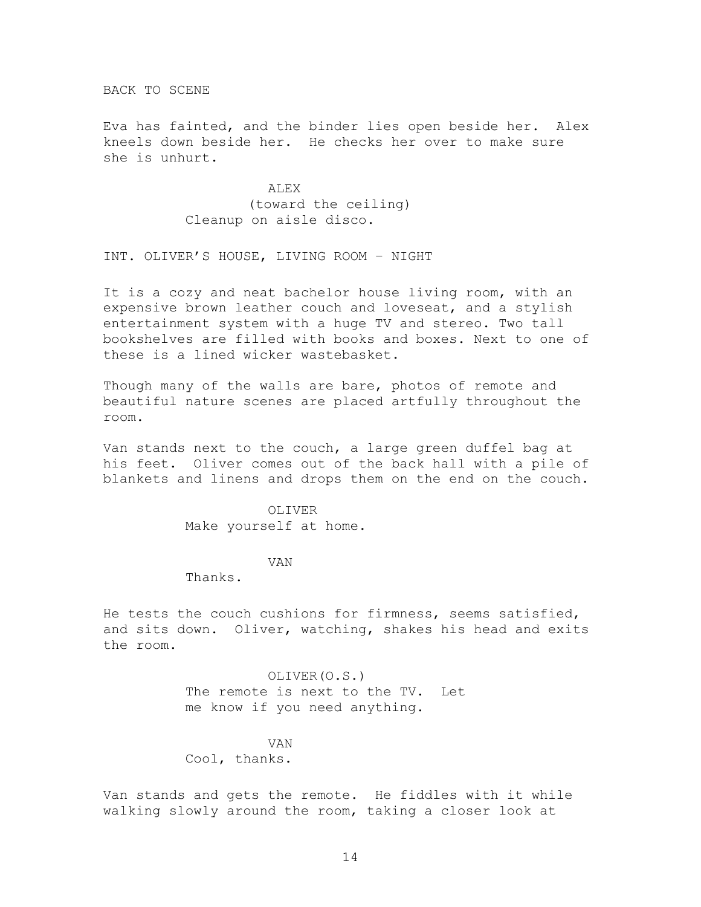BACK TO SCENE

Eva has fainted, and the binder lies open beside her. Alex kneels down beside her. He checks her over to make sure she is unhurt.

> ALEX (toward the ceiling) Cleanup on aisle disco.

INT. OLIVER'S HOUSE, LIVING ROOM – NIGHT

It is a cozy and neat bachelor house living room, with an expensive brown leather couch and loveseat, and a stylish entertainment system with a huge TV and stereo. Two tall bookshelves are filled with books and boxes. Next to one of these is a lined wicker wastebasket.

Though many of the walls are bare, photos of remote and beautiful nature scenes are placed artfully throughout the room.

Van stands next to the couch, a large green duffel bag at his feet. Oliver comes out of the back hall with a pile of blankets and linens and drops them on the end on the couch.

> OLIVER Make yourself at home.

> > VAN

Thanks.

He tests the couch cushions for firmness, seems satisfied, and sits down. Oliver, watching, shakes his head and exits the room.

> OLIVER(O.S.) The remote is next to the TV. Let me know if you need anything.

VAN Cool, thanks.

Van stands and gets the remote. He fiddles with it while walking slowly around the room, taking a closer look at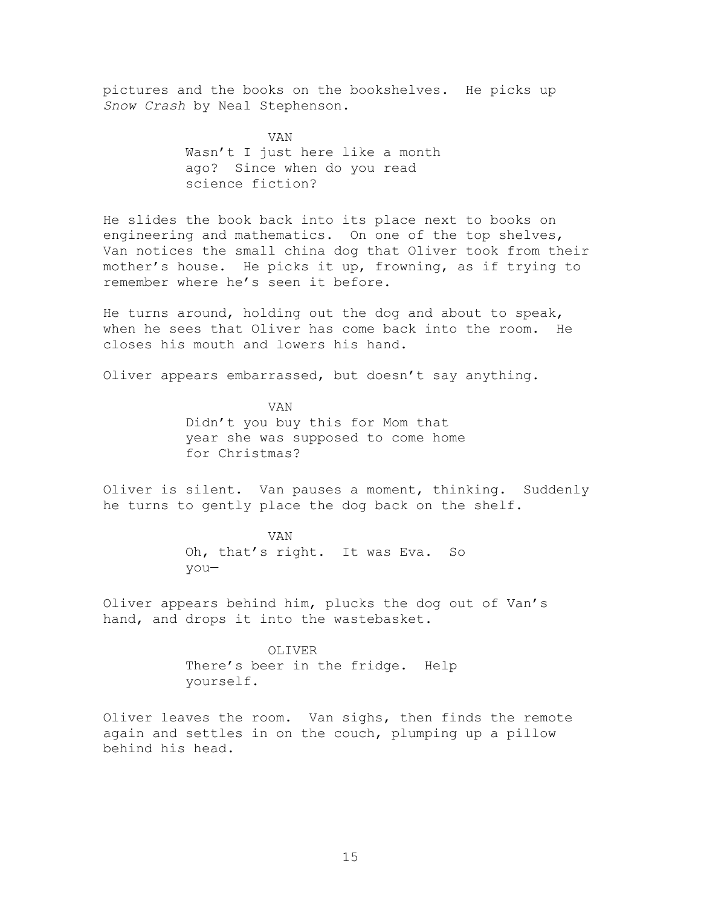pictures and the books on the bookshelves. He picks up *Snow Crash* by Neal Stephenson.

> VAN Wasn't I just here like a month ago? Since when do you read science fiction?

He slides the book back into its place next to books on engineering and mathematics. On one of the top shelves, Van notices the small china dog that Oliver took from their mother's house. He picks it up, frowning, as if trying to remember where he's seen it before.

He turns around, holding out the dog and about to speak, when he sees that Oliver has come back into the room. He closes his mouth and lowers his hand.

Oliver appears embarrassed, but doesn't say anything.

VAN Didn't you buy this for Mom that year she was supposed to come home for Christmas?

Oliver is silent. Van pauses a moment, thinking. Suddenly he turns to gently place the dog back on the shelf.

> VAN Oh, that's right. It was Eva. So you—

Oliver appears behind him, plucks the dog out of Van's hand, and drops it into the wastebasket.

> OLIVER There's beer in the fridge. Help yourself.

Oliver leaves the room. Van sighs, then finds the remote again and settles in on the couch, plumping up a pillow behind his head.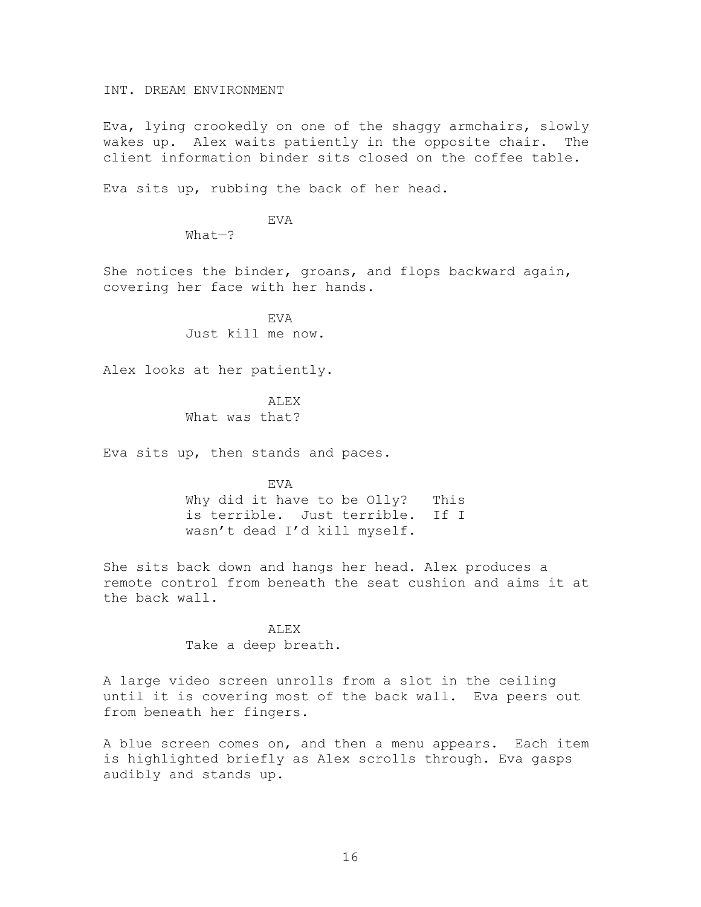INT. DREAM ENVIRONMENT

Eva, lying crookedly on one of the shaggy armchairs, slowly wakes up. Alex waits patiently in the opposite chair. The client information binder sits closed on the coffee table.

Eva sits up, rubbing the back of her head.

EVA

What—?

She notices the binder, groans, and flops backward again, covering her face with her hands.

> **EVA** Just kill me now.

Alex looks at her patiently.

ALEX What was that?

Eva sits up, then stands and paces.

EVA Why did it have to be Olly? This is terrible. Just terrible. If I wasn't dead I'd kill myself.

She sits back down and hangs her head. Alex produces a remote control from beneath the seat cushion and aims it at the back wall.

> ALEX Take a deep breath.

A large video screen unrolls from a slot in the ceiling until it is covering most of the back wall. Eva peers out from beneath her fingers.

A blue screen comes on, and then a menu appears. Each item is highlighted briefly as Alex scrolls through. Eva gasps audibly and stands up.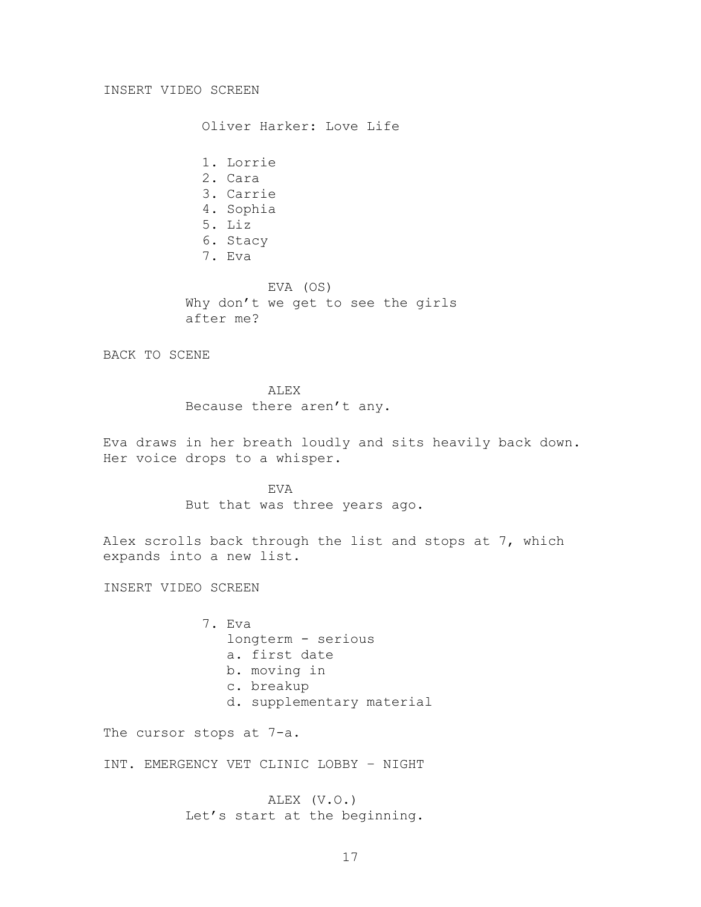#### INSERT VIDEO SCREEN

Oliver Harker: Love Life

1. Lorrie 2. Cara 3. Carrie 4. Sophia 5. Liz 6. Stacy 7. Eva EVA (OS) Why don't we get to see the girls after me?

BACK TO SCENE

ALEX Because there aren't any.

Eva draws in her breath loudly and sits heavily back down. Her voice drops to a whisper.

> EVA But that was three years ago.

Alex scrolls back through the list and stops at 7, which expands into a new list.

INSERT VIDEO SCREEN

7. Eva longterm - serious a. first date b. moving in c. breakup d. supplementary material

The cursor stops at 7-a.

INT. EMERGENCY VET CLINIC LOBBY – NIGHT

ALEX (V.O.) Let's start at the beginning.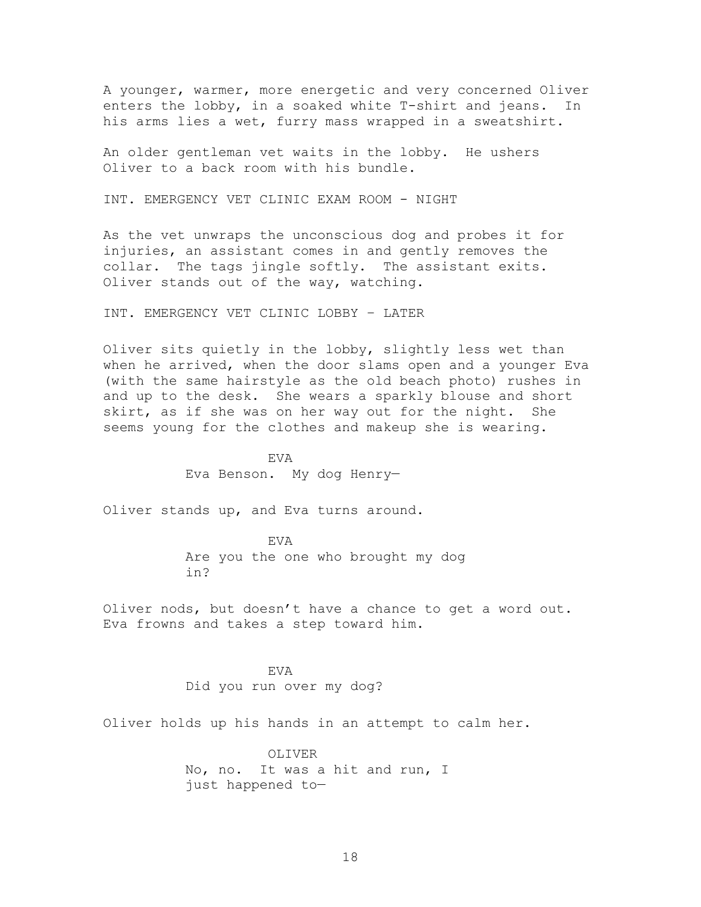A younger, warmer, more energetic and very concerned Oliver enters the lobby, in a soaked white T-shirt and jeans. In his arms lies a wet, furry mass wrapped in a sweatshirt.

An older gentleman vet waits in the lobby. He ushers Oliver to a back room with his bundle.

INT. EMERGENCY VET CLINIC EXAM ROOM - NIGHT

As the vet unwraps the unconscious dog and probes it for injuries, an assistant comes in and gently removes the collar. The tags jingle softly. The assistant exits. Oliver stands out of the way, watching.

INT. EMERGENCY VET CLINIC LOBBY – LATER

Oliver sits quietly in the lobby, slightly less wet than when he arrived, when the door slams open and a younger Eva (with the same hairstyle as the old beach photo) rushes in and up to the desk. She wears a sparkly blouse and short skirt, as if she was on her way out for the night. She seems young for the clothes and makeup she is wearing.

> EVA Eva Benson. My dog Henry—

Oliver stands up, and Eva turns around.

EVA Are you the one who brought my dog in?

Oliver nods, but doesn't have a chance to get a word out. Eva frowns and takes a step toward him.

> EVA Did you run over my dog?

Oliver holds up his hands in an attempt to calm her.

OLIVER No, no. It was a hit and run, I just happened to—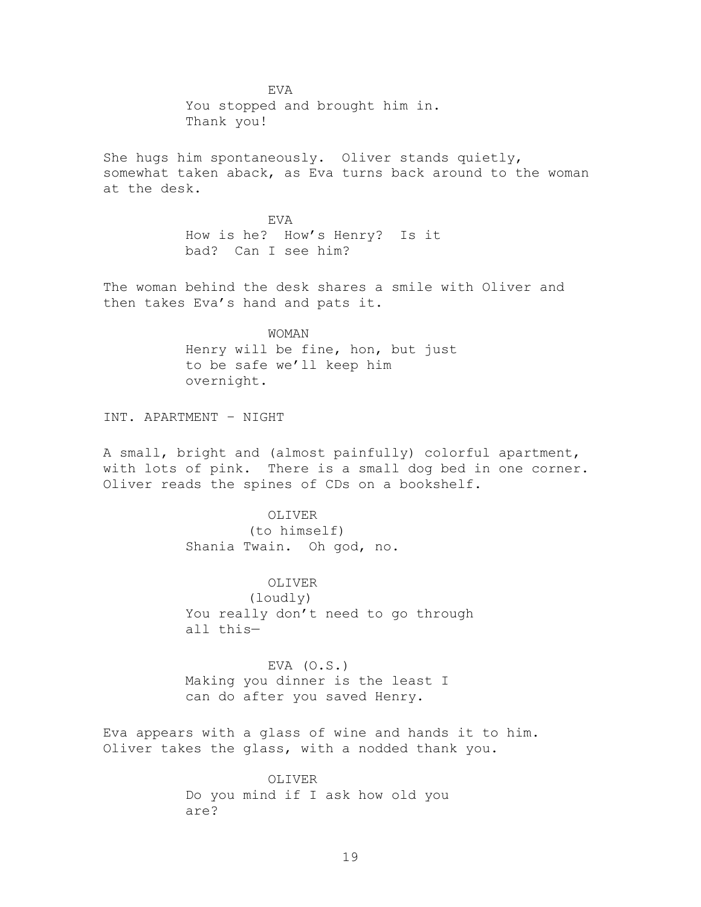EVA You stopped and brought him in. Thank you!

She hugs him spontaneously. Oliver stands quietly, somewhat taken aback, as Eva turns back around to the woman at the desk.

> EVA How is he? How's Henry? Is it bad? Can I see him?

The woman behind the desk shares a smile with Oliver and then takes Eva's hand and pats it.

> WOMAN Henry will be fine, hon, but just to be safe we'll keep him overnight.

INT. APARTMENT – NIGHT

A small, bright and (almost painfully) colorful apartment, with lots of pink. There is a small dog bed in one corner. Oliver reads the spines of CDs on a bookshelf.

> OLIVER (to himself) Shania Twain. Oh god, no.

OLIVER (loudly) You really don't need to go through all this—

EVA  $(O.S.)$ Making you dinner is the least I can do after you saved Henry.

Eva appears with a glass of wine and hands it to him. Oliver takes the glass, with a nodded thank you.

> OLIVER Do you mind if I ask how old you are?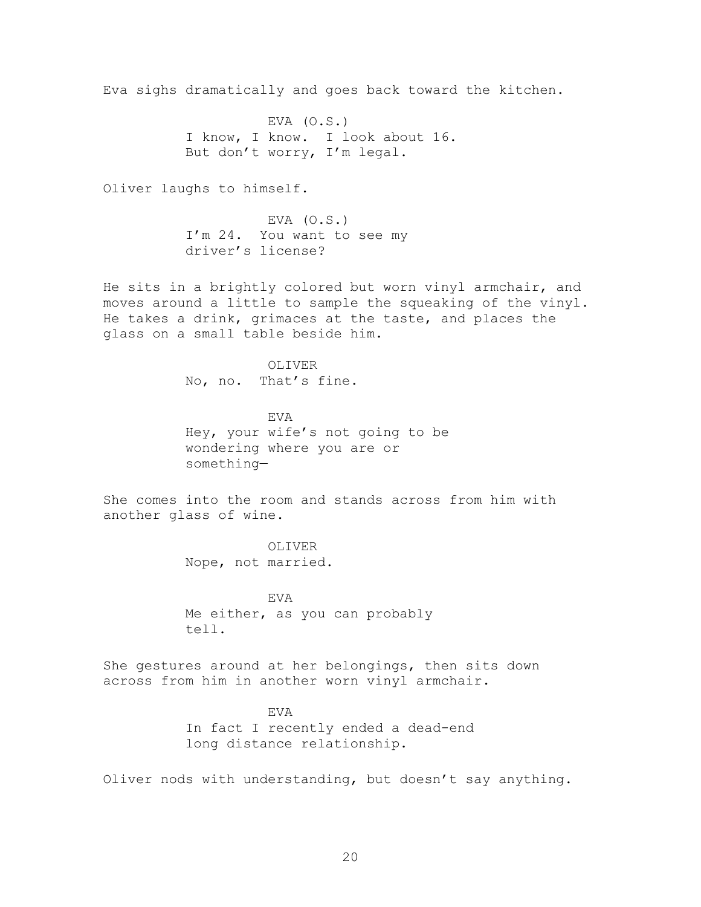Eva sighs dramatically and goes back toward the kitchen.

EVA  $(0.S.)$ I know, I know. I look about 16. But don't worry, I'm legal.

Oliver laughs to himself.

EVA  $(O.S.)$ I'm 24. You want to see my driver's license?

He sits in a brightly colored but worn vinyl armchair, and moves around a little to sample the squeaking of the vinyl. He takes a drink, grimaces at the taste, and places the glass on a small table beside him.

> OLIVER No, no. That's fine.

EVA Hey, your wife's not going to be wondering where you are or something—

She comes into the room and stands across from him with another glass of wine.

> OLIVER Nope, not married.

EVA Me either, as you can probably tell.

She gestures around at her belongings, then sits down across from him in another worn vinyl armchair.

> EVA In fact I recently ended a dead-end long distance relationship.

Oliver nods with understanding, but doesn't say anything.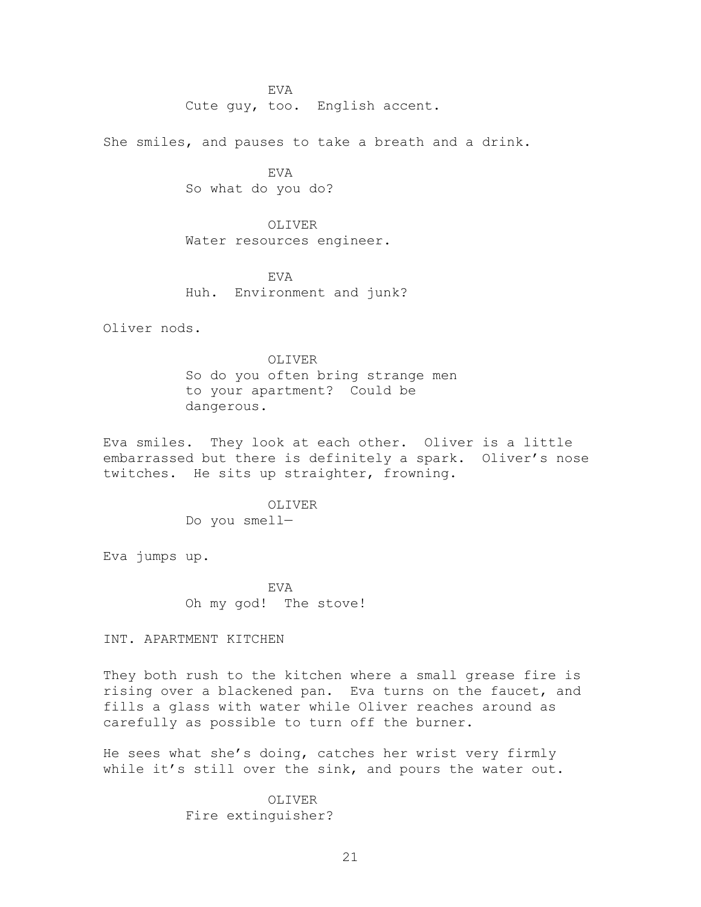EVA Cute guy, too. English accent.

She smiles, and pauses to take a breath and a drink.

**EVA** So what do you do?

OLIVER Water resources engineer.

EVA Huh. Environment and junk?

Oliver nods.

OLIVER So do you often bring strange men to your apartment? Could be dangerous.

Eva smiles. They look at each other. Oliver is a little embarrassed but there is definitely a spark. Oliver's nose twitches. He sits up straighter, frowning.

> OLIVER Do you smell—

Eva jumps up.

EVA Oh my god! The stove!

INT. APARTMENT KITCHEN

They both rush to the kitchen where a small grease fire is rising over a blackened pan. Eva turns on the faucet, and fills a glass with water while Oliver reaches around as carefully as possible to turn off the burner.

He sees what she's doing, catches her wrist very firmly while it's still over the sink, and pours the water out.

> OLIVER Fire extinguisher?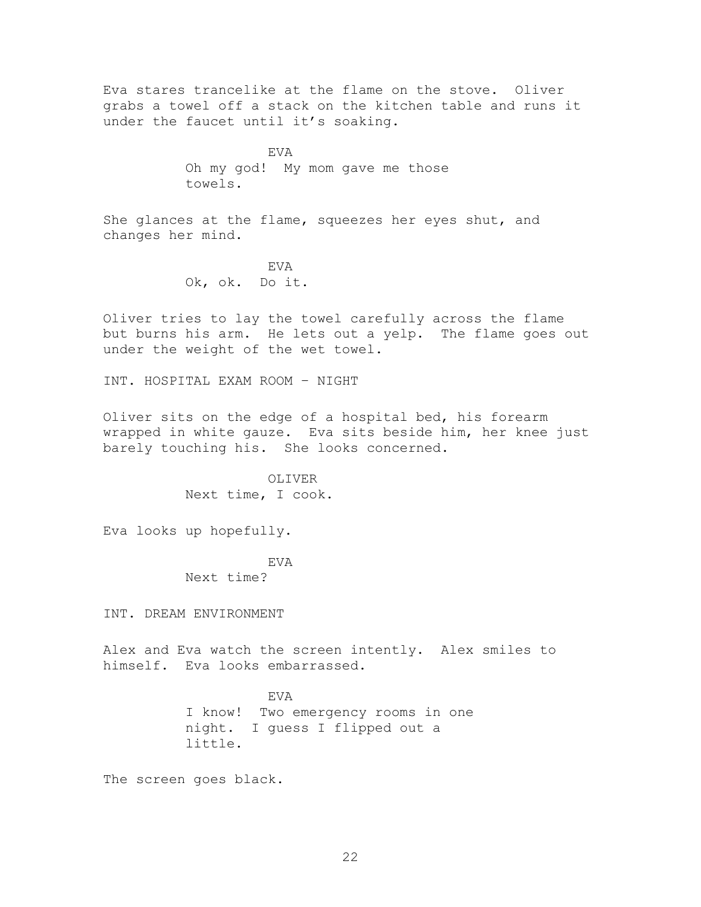Eva stares trancelike at the flame on the stove. Oliver grabs a towel off a stack on the kitchen table and runs it under the faucet until it's soaking.

> EVA Oh my god! My mom gave me those towels.

She glances at the flame, squeezes her eyes shut, and changes her mind.

> EVA Ok, ok. Do it.

Oliver tries to lay the towel carefully across the flame but burns his arm. He lets out a yelp. The flame goes out under the weight of the wet towel.

INT. HOSPITAL EXAM ROOM – NIGHT

Oliver sits on the edge of a hospital bed, his forearm wrapped in white gauze. Eva sits beside him, her knee just barely touching his. She looks concerned.

> OLIVER Next time, I cook.

Eva looks up hopefully.

EVA

Next time?

INT. DREAM ENVIRONMENT

Alex and Eva watch the screen intently. Alex smiles to himself. Eva looks embarrassed.

> EVA I know! Two emergency rooms in one night. I guess I flipped out a little.

The screen goes black.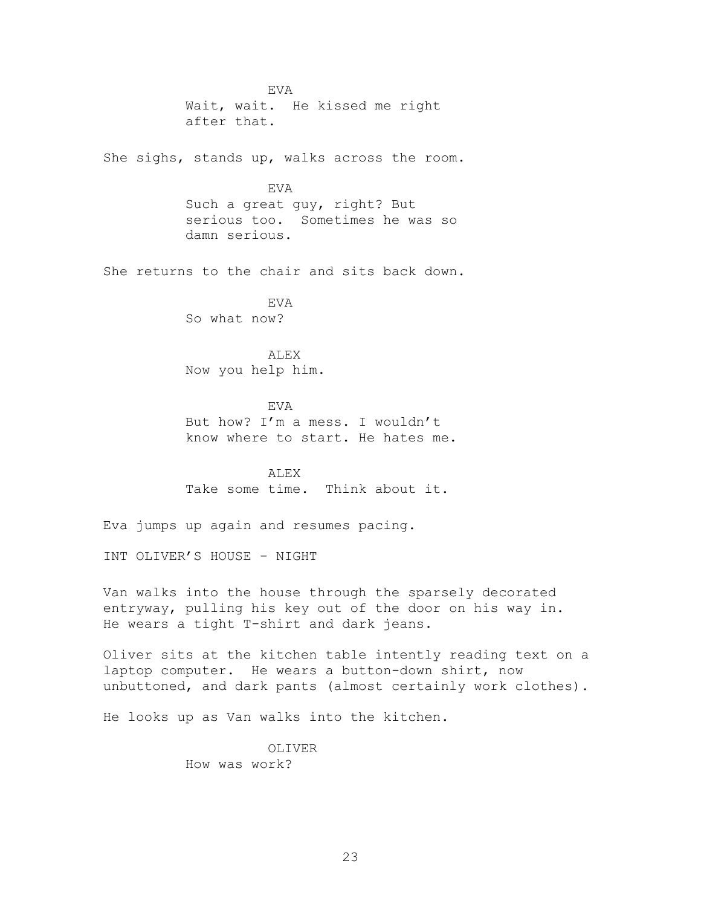EVA Wait, wait. He kissed me right after that.

She sighs, stands up, walks across the room.

EVA Such a great guy, right? But serious too. Sometimes he was so damn serious.

She returns to the chair and sits back down.

EVA So what now?

ALEX Now you help him.

EVA But how? I'm a mess. I wouldn't know where to start. He hates me.

ALEX Take some time. Think about it.

Eva jumps up again and resumes pacing.

INT OLIVER'S HOUSE - NIGHT

Van walks into the house through the sparsely decorated entryway, pulling his key out of the door on his way in. He wears a tight T-shirt and dark jeans.

Oliver sits at the kitchen table intently reading text on a laptop computer. He wears a button-down shirt, now unbuttoned, and dark pants (almost certainly work clothes).

He looks up as Van walks into the kitchen.

OLIVER How was work?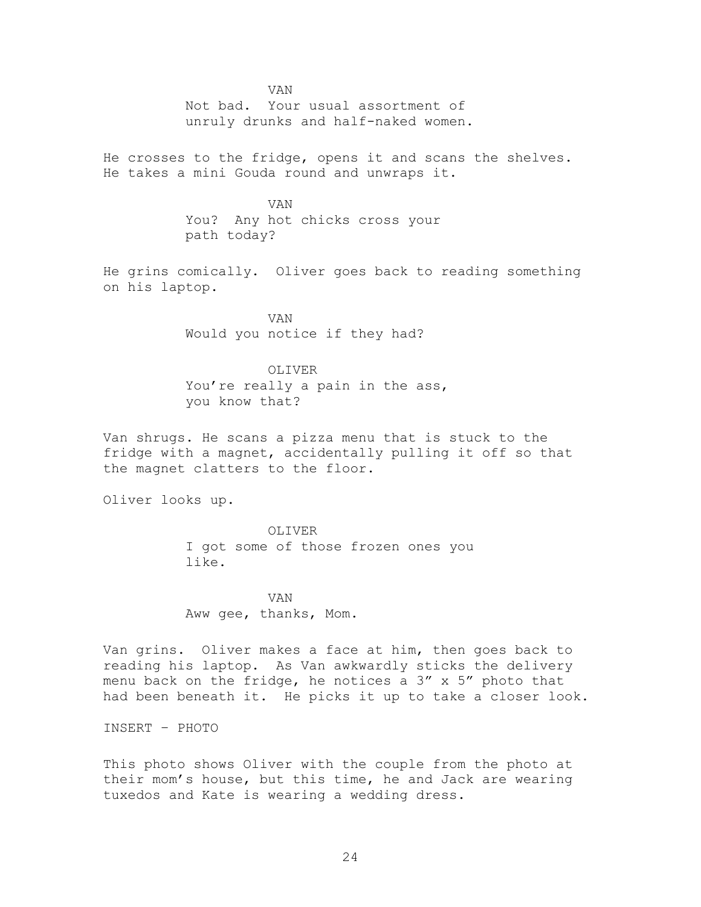VAN

Not bad. Your usual assortment of unruly drunks and half-naked women.

He crosses to the fridge, opens it and scans the shelves. He takes a mini Gouda round and unwraps it.

> VAN You? Any hot chicks cross your path today?

He grins comically. Oliver goes back to reading something on his laptop.

> VAN Would you notice if they had?

OLIVER You're really a pain in the ass, you know that?

Van shrugs. He scans a pizza menu that is stuck to the fridge with a magnet, accidentally pulling it off so that the magnet clatters to the floor.

Oliver looks up.

OLIVER I got some of those frozen ones you like.

VAN Aww gee, thanks, Mom.

Van grins. Oliver makes a face at him, then goes back to reading his laptop. As Van awkwardly sticks the delivery menu back on the fridge, he notices a  $3''$  x  $5''$  photo that had been beneath it. He picks it up to take a closer look.

INSERT – PHOTO

This photo shows Oliver with the couple from the photo at their mom's house, but this time, he and Jack are wearing tuxedos and Kate is wearing a wedding dress.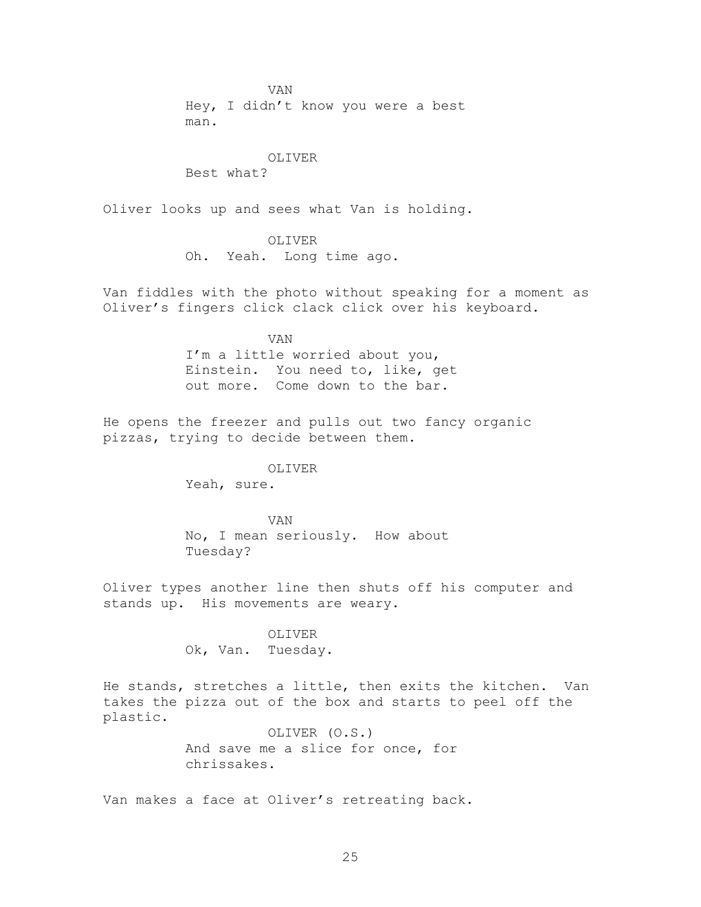VAN Hey, I didn't know you were a best man.

#### OLIVER

Best what?

Oliver looks up and sees what Van is holding.

#### OLIVER

Oh. Yeah. Long time ago.

Van fiddles with the photo without speaking for a moment as Oliver's fingers click clack click over his keyboard.

VAN

I'm a little worried about you, Einstein. You need to, like, get out more. Come down to the bar.

He opens the freezer and pulls out two fancy organic pizzas, trying to decide between them.

#### OLIVER

Yeah, sure.

VAN No, I mean seriously. How about Tuesday?

Oliver types another line then shuts off his computer and stands up. His movements are weary.

#### OLIVER

Ok, Van. Tuesday.

He stands, stretches a little, then exits the kitchen. Van takes the pizza out of the box and starts to peel off the plastic.

> OLIVER (O.S.) And save me a slice for once, for chrissakes.

Van makes a face at Oliver's retreating back.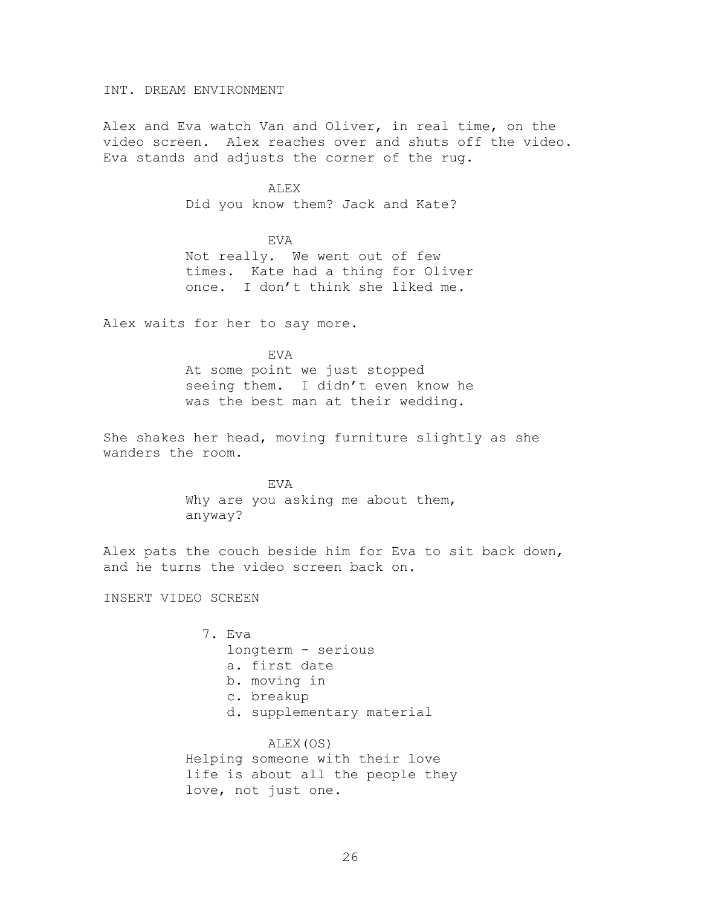INT. DREAM ENVIRONMENT

Alex and Eva watch Van and Oliver, in real time, on the video screen. Alex reaches over and shuts off the video. Eva stands and adjusts the corner of the rug.

ALEX

Did you know them? Jack and Kate?

EVA Not really. We went out of few times. Kate had a thing for Oliver once. I don't think she liked me.

Alex waits for her to say more.

EVA

At some point we just stopped seeing them. I didn't even know he was the best man at their wedding.

She shakes her head, moving furniture slightly as she wanders the room.

> EVA Why are you asking me about them, anyway?

Alex pats the couch beside him for Eva to sit back down, and he turns the video screen back on.

INSERT VIDEO SCREEN

7. Eva longterm - serious a. first date b. moving in c. breakup d. supplementary material ALEX(OS)

Helping someone with their love life is about all the people they love, not just one.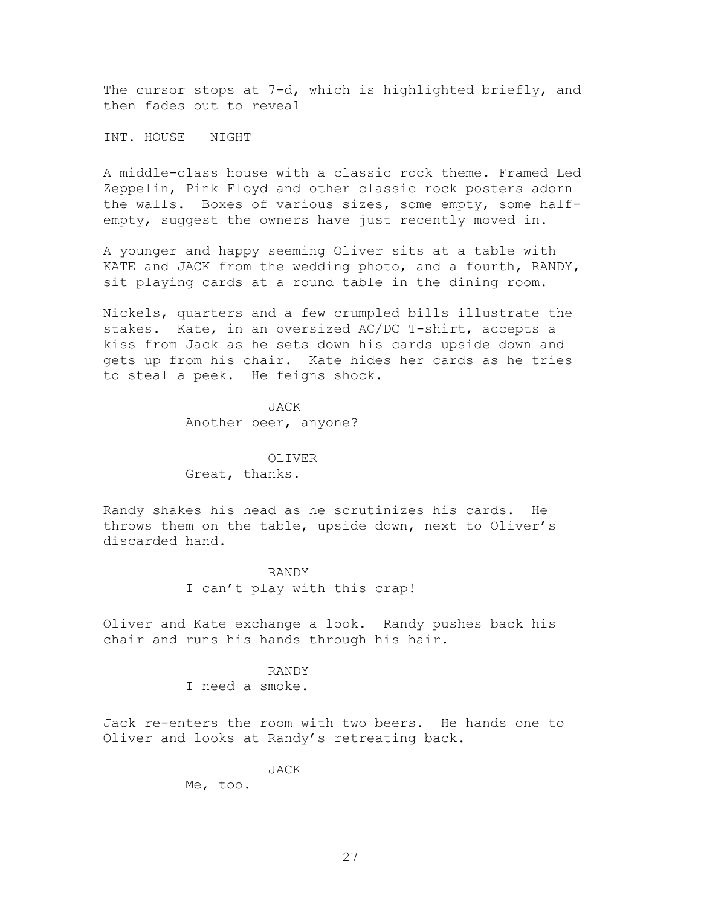The cursor stops at 7-d, which is highlighted briefly, and then fades out to reveal

INT. HOUSE – NIGHT

A middle-class house with a classic rock theme. Framed Led Zeppelin, Pink Floyd and other classic rock posters adorn the walls. Boxes of various sizes, some empty, some halfempty, suggest the owners have just recently moved in.

A younger and happy seeming Oliver sits at a table with KATE and JACK from the wedding photo, and a fourth, RANDY, sit playing cards at a round table in the dining room.

Nickels, quarters and a few crumpled bills illustrate the stakes. Kate, in an oversized AC/DC T-shirt, accepts a kiss from Jack as he sets down his cards upside down and gets up from his chair. Kate hides her cards as he tries to steal a peek. He feigns shock.

> JACK Another beer, anyone?

OLIVER Great, thanks.

Randy shakes his head as he scrutinizes his cards. He throws them on the table, upside down, next to Oliver's discarded hand.

> RANDY I can't play with this crap!

Oliver and Kate exchange a look. Randy pushes back his chair and runs his hands through his hair.

#### RANDY

I need a smoke.

Jack re-enters the room with two beers. He hands one to Oliver and looks at Randy's retreating back.

JACK

Me, too.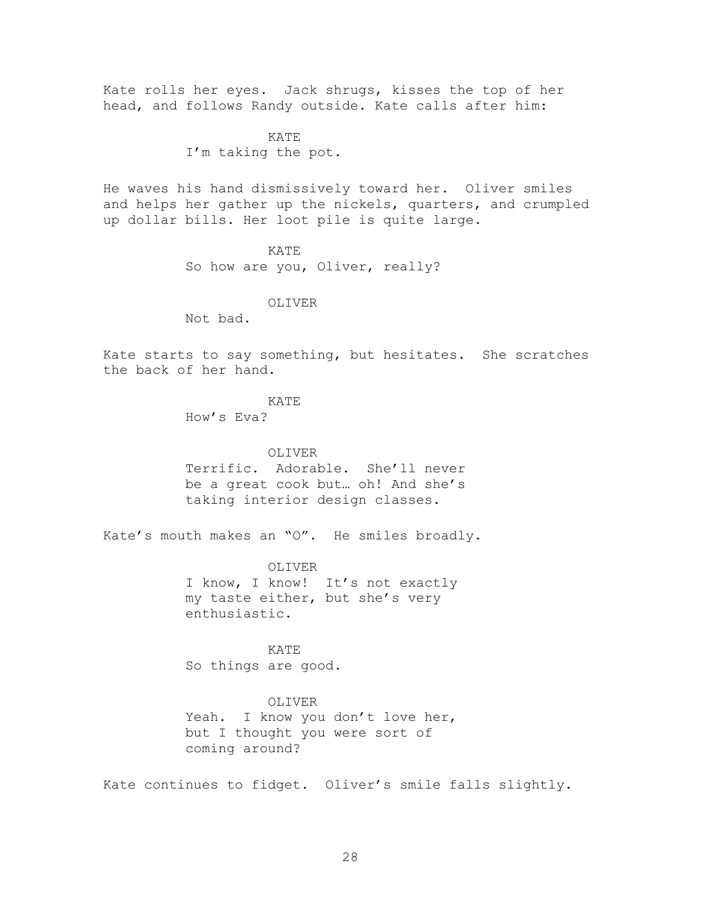Kate rolls her eyes. Jack shrugs, kisses the top of her head, and follows Randy outside. Kate calls after him:

> KATE I'm taking the pot.

He waves his hand dismissively toward her. Oliver smiles and helps her gather up the nickels, quarters, and crumpled up dollar bills. Her loot pile is quite large.

#### KATE

So how are you, Oliver, really?

#### OLIVER

Not bad.

Kate starts to say something, but hesitates. She scratches the back of her hand.

#### KATE

How's Eva?

#### OLIVER

Terrific. Adorable. She'll never be a great cook but… oh! And she's taking interior design classes.

Kate's mouth makes an "O". He smiles broadly.

OLIVER I know, I know! It's not exactly my taste either, but she's very enthusiastic.

KATE So things are good.

#### OLIVER

Yeah. I know you don't love her, but I thought you were sort of coming around?

Kate continues to fidget. Oliver's smile falls slightly.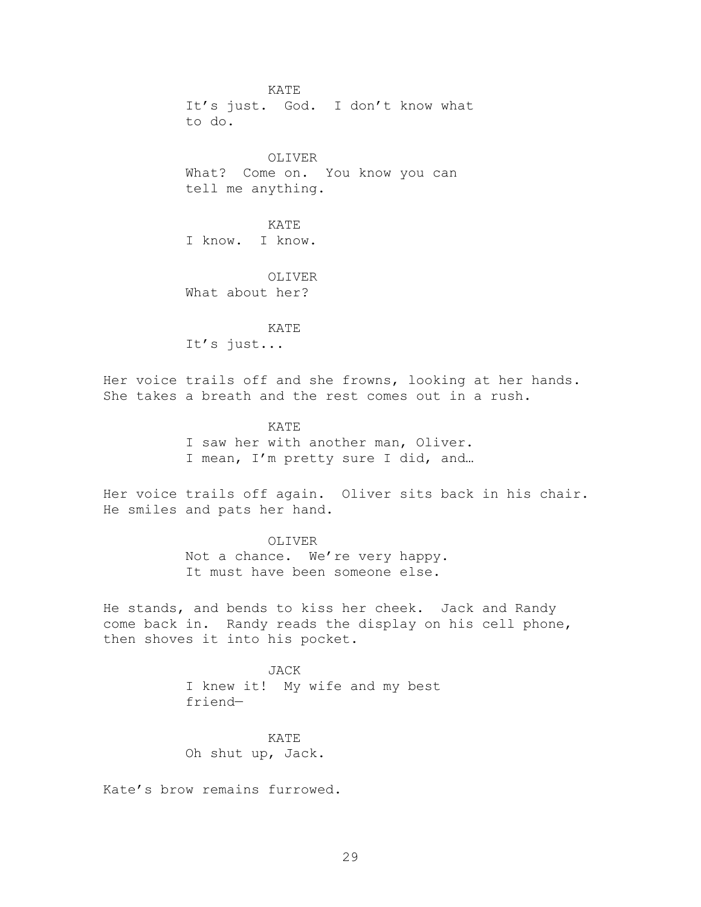KATE It's just. God. I don't know what to do.

OLIVER What? Come on. You know you can tell me anything.

KATE I know. I know.

OLIVER What about her?

KATE It's just...

Her voice trails off and she frowns, looking at her hands. She takes a breath and the rest comes out in a rush.

> KATE I saw her with another man, Oliver. I mean, I'm pretty sure I did, and…

Her voice trails off again. Oliver sits back in his chair. He smiles and pats her hand.

> OLIVER Not a chance. We're very happy. It must have been someone else.

He stands, and bends to kiss her cheek. Jack and Randy come back in. Randy reads the display on his cell phone, then shoves it into his pocket.

> JACK I knew it! My wife and my best friend—

KATE Oh shut up, Jack.

Kate's brow remains furrowed.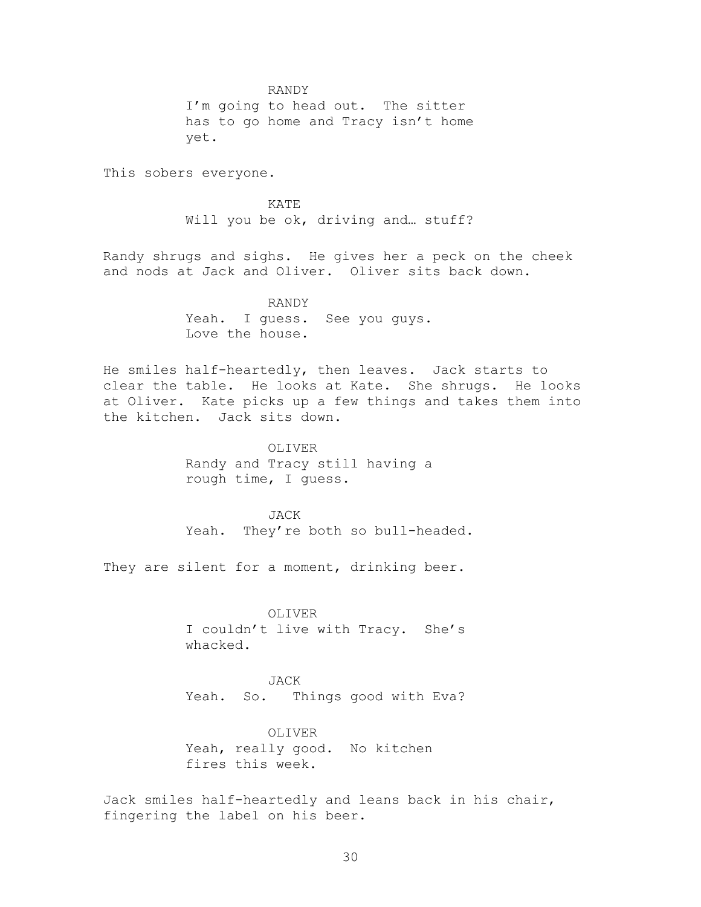RANDY

I'm going to head out. The sitter has to go home and Tracy isn't home yet.

This sobers everyone.

KATE Will you be ok, driving and... stuff?

Randy shrugs and sighs. He gives her a peck on the cheek and nods at Jack and Oliver. Oliver sits back down.

> RANDY Yeah. I guess. See you guys. Love the house.

He smiles half-heartedly, then leaves. Jack starts to clear the table. He looks at Kate. She shrugs. He looks at Oliver. Kate picks up a few things and takes them into the kitchen. Jack sits down.

> OLIVER Randy and Tracy still having a rough time, I guess.

JACK Yeah. They're both so bull-headed.

They are silent for a moment, drinking beer.

OLIVER I couldn't live with Tracy. She's whacked.

JACK Yeah. So. Things good with Eva?

OLIVER Yeah, really good. No kitchen fires this week.

Jack smiles half-heartedly and leans back in his chair, fingering the label on his beer.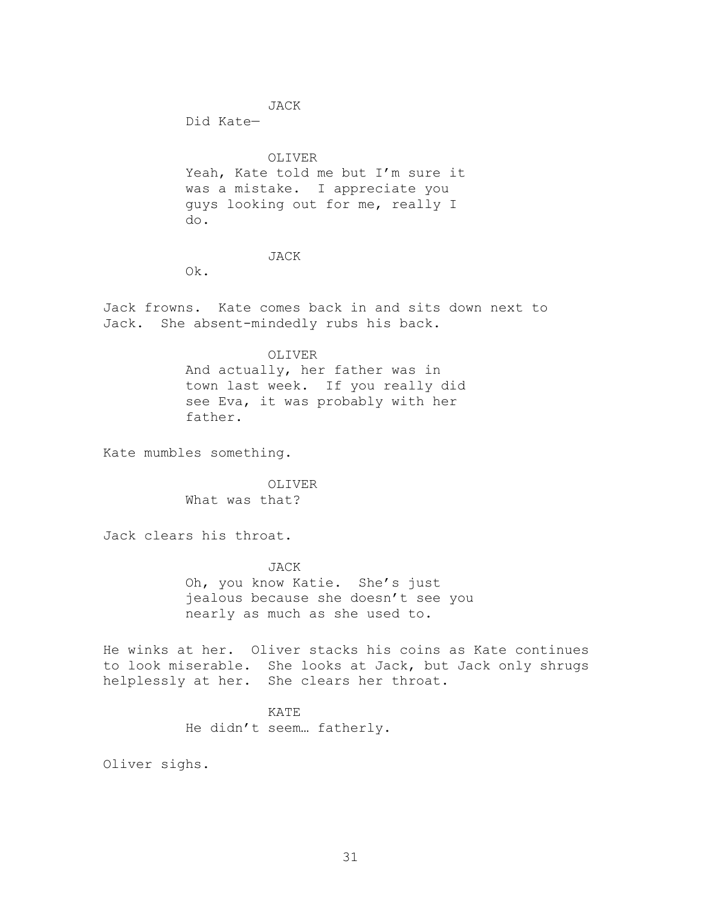JACK

Did Kate—

#### OLIVER

Yeah, Kate told me but I'm sure it was a mistake. I appreciate you guys looking out for me, really I do.

#### JACK

Ok.

Jack frowns. Kate comes back in and sits down next to Jack. She absent-mindedly rubs his back.

#### OLIVER

And actually, her father was in town last week. If you really did see Eva, it was probably with her father.

Kate mumbles something.

OLIVER What was that?

Jack clears his throat.

JACK Oh, you know Katie. She's just jealous because she doesn't see you nearly as much as she used to.

He winks at her. Oliver stacks his coins as Kate continues to look miserable. She looks at Jack, but Jack only shrugs helplessly at her. She clears her throat.

> KATE He didn't seem… fatherly.

Oliver sighs.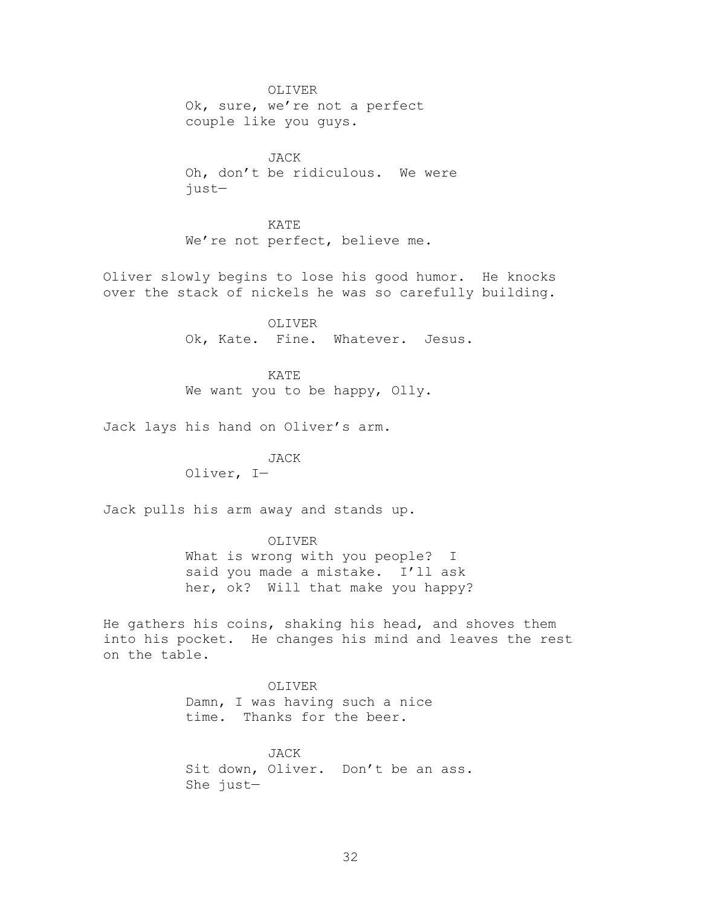OLIVER Ok, sure, we're not a perfect couple like you guys.

JACK Oh, don't be ridiculous. We were just—

KATE We're not perfect, believe me.

Oliver slowly begins to lose his good humor. He knocks over the stack of nickels he was so carefully building.

> OLIVER Ok, Kate. Fine. Whatever. Jesus.

KATE We want you to be happy, Olly.

Jack lays his hand on Oliver's arm.

JACK Oliver, I—

Jack pulls his arm away and stands up.

OLIVER What is wrong with you people? I said you made a mistake. I'll ask her, ok? Will that make you happy?

He gathers his coins, shaking his head, and shoves them into his pocket. He changes his mind and leaves the rest on the table.

> OLIVER Damn, I was having such a nice time. Thanks for the beer.

JACK Sit down, Oliver. Don't be an ass. She just—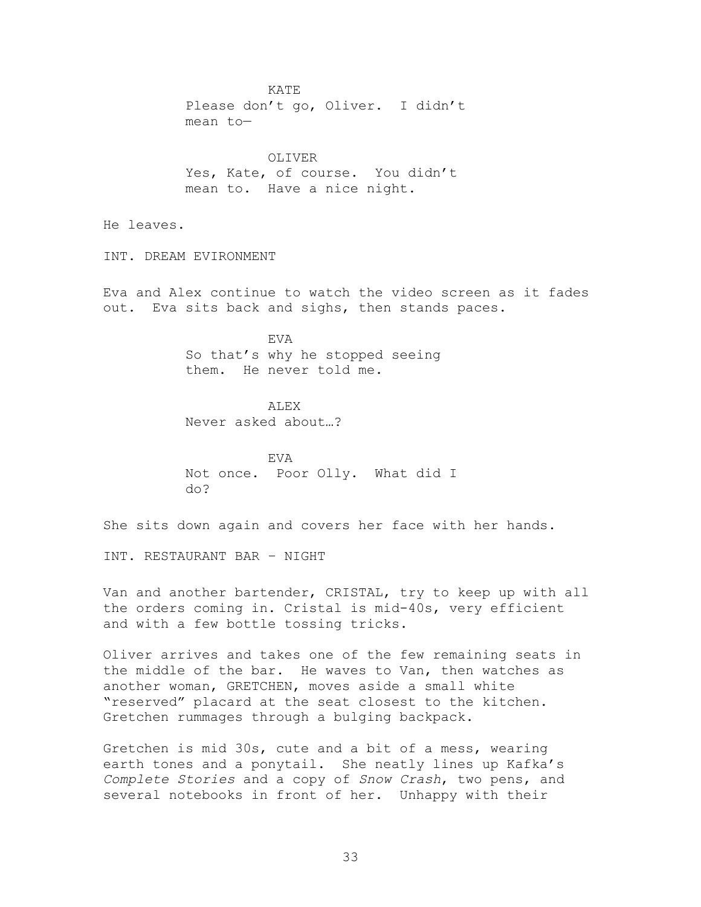KATE Please don't go, Oliver. I didn't mean to— OLIVER Yes, Kate, of course. You didn't mean to. Have a nice night. He leaves. INT. DREAM EVIRONMENT Eva and Alex continue to watch the video screen as it fades out. Eva sits back and sighs, then stands paces. EVA So that's why he stopped seeing them. He never told me. ALEX Never asked about…? EVA Not once. Poor Olly. What did I do? She sits down again and covers her face with her hands. INT. RESTAURANT BAR – NIGHT Van and another bartender, CRISTAL, try to keep up with all

the orders coming in. Cristal is mid-40s, very efficient and with a few bottle tossing tricks.

Oliver arrives and takes one of the few remaining seats in the middle of the bar. He waves to Van, then watches as another woman, GRETCHEN, moves aside a small white "reserved" placard at the seat closest to the kitchen. Gretchen rummages through a bulging backpack.

Gretchen is mid 30s, cute and a bit of a mess, wearing earth tones and a ponytail. She neatly lines up Kafka's *Complete Stories* and a copy of *Snow Crash*, two pens, and several notebooks in front of her. Unhappy with their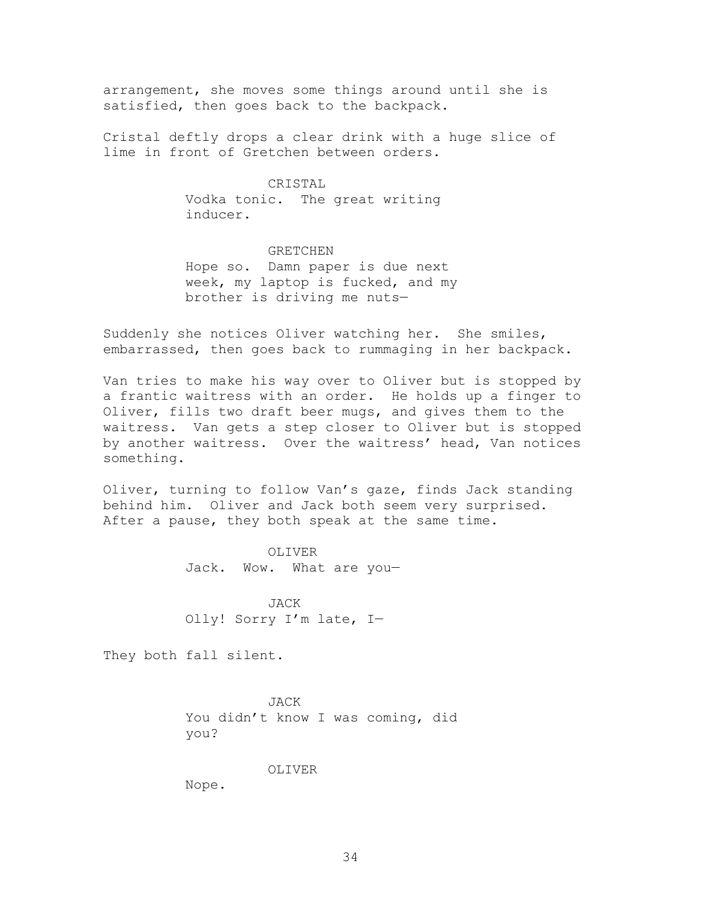arrangement, she moves some things around until she is satisfied, then goes back to the backpack.

Cristal deftly drops a clear drink with a huge slice of lime in front of Gretchen between orders.

### CRISTAL

Vodka tonic. The great writing inducer.

GRETCHEN Hope so. Damn paper is due next week, my laptop is fucked, and my brother is driving me nuts—

Suddenly she notices Oliver watching her. She smiles, embarrassed, then goes back to rummaging in her backpack.

Van tries to make his way over to Oliver but is stopped by a frantic waitress with an order. He holds up a finger to Oliver, fills two draft beer mugs, and gives them to the waitress. Van gets a step closer to Oliver but is stopped by another waitress. Over the waitress' head, Van notices something.

Oliver, turning to follow Van's gaze, finds Jack standing behind him. Oliver and Jack both seem very surprised. After a pause, they both speak at the same time.

> OLIVER Jack. Wow. What are you—

JACK Olly! Sorry I'm late, I—

They both fall silent.

JACK You didn't know I was coming, did you?

#### OLIVER

Nope.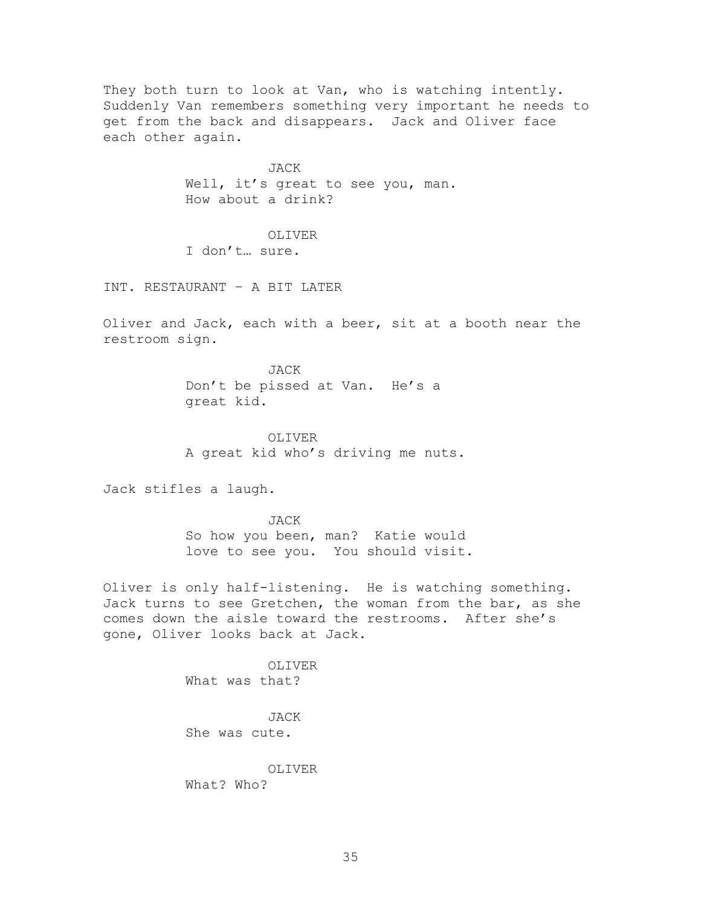They both turn to look at Van, who is watching intently. Suddenly Van remembers something very important he needs to get from the back and disappears. Jack and Oliver face each other again.

> JACK Well, it's great to see you, man. How about a drink?

OLIVER I don't… sure.

INT. RESTAURANT – A BIT LATER

Oliver and Jack, each with a beer, sit at a booth near the restroom sign.

> JACK Don't be pissed at Van. He's a great kid.

OLIVER A great kid who's driving me nuts.

Jack stifles a laugh.

JACK So how you been, man? Katie would love to see you. You should visit.

Oliver is only half-listening. He is watching something. Jack turns to see Gretchen, the woman from the bar, as she comes down the aisle toward the restrooms. After she's gone, Oliver looks back at Jack.

> OLIVER What was that?

JACK She was cute.

OLIVER What? Who?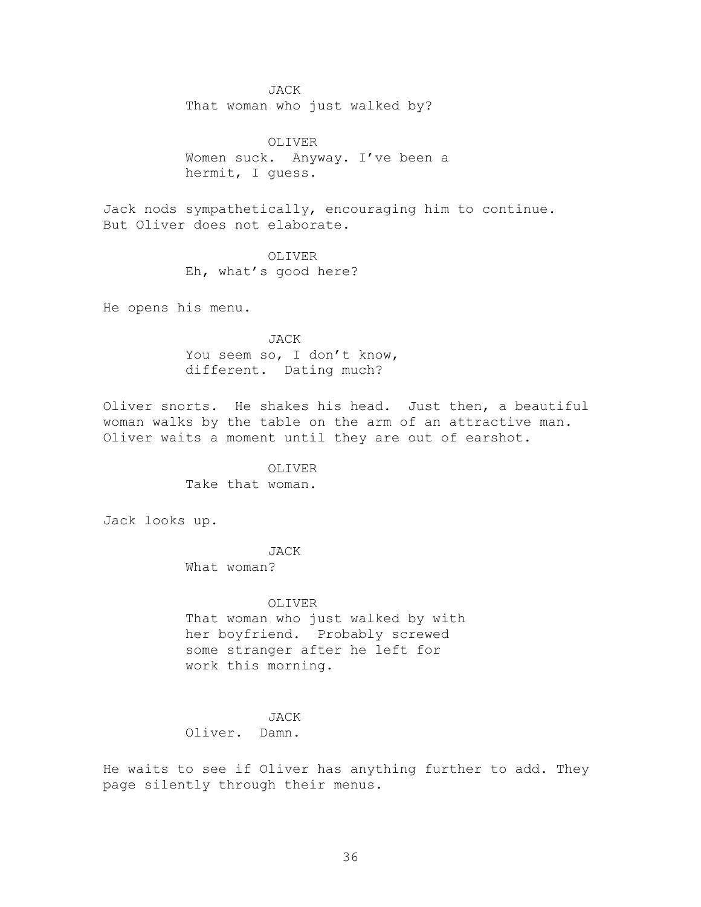#### JACK

That woman who just walked by?

OLIVER Women suck. Anyway. I've been a hermit, I guess.

Jack nods sympathetically, encouraging him to continue. But Oliver does not elaborate.

> OLIVER Eh, what's good here?

He opens his menu.

JACK You seem so, I don't know, different. Dating much?

Oliver snorts. He shakes his head. Just then, a beautiful woman walks by the table on the arm of an attractive man. Oliver waits a moment until they are out of earshot.

> OLIVER Take that woman.

Jack looks up.

JACK What woman?

OLIVER That woman who just walked by with her boyfriend. Probably screwed some stranger after he left for work this morning.

# JACK

Oliver. Damn.

He waits to see if Oliver has anything further to add. They page silently through their menus.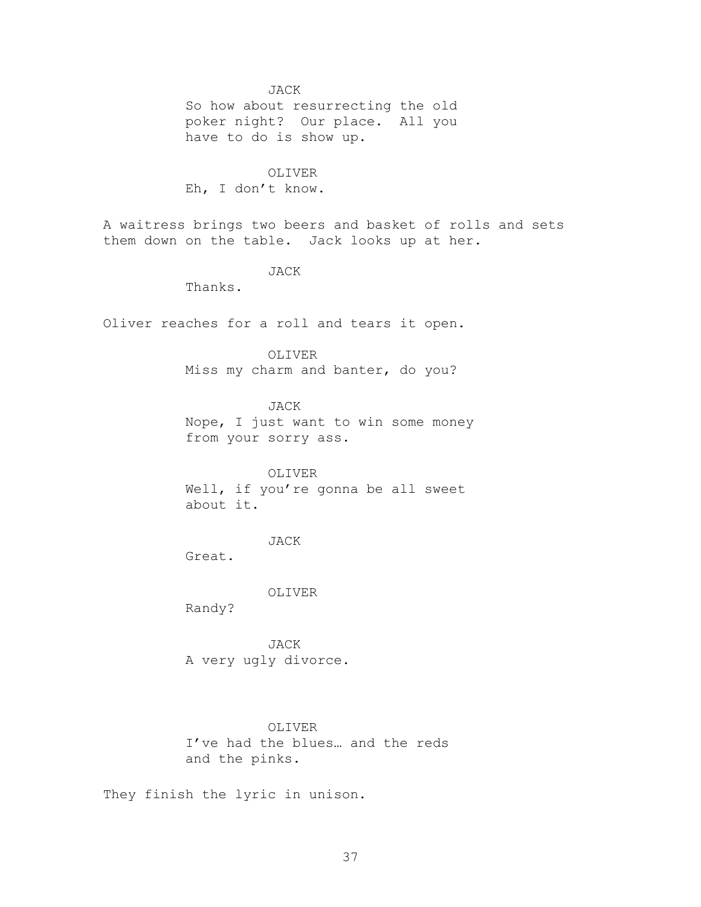JACK

So how about resurrecting the old poker night? Our place. All you have to do is show up.

OLIVER Eh, I don't know.

A waitress brings two beers and basket of rolls and sets them down on the table. Jack looks up at her.

JACK

Thanks.

Oliver reaches for a roll and tears it open.

OLIVER

Miss my charm and banter, do you?

JACK

Nope, I just want to win some money from your sorry ass.

OLIVER Well, if you're gonna be all sweet about it.

JACK

Great.

OLIVER

Randy?

JACK A very ugly divorce.

OLIVER

I've had the blues… and the reds and the pinks.

They finish the lyric in unison.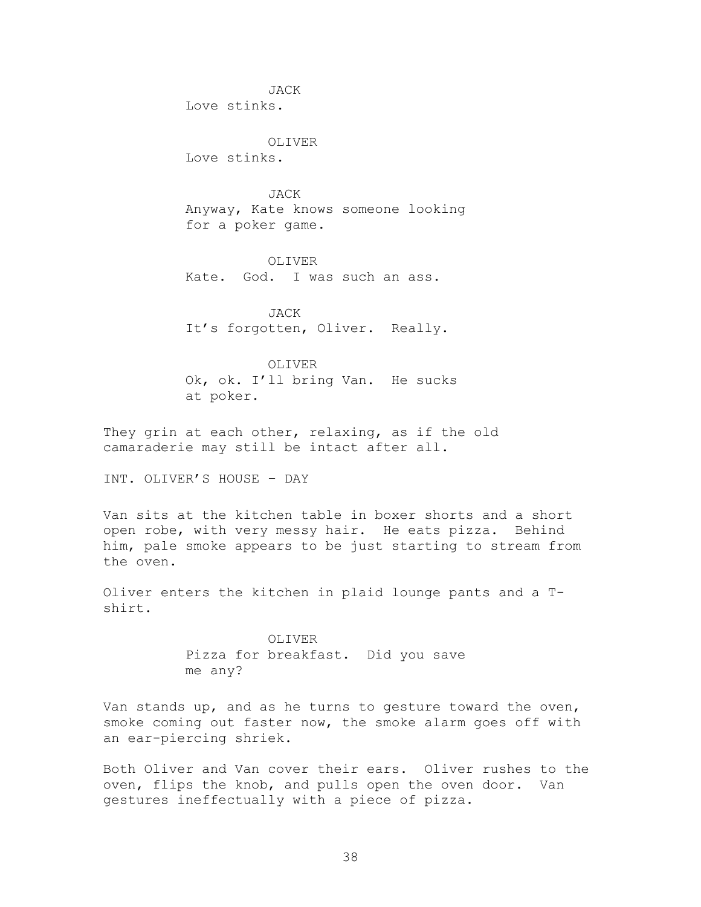JACK Love stinks.

OLIVER Love stinks.

JACK Anyway, Kate knows someone looking for a poker game.

OLIVER Kate. God. I was such an ass.

JACK It's forgotten, Oliver. Really.

OLIVER Ok, ok. I'll bring Van. He sucks at poker.

They grin at each other, relaxing, as if the old camaraderie may still be intact after all.

INT. OLIVER'S HOUSE – DAY

Van sits at the kitchen table in boxer shorts and a short open robe, with very messy hair. He eats pizza. Behind him, pale smoke appears to be just starting to stream from the oven.

Oliver enters the kitchen in plaid lounge pants and a Tshirt.

> OLIVER Pizza for breakfast. Did you save me any?

Van stands up, and as he turns to gesture toward the oven, smoke coming out faster now, the smoke alarm goes off with an ear-piercing shriek.

Both Oliver and Van cover their ears. Oliver rushes to the oven, flips the knob, and pulls open the oven door. Van gestures ineffectually with a piece of pizza.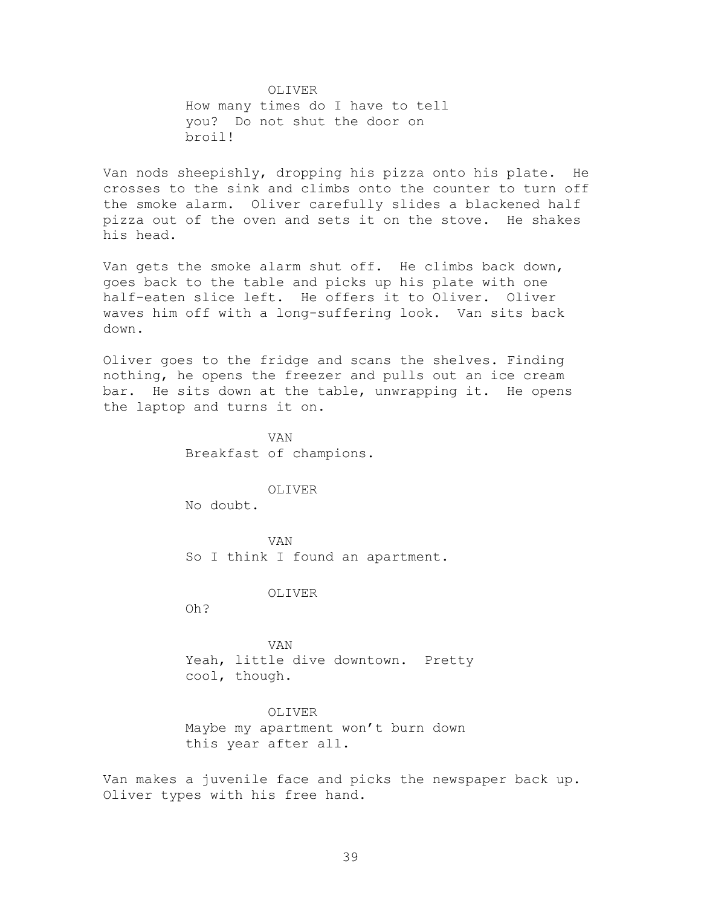OLIVER How many times do I have to tell you? Do not shut the door on broil!

Van nods sheepishly, dropping his pizza onto his plate. He crosses to the sink and climbs onto the counter to turn off the smoke alarm. Oliver carefully slides a blackened half pizza out of the oven and sets it on the stove. He shakes his head.

Van gets the smoke alarm shut off. He climbs back down, goes back to the table and picks up his plate with one half-eaten slice left. He offers it to Oliver. Oliver waves him off with a long-suffering look. Van sits back down.

Oliver goes to the fridge and scans the shelves. Finding nothing, he opens the freezer and pulls out an ice cream bar. He sits down at the table, unwrapping it. He opens the laptop and turns it on.

> VAN Breakfast of champions.

> > OLIVER

No doubt.

VAN So I think I found an apartment.

#### OLIVER

Oh?

VAN Yeah, little dive downtown. Pretty cool, though.

OLIVER Maybe my apartment won't burn down this year after all.

Van makes a juvenile face and picks the newspaper back up. Oliver types with his free hand.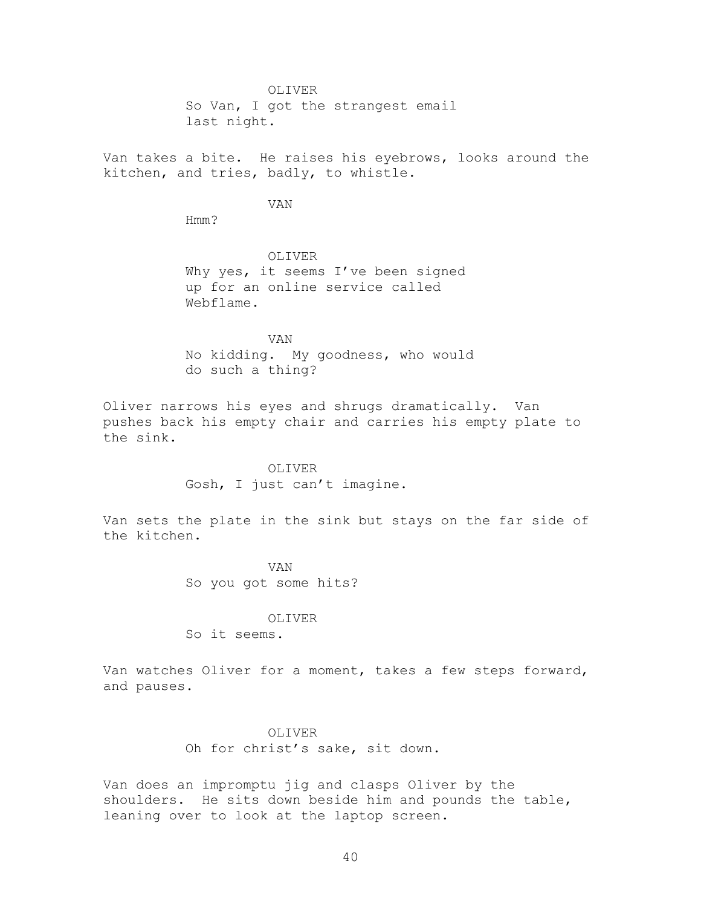OLIVER So Van, I got the strangest email last night.

Van takes a bite. He raises his eyebrows, looks around the kitchen, and tries, badly, to whistle.

VAN

Hmm?

OLIVER Why yes, it seems I've been signed up for an online service called Webflame.

VAN No kidding. My goodness, who would do such a thing?

Oliver narrows his eyes and shrugs dramatically. Van pushes back his empty chair and carries his empty plate to the sink.

> OLIVER Gosh, I just can't imagine.

Van sets the plate in the sink but stays on the far side of the kitchen.

> VAN So you got some hits?

> > OLIVER

So it seems.

Van watches Oliver for a moment, takes a few steps forward, and pauses.

> OLIVER Oh for christ's sake, sit down.

Van does an impromptu jig and clasps Oliver by the shoulders. He sits down beside him and pounds the table, leaning over to look at the laptop screen.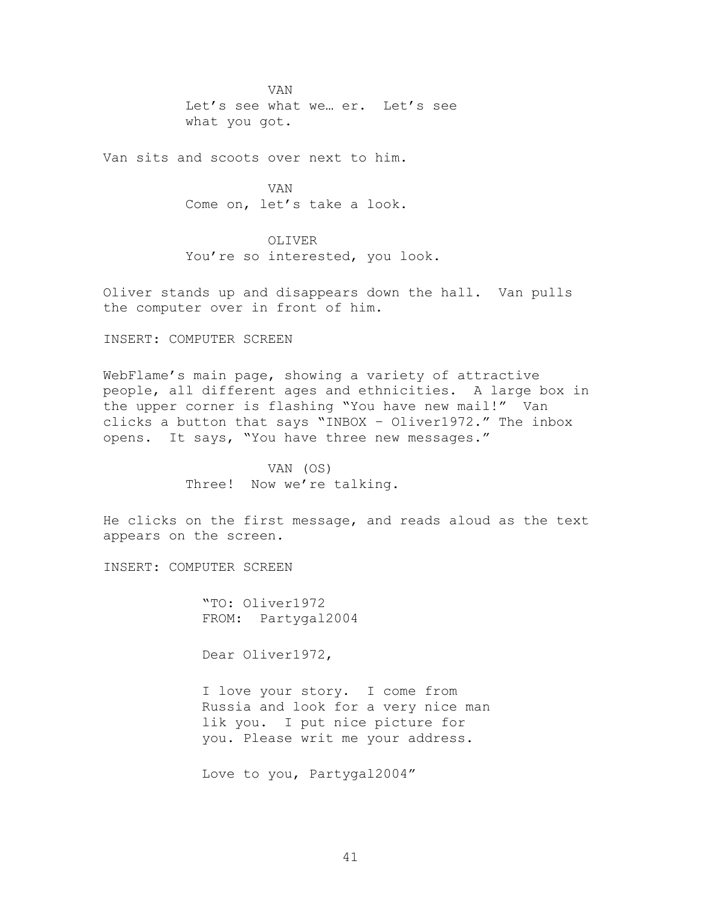VAN Let's see what we… er. Let's see what you got.

Van sits and scoots over next to him.

VAN Come on, let's take a look.

OLIVER You're so interested, you look.

Oliver stands up and disappears down the hall. Van pulls the computer over in front of him.

INSERT: COMPUTER SCREEN

WebFlame's main page, showing a variety of attractive people, all different ages and ethnicities. A large box in the upper corner is flashing "You have new mail!" Van clicks a button that says "INBOX - Oliver1972." The inbox opens. It says, "You have three new messages."

> VAN (OS) Three! Now we're talking.

He clicks on the first message, and reads aloud as the text appears on the screen.

INSERT: COMPUTER SCREEN

―TO: Oliver1972 FROM: Partygal2004

Dear Oliver1972,

I love your story. I come from Russia and look for a very nice man lik you. I put nice picture for you. Please writ me your address.

Love to you, Partygal2004"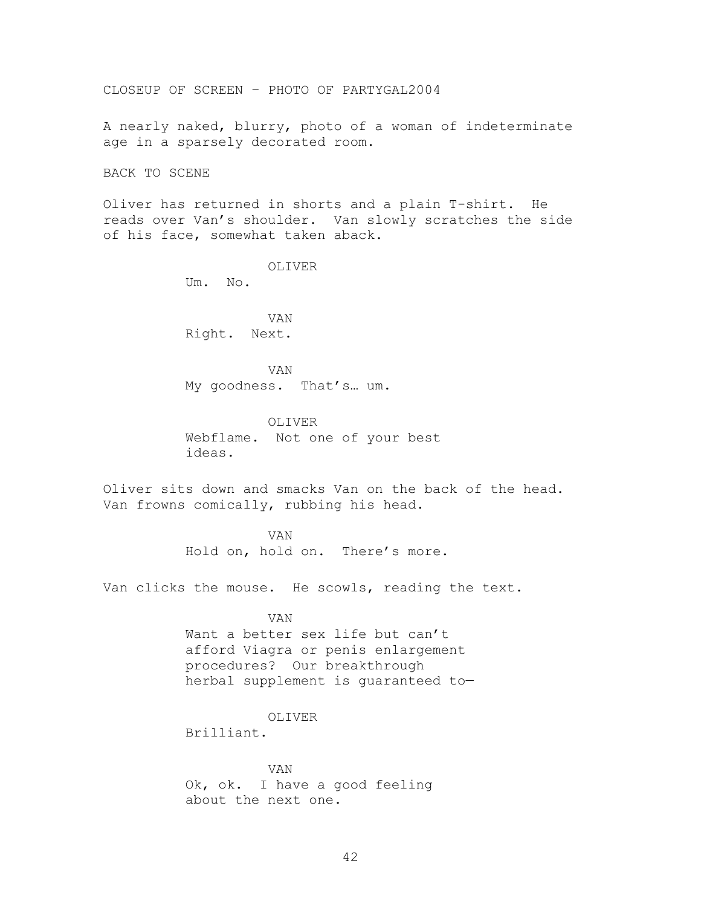CLOSEUP OF SCREEN – PHOTO OF PARTYGAL2004

A nearly naked, blurry, photo of a woman of indeterminate age in a sparsely decorated room.

BACK TO SCENE

Oliver has returned in shorts and a plain T-shirt. He reads over Van's shoulder. Van slowly scratches the side of his face, somewhat taken aback.

> OLIVER Um. No.

VAN Right. Next.

VAN My goodness. That's… um.

OLIVER Webflame. Not one of your best ideas.

Oliver sits down and smacks Van on the back of the head. Van frowns comically, rubbing his head.

> VAN Hold on, hold on. There's more.

Van clicks the mouse. He scowls, reading the text.

VAN

Want a better sex life but can't afford Viagra or penis enlargement procedures? Our breakthrough herbal supplement is guaranteed to—

# OLIVER

Brilliant.

VAN Ok, ok. I have a good feeling about the next one.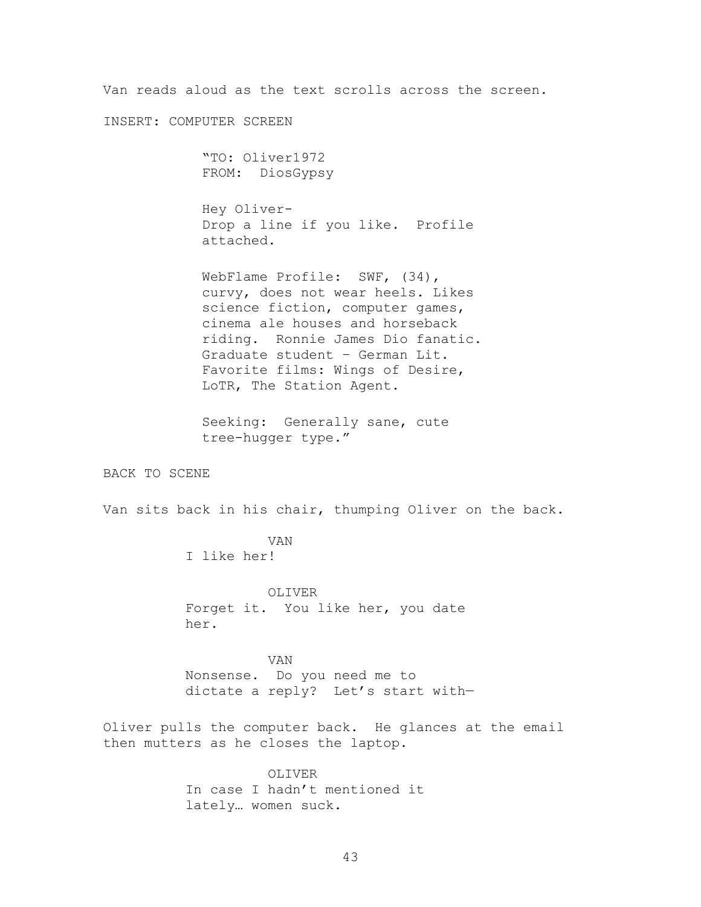Van reads aloud as the text scrolls across the screen.

INSERT: COMPUTER SCREEN

―TO: Oliver1972 FROM: DiosGypsy

Hey Oliver-Drop a line if you like. Profile attached.

WebFlame Profile: SWF, (34), curvy, does not wear heels. Likes science fiction, computer games, cinema ale houses and horseback riding. Ronnie James Dio fanatic. Graduate student – German Lit. Favorite films: Wings of Desire, LoTR, The Station Agent.

Seeking: Generally sane, cute tree-hugger type."

BACK TO SCENE

Van sits back in his chair, thumping Oliver on the back.

VAN I like her!

OLIVER Forget it. You like her, you date her.

VAN

Nonsense. Do you need me to dictate a reply? Let's start with—

Oliver pulls the computer back. He glances at the email then mutters as he closes the laptop.

> OLIVER In case I hadn't mentioned it lately… women suck.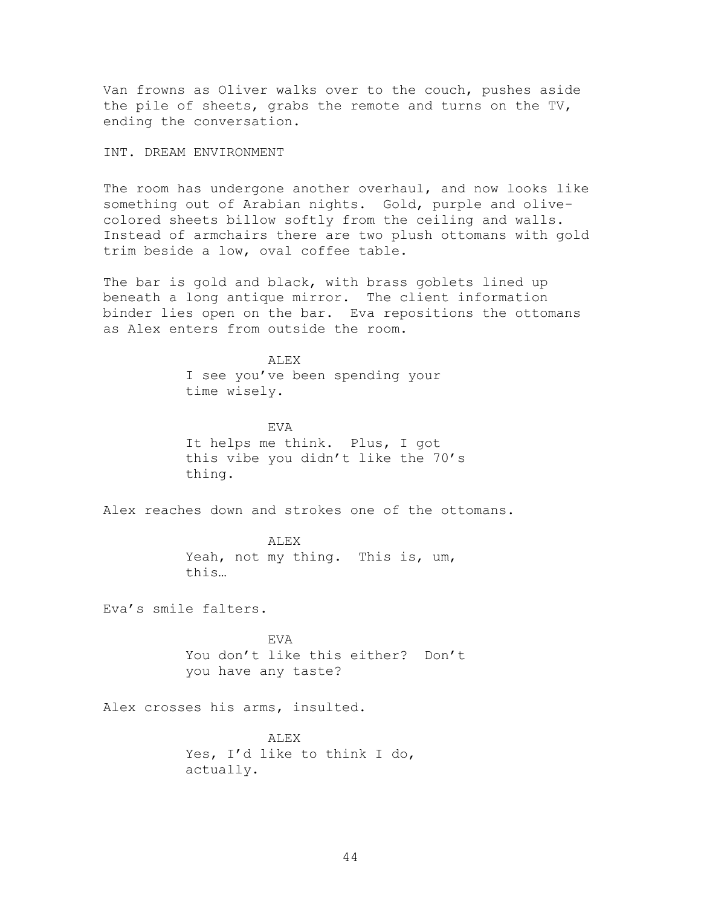Van frowns as Oliver walks over to the couch, pushes aside the pile of sheets, grabs the remote and turns on the TV, ending the conversation.

INT. DREAM ENVIRONMENT

The room has undergone another overhaul, and now looks like something out of Arabian nights. Gold, purple and olivecolored sheets billow softly from the ceiling and walls. Instead of armchairs there are two plush ottomans with gold trim beside a low, oval coffee table.

The bar is gold and black, with brass goblets lined up beneath a long antique mirror. The client information binder lies open on the bar. Eva repositions the ottomans as Alex enters from outside the room.

> ALEX I see you've been spending your time wisely.

EVA It helps me think. Plus, I got this vibe you didn't like the 70's thing.

Alex reaches down and strokes one of the ottomans.

ALEX Yeah, not my thing. This is, um, this…

Eva's smile falters.

EVA You don't like this either? Don't you have any taste?

Alex crosses his arms, insulted.

ALEX Yes, I'd like to think I do, actually.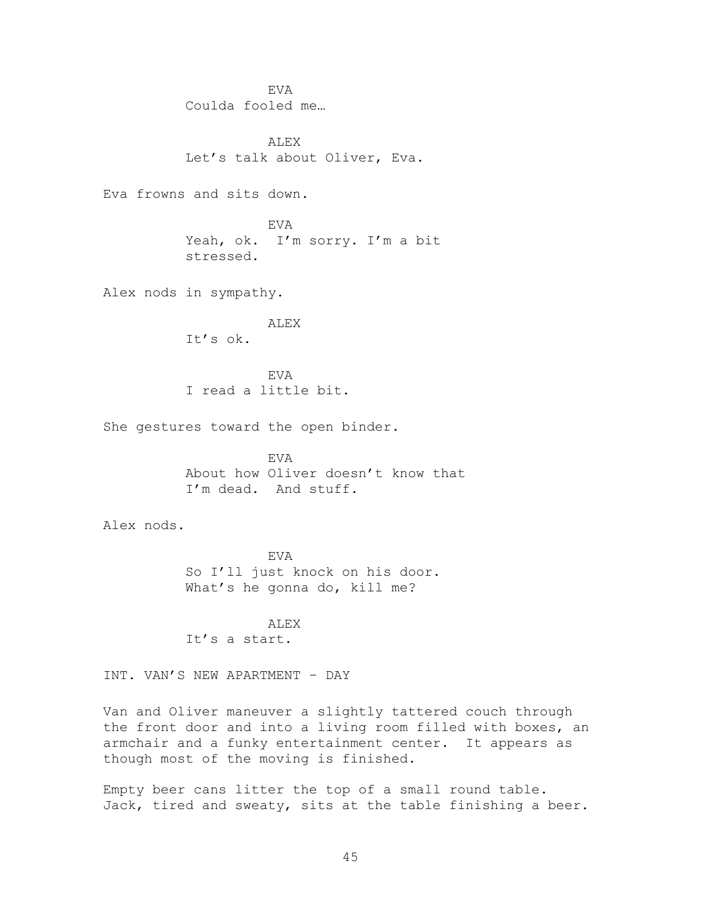EVA Coulda fooled me…

**ALEX** Let's talk about Oliver, Eva.

Eva frowns and sits down.

EVA Yeah, ok. I'm sorry. I'm a bit stressed.

Alex nods in sympathy.

ALEX It's ok.

EVA I read a little bit.

She gestures toward the open binder.

EVA About how Oliver doesn't know that I'm dead. And stuff.

Alex nods.

EVA So I'll just knock on his door. What's he gonna do, kill me?

ALEX It's a start.

INT. VAN'S NEW APARTMENT – DAY

Van and Oliver maneuver a slightly tattered couch through the front door and into a living room filled with boxes, an armchair and a funky entertainment center. It appears as though most of the moving is finished.

Empty beer cans litter the top of a small round table. Jack, tired and sweaty, sits at the table finishing a beer.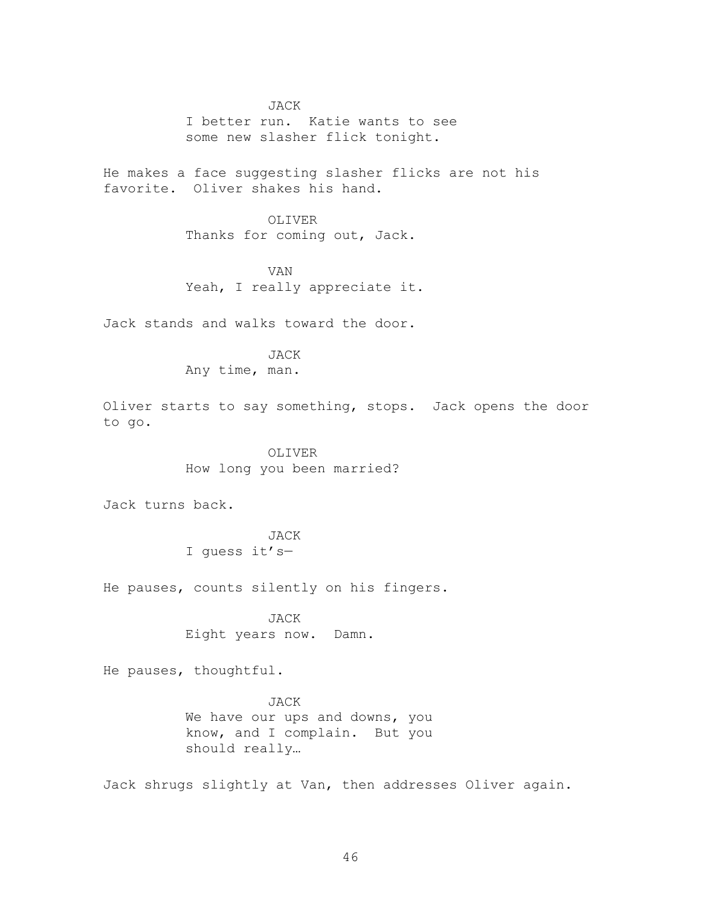JACK I better run. Katie wants to see some new slasher flick tonight.

He makes a face suggesting slasher flicks are not his favorite. Oliver shakes his hand.

# OLIVER

Thanks for coming out, Jack.

VAN Yeah, I really appreciate it.

Jack stands and walks toward the door.

JACK

Any time, man.

Oliver starts to say something, stops. Jack opens the door to go.

> OLIVER How long you been married?

Jack turns back.

# JACK I guess it's—

He pauses, counts silently on his fingers.

JACK Eight years now. Damn.

He pauses, thoughtful.

JACK We have our ups and downs, you know, and I complain. But you should really…

Jack shrugs slightly at Van, then addresses Oliver again.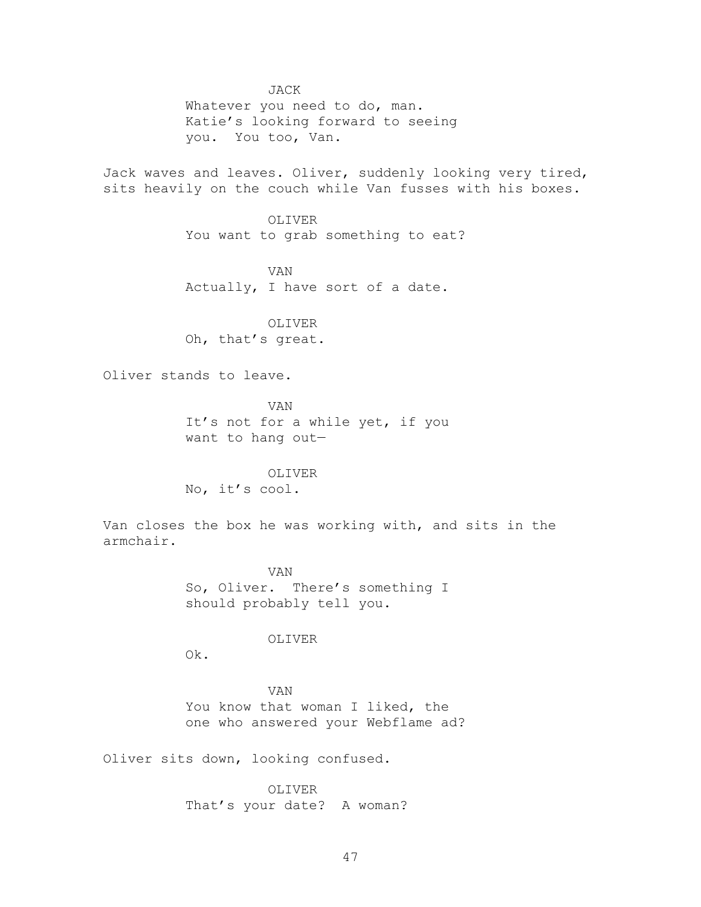JACK

Whatever you need to do, man. Katie's looking forward to seeing you. You too, Van.

Jack waves and leaves. Oliver, suddenly looking very tired, sits heavily on the couch while Van fusses with his boxes.

> OLIVER You want to grab something to eat?

VAN Actually, I have sort of a date.

OLIVER Oh, that's great.

Oliver stands to leave.

VAN It's not for a while yet, if you want to hang out—

OLIVER No, it's cool.

Van closes the box he was working with, and sits in the armchair.

> VAN So, Oliver. There's something I should probably tell you.

# OLIVER

Ok.

VAN You know that woman I liked, the one who answered your Webflame ad?

Oliver sits down, looking confused.

OLIVER That's your date? A woman?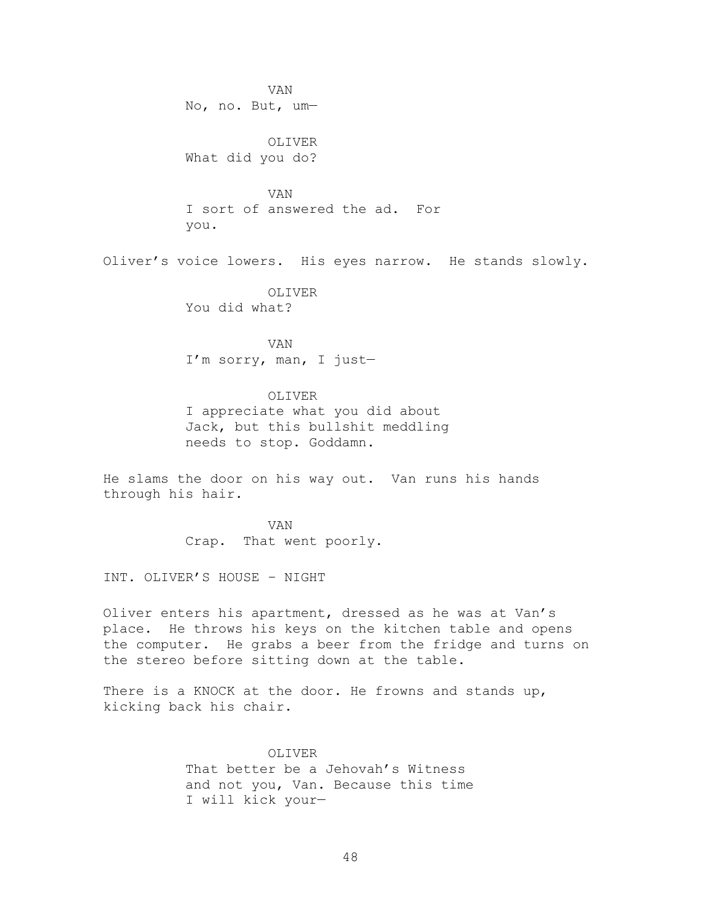VAN No, no. But, um—

OLIVER What did you do?

VAN I sort of answered the ad. For you.

Oliver's voice lowers. His eyes narrow. He stands slowly.

OLIVER You did what?

VAN I'm sorry, man, I just—

OLIVER I appreciate what you did about Jack, but this bullshit meddling needs to stop. Goddamn.

He slams the door on his way out. Van runs his hands through his hair.

> VAN Crap. That went poorly.

INT. OLIVER'S HOUSE – NIGHT

Oliver enters his apartment, dressed as he was at Van's place. He throws his keys on the kitchen table and opens the computer. He grabs a beer from the fridge and turns on the stereo before sitting down at the table.

There is a KNOCK at the door. He frowns and stands up, kicking back his chair.

> OLIVER That better be a Jehovah's Witness and not you, Van. Because this time I will kick your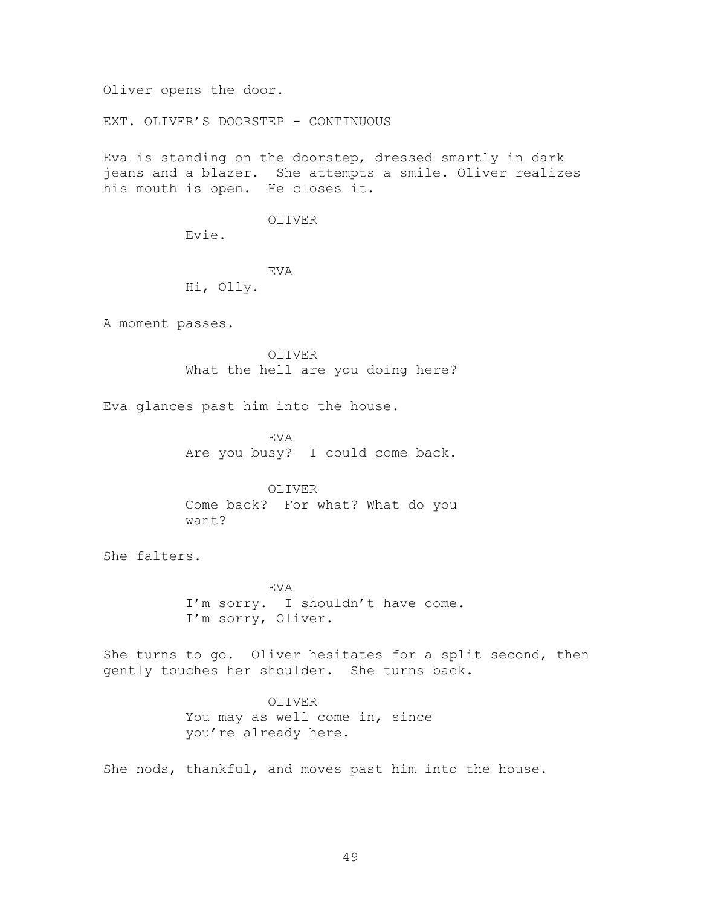Oliver opens the door.

EXT. OLIVER'S DOORSTEP - CONTINUOUS

Eva is standing on the doorstep, dressed smartly in dark jeans and a blazer. She attempts a smile. Oliver realizes his mouth is open. He closes it.

### OLIVER

Evie.

# EVA

Hi, Olly.

A moment passes.

OLIVER What the hell are you doing here?

Eva glances past him into the house.

EVA Are you busy? I could come back.

OLIVER Come back? For what? What do you want?

She falters.

EVA I'm sorry. I shouldn't have come. I'm sorry, Oliver.

She turns to go. Oliver hesitates for a split second, then gently touches her shoulder. She turns back.

> OLIVER You may as well come in, since you're already here.

She nods, thankful, and moves past him into the house.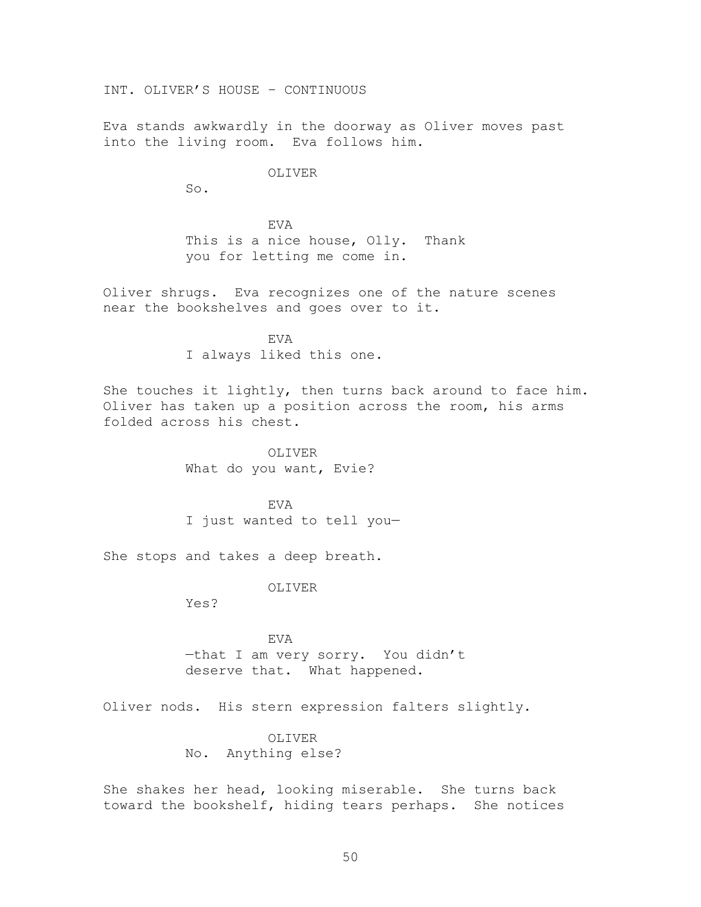INT. OLIVER'S HOUSE – CONTINUOUS

Eva stands awkwardly in the doorway as Oliver moves past into the living room. Eva follows him.

### OLIVER

So.

EVA This is a nice house, Olly. Thank you for letting me come in.

Oliver shrugs. Eva recognizes one of the nature scenes near the bookshelves and goes over to it.

> EVA I always liked this one.

She touches it lightly, then turns back around to face him. Oliver has taken up a position across the room, his arms folded across his chest.

> OLIVER What do you want, Evie?

EVA I just wanted to tell you—

She stops and takes a deep breath.

OLIVER

Yes?

EVA —that I am very sorry. You didn't deserve that. What happened.

Oliver nods. His stern expression falters slightly.

OLIVER No. Anything else?

She shakes her head, looking miserable. She turns back toward the bookshelf, hiding tears perhaps. She notices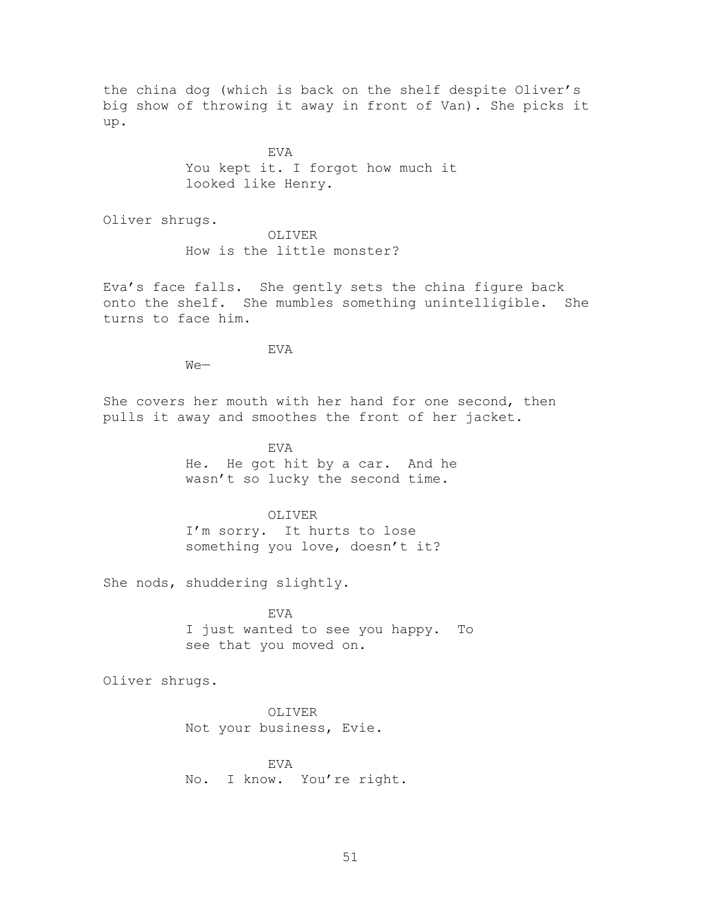the china dog (which is back on the shelf despite Oliver's big show of throwing it away in front of Van). She picks it up.

> EVA You kept it. I forgot how much it looked like Henry.

Oliver shrugs.

OLIVER How is the little monster?

Eva's face falls. She gently sets the china figure back onto the shelf. She mumbles something unintelligible. She turns to face him.

EVA

We—

She covers her mouth with her hand for one second, then pulls it away and smoothes the front of her jacket.

> EVA He. He got hit by a car. And he wasn't so lucky the second time.

OLIVER I'm sorry. It hurts to lose

something you love, doesn't it?

She nods, shuddering slightly.

**EVA** I just wanted to see you happy. To see that you moved on.

Oliver shrugs.

OLIVER Not your business, Evie.

EVA No. I know. You're right.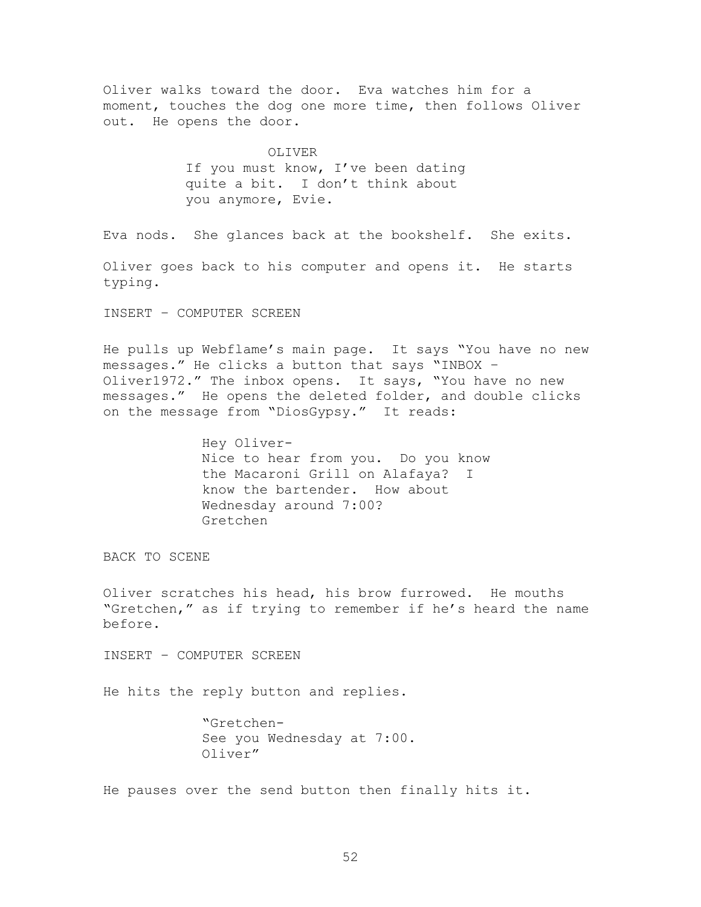Oliver walks toward the door. Eva watches him for a moment, touches the dog one more time, then follows Oliver out. He opens the door.

> OLIVER If you must know, I've been dating quite a bit. I don't think about you anymore, Evie.

Eva nods. She glances back at the bookshelf. She exits.

Oliver goes back to his computer and opens it. He starts typing.

INSERT – COMPUTER SCREEN

He pulls up Webflame's main page. It says "You have no new messages." He clicks a button that says "INBOX -Oliver1972." The inbox opens. It says, "You have no new messages." He opens the deleted folder, and double clicks on the message from "DiosGypsy." It reads:

> Hey Oliver-Nice to hear from you. Do you know the Macaroni Grill on Alafaya? I know the bartender. How about Wednesday around 7:00? Gretchen

BACK TO SCENE

Oliver scratches his head, his brow furrowed. He mouths "Gretchen," as if trying to remember if he's heard the name before.

INSERT – COMPUTER SCREEN

He hits the reply button and replies.

―Gretchen-See you Wednesday at 7:00. Oliver"

He pauses over the send button then finally hits it.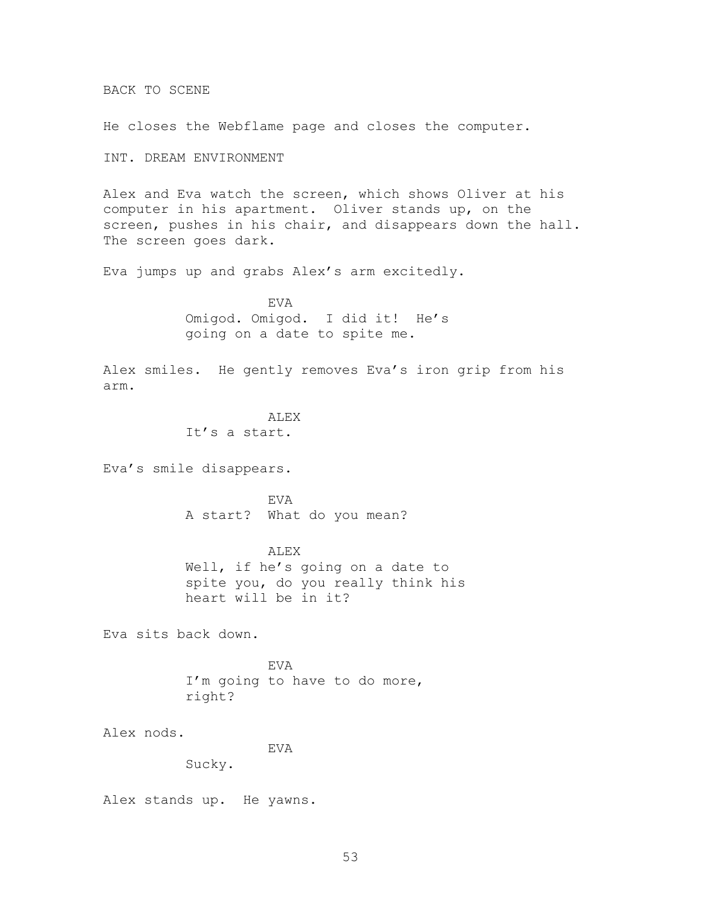BACK TO SCENE

He closes the Webflame page and closes the computer.

INT. DREAM ENVIRONMENT

Alex and Eva watch the screen, which shows Oliver at his computer in his apartment. Oliver stands up, on the screen, pushes in his chair, and disappears down the hall. The screen goes dark.

Eva jumps up and grabs Alex's arm excitedly.

EVA Omigod. Omigod. I did it! He's going on a date to spite me.

Alex smiles. He gently removes Eva's iron grip from his arm.

> ALEX It's a start.

Eva's smile disappears.

EVA A start? What do you mean?

ALEX Well, if he's going on a date to spite you, do you really think his heart will be in it?

Eva sits back down.

EVA I'm going to have to do more, right?

Alex nods.

EVA

Sucky.

Alex stands up. He yawns.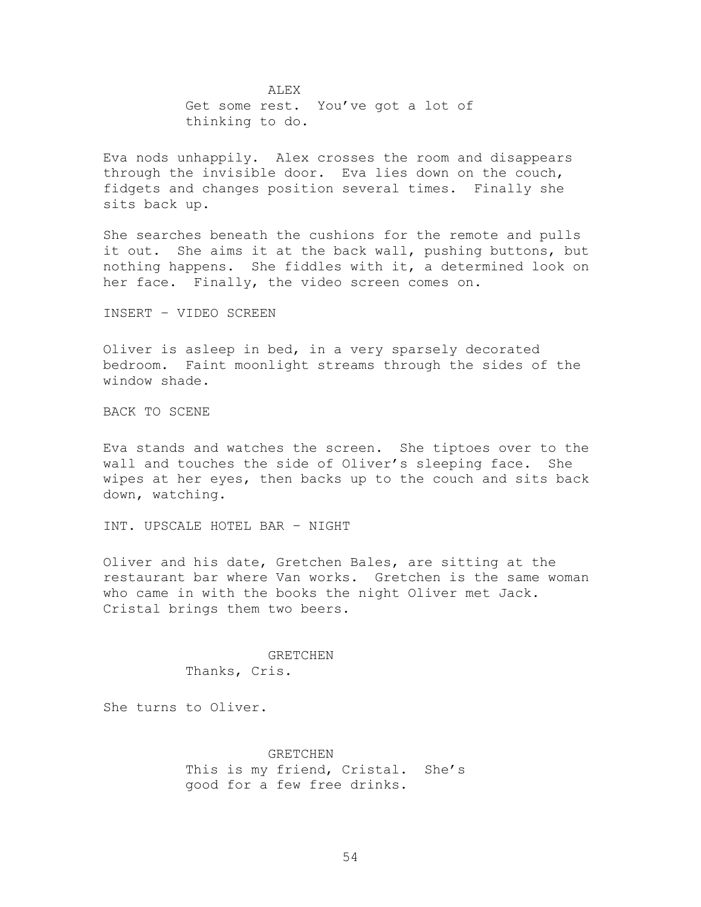ALEX Get some rest. You've got a lot of thinking to do.

Eva nods unhappily. Alex crosses the room and disappears through the invisible door. Eva lies down on the couch, fidgets and changes position several times. Finally she sits back up.

She searches beneath the cushions for the remote and pulls it out. She aims it at the back wall, pushing buttons, but nothing happens. She fiddles with it, a determined look on her face. Finally, the video screen comes on.

INSERT – VIDEO SCREEN

Oliver is asleep in bed, in a very sparsely decorated bedroom. Faint moonlight streams through the sides of the window shade.

BACK TO SCENE

Eva stands and watches the screen. She tiptoes over to the wall and touches the side of Oliver's sleeping face. She wipes at her eyes, then backs up to the couch and sits back down, watching.

INT. UPSCALE HOTEL BAR – NIGHT

Oliver and his date, Gretchen Bales, are sitting at the restaurant bar where Van works. Gretchen is the same woman who came in with the books the night Oliver met Jack. Cristal brings them two beers.

> GRETCHEN Thanks, Cris.

She turns to Oliver.

**GRETCHEN** This is my friend, Cristal. She's good for a few free drinks.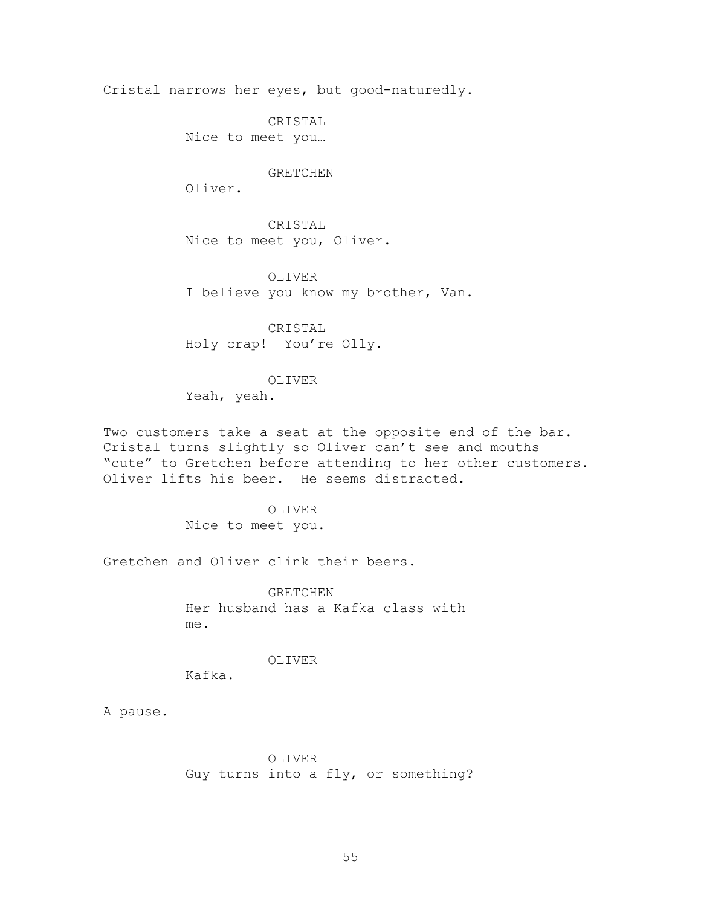Cristal narrows her eyes, but good-naturedly.

CRISTAL

Nice to meet you…

#### GRETCHEN

Oliver.

CRISTAL Nice to meet you, Oliver.

OLIVER I believe you know my brother, Van.

CRISTAL Holy crap! You're Olly.

OLIVER Yeah, yeah.

Two customers take a seat at the opposite end of the bar. Cristal turns slightly so Oliver can't see and mouths "cute" to Gretchen before attending to her other customers. Oliver lifts his beer. He seems distracted.

> OLIVER Nice to meet you.

Gretchen and Oliver clink their beers.

GRETCHEN Her husband has a Kafka class with me.

OLIVER

Kafka.

A pause.

OLIVER Guy turns into a fly, or something?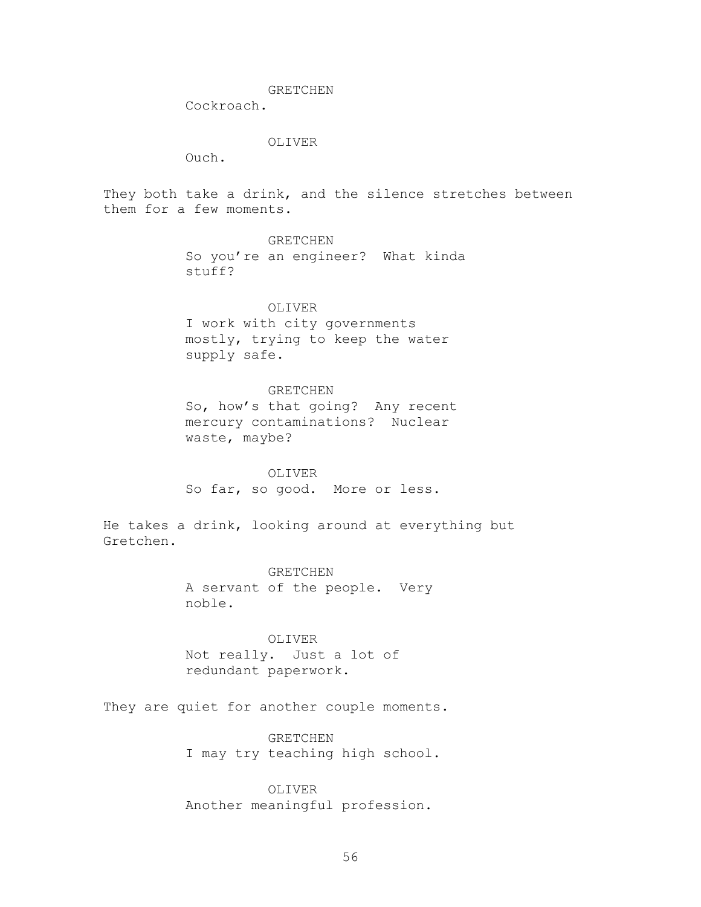#### GRETCHEN

Cockroach.

### OLIVER

Ouch.

They both take a drink, and the silence stretches between them for a few moments.

# GRETCHEN

So you're an engineer? What kinda stuff?

# OLIVER

I work with city governments mostly, trying to keep the water supply safe.

# GRETCHEN

So, how's that going? Any recent mercury contaminations? Nuclear waste, maybe?

OLIVER So far, so good. More or less.

He takes a drink, looking around at everything but Gretchen.

> GRETCHEN A servant of the people. Very noble.

OLIVER Not really. Just a lot of redundant paperwork.

They are quiet for another couple moments.

GRETCHEN I may try teaching high school.

OLIVER Another meaningful profession.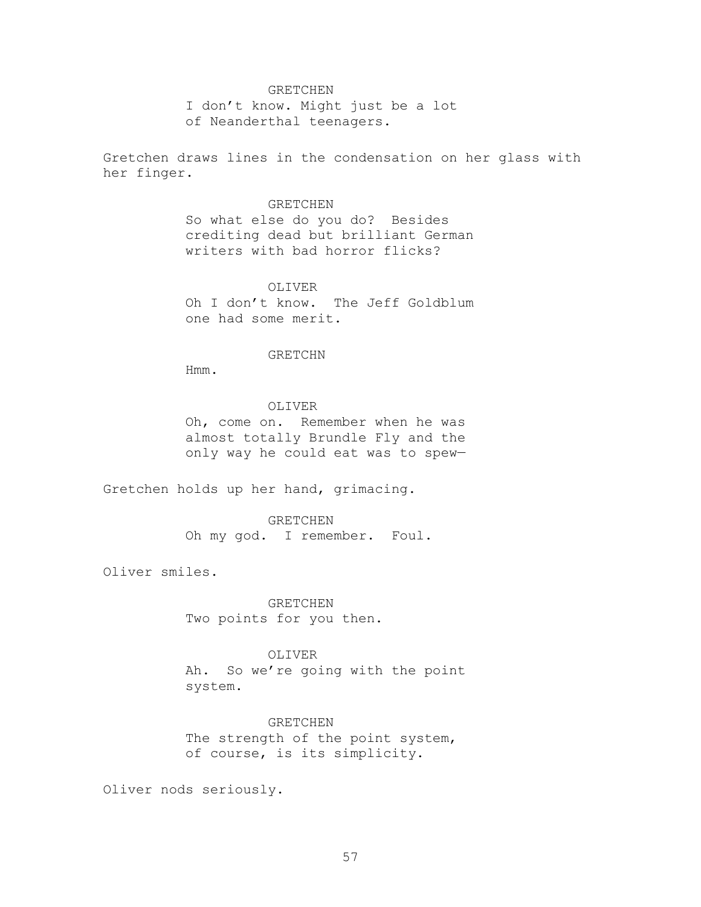#### GRETCHEN

I don't know. Might just be a lot of Neanderthal teenagers.

Gretchen draws lines in the condensation on her glass with her finger.

## GRETCHEN

So what else do you do? Besides crediting dead but brilliant German writers with bad horror flicks?

### OLIVER

Oh I don't know. The Jeff Goldblum one had some merit.

### GRETCHN

Hmm.

### OLIVER

Oh, come on. Remember when he was almost totally Brundle Fly and the only way he could eat was to spew—

Gretchen holds up her hand, grimacing.

### GRETCHEN

Oh my god. I remember. Foul.

Oliver smiles.

GRETCHEN Two points for you then.

# OLIVER

Ah. So we're going with the point system.

#### GRETCHEN

The strength of the point system, of course, is its simplicity.

Oliver nods seriously.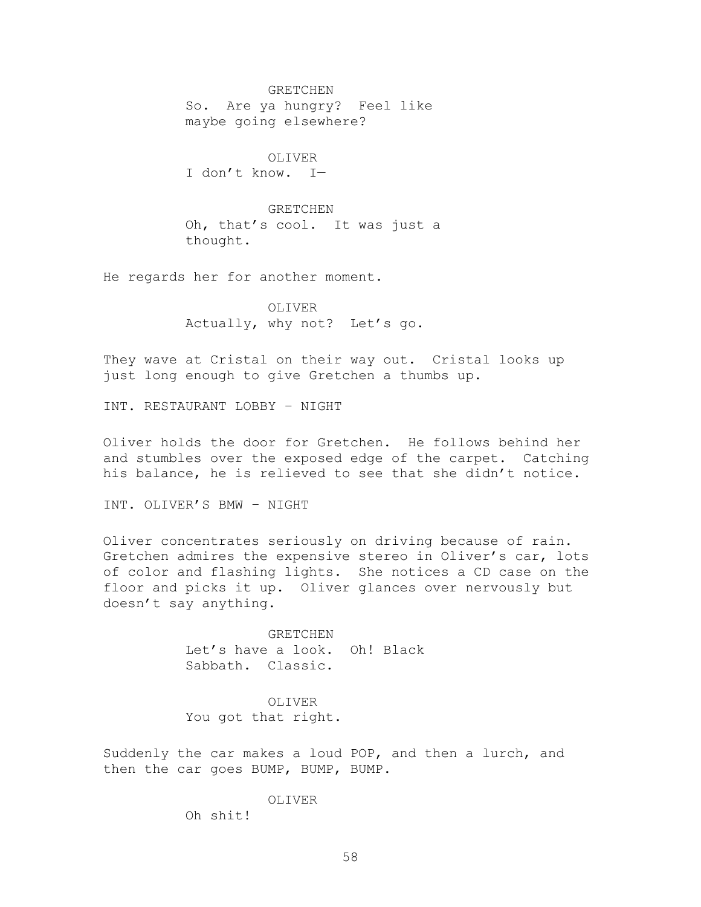GRETCHEN So. Are ya hungry? Feel like maybe going elsewhere?

OLIVER I don't know. I—

GRETCHEN Oh, that's cool. It was just a thought.

He regards her for another moment.

OLIVER Actually, why not? Let's go.

They wave at Cristal on their way out. Cristal looks up just long enough to give Gretchen a thumbs up.

INT. RESTAURANT LOBBY – NIGHT

Oliver holds the door for Gretchen. He follows behind her and stumbles over the exposed edge of the carpet. Catching his balance, he is relieved to see that she didn't notice.

INT. OLIVER'S BMW – NIGHT

Oliver concentrates seriously on driving because of rain. Gretchen admires the expensive stereo in Oliver's car, lots of color and flashing lights. She notices a CD case on the floor and picks it up. Oliver glances over nervously but doesn't say anything.

> GRETCHEN Let's have a look. Oh! Black Sabbath. Classic.

OLIVER You got that right.

Suddenly the car makes a loud POP, and then a lurch, and then the car goes BUMP, BUMP, BUMP.

# OLIVER

Oh shit!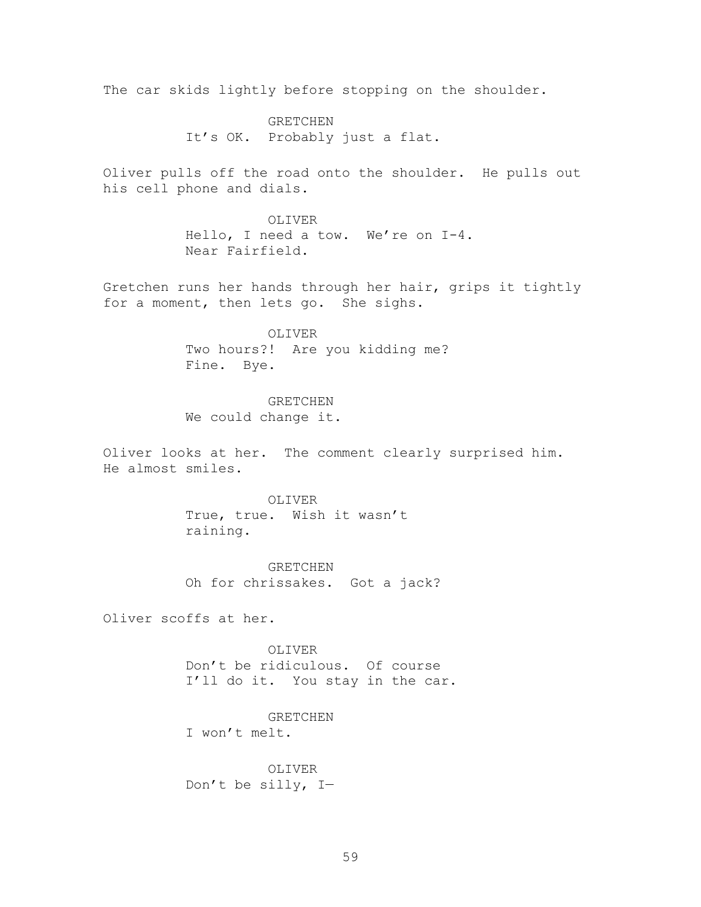The car skids lightly before stopping on the shoulder.

GRETCHEN It's OK. Probably just a flat.

Oliver pulls off the road onto the shoulder. He pulls out his cell phone and dials.

> OLIVER Hello, I need a tow. We're on I-4. Near Fairfield.

Gretchen runs her hands through her hair, grips it tightly for a moment, then lets go. She sighs.

> OLIVER Two hours?! Are you kidding me? Fine. Bye.

> > GRETCHEN

We could change it.

Oliver looks at her. The comment clearly surprised him. He almost smiles.

> OLIVER True, true. Wish it wasn't raining.

GRETCHEN Oh for chrissakes. Got a jack?

Oliver scoffs at her.

OLIVER Don't be ridiculous. Of course I'll do it. You stay in the car.

GRETCHEN

I won't melt.

OLIVER Don't be silly, I—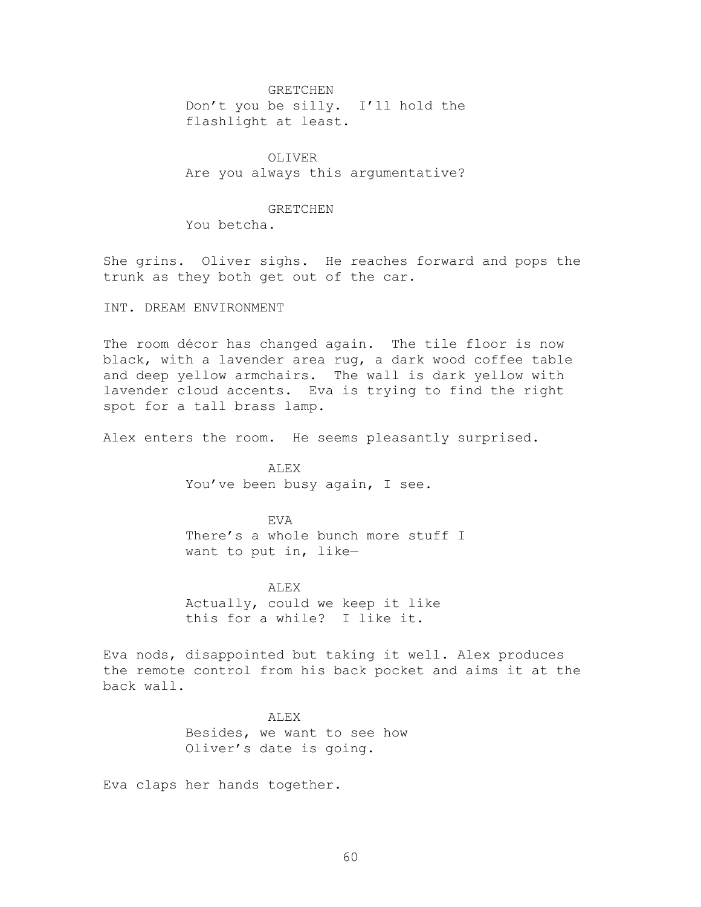#### GRETCHEN

Don't you be silly. I'll hold the flashlight at least.

OLIVER Are you always this argumentative?

#### GRETCHEN

You betcha.

She grins. Oliver sighs. He reaches forward and pops the trunk as they both get out of the car.

INT. DREAM ENVIRONMENT

The room décor has changed again. The tile floor is now black, with a lavender area rug, a dark wood coffee table and deep yellow armchairs. The wall is dark yellow with lavender cloud accents. Eva is trying to find the right spot for a tall brass lamp.

Alex enters the room. He seems pleasantly surprised.

ALEX You've been busy again, I see.

**EVA** There's a whole bunch more stuff I want to put in, like—

ALEX Actually, could we keep it like this for a while? I like it.

Eva nods, disappointed but taking it well. Alex produces the remote control from his back pocket and aims it at the back wall.

> **ALEX** Besides, we want to see how Oliver's date is going.

Eva claps her hands together.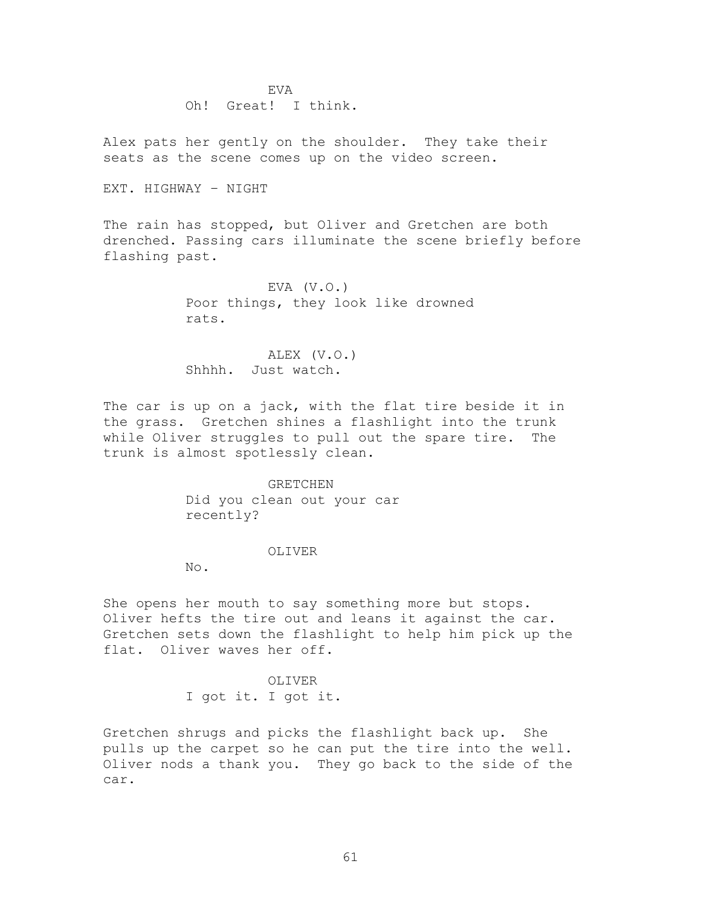EVA Oh! Great! I think.

Alex pats her gently on the shoulder. They take their seats as the scene comes up on the video screen.

EXT. HIGHWAY – NIGHT

The rain has stopped, but Oliver and Gretchen are both drenched. Passing cars illuminate the scene briefly before flashing past.

> EVA  $(V.O.)$ Poor things, they look like drowned rats.

ALEX (V.O.) Shhhh. Just watch.

The car is up on a jack, with the flat tire beside it in the grass. Gretchen shines a flashlight into the trunk while Oliver struggles to pull out the spare tire. The trunk is almost spotlessly clean.

> GRETCHEN Did you clean out your car recently?

# OLIVER

No.

She opens her mouth to say something more but stops. Oliver hefts the tire out and leans it against the car. Gretchen sets down the flashlight to help him pick up the flat. Oliver waves her off.

> OLIVER I got it. I got it.

Gretchen shrugs and picks the flashlight back up. She pulls up the carpet so he can put the tire into the well. Oliver nods a thank you. They go back to the side of the car.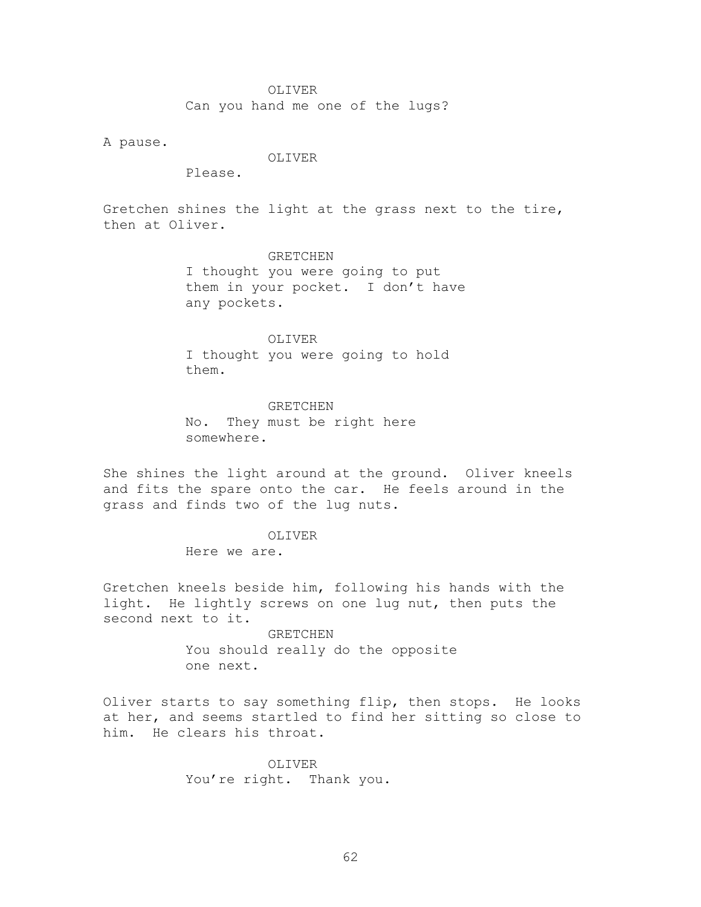#### OLIVER

Can you hand me one of the lugs?

A pause.

### OLIVER

Please.

Gretchen shines the light at the grass next to the tire, then at Oliver.

### GRETCHEN

I thought you were going to put them in your pocket. I don't have any pockets.

#### OLIVER

I thought you were going to hold them.

#### GRETCHEN

No. They must be right here somewhere.

She shines the light around at the ground. Oliver kneels and fits the spare onto the car. He feels around in the grass and finds two of the lug nuts.

# OLIVER

Here we are.

Gretchen kneels beside him, following his hands with the light. He lightly screws on one lug nut, then puts the second next to it.

> GRETCHEN You should really do the opposite one next.

Oliver starts to say something flip, then stops. He looks at her, and seems startled to find her sitting so close to him. He clears his throat.

> OLIVER You're right. Thank you.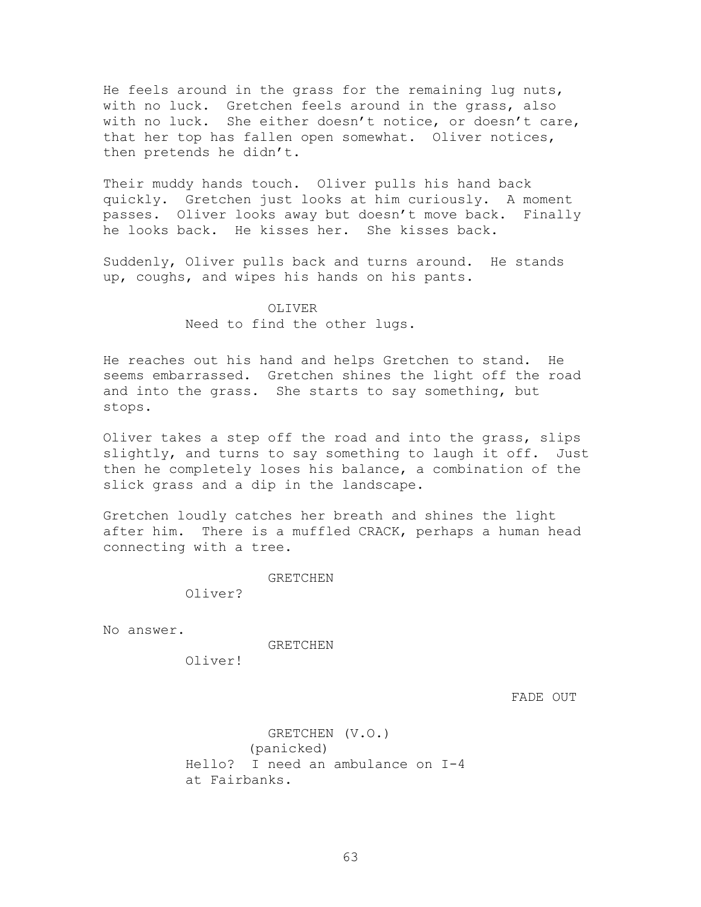He feels around in the grass for the remaining lug nuts, with no luck. Gretchen feels around in the grass, also with no luck. She either doesn't notice, or doesn't care, that her top has fallen open somewhat. Oliver notices, then pretends he didn't.

Their muddy hands touch. Oliver pulls his hand back quickly. Gretchen just looks at him curiously. A moment passes. Oliver looks away but doesn't move back. Finally he looks back. He kisses her. She kisses back.

Suddenly, Oliver pulls back and turns around. He stands up, coughs, and wipes his hands on his pants.

### OLIVER

Need to find the other lugs.

He reaches out his hand and helps Gretchen to stand. He seems embarrassed. Gretchen shines the light off the road and into the grass. She starts to say something, but stops.

Oliver takes a step off the road and into the grass, slips slightly, and turns to say something to laugh it off. Just then he completely loses his balance, a combination of the slick grass and a dip in the landscape.

Gretchen loudly catches her breath and shines the light after him. There is a muffled CRACK, perhaps a human head connecting with a tree.

GRETCHEN

Oliver?

No answer.

GRETCHEN

Oliver!

FADE OUT

GRETCHEN (V.O.) (panicked) Hello? I need an ambulance on I-4 at Fairbanks.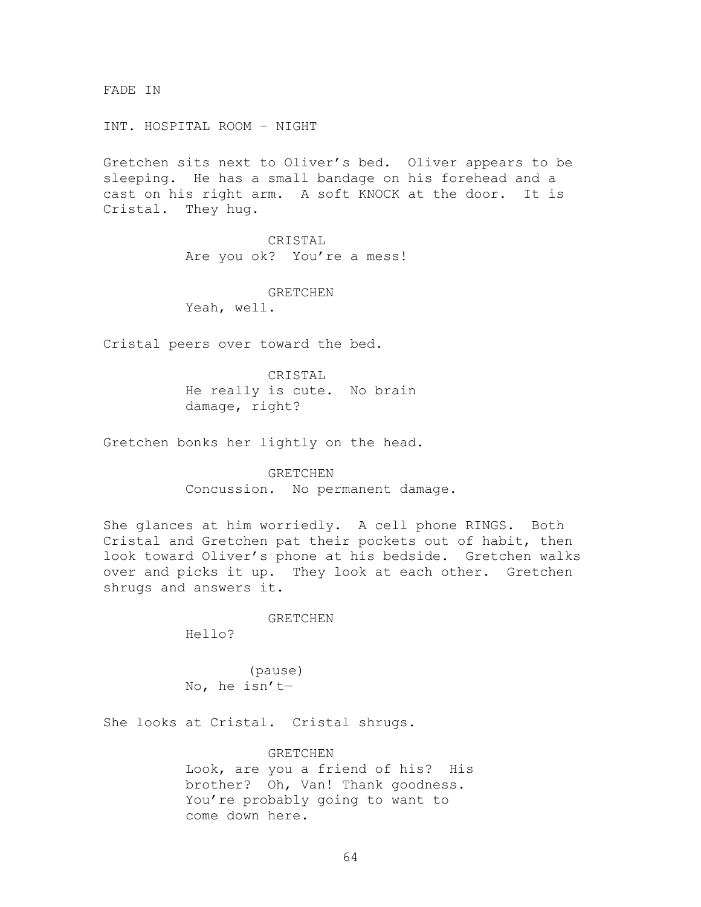FADE IN

INT. HOSPITAL ROOM – NIGHT

Gretchen sits next to Oliver's bed. Oliver appears to be sleeping. He has a small bandage on his forehead and a cast on his right arm. A soft KNOCK at the door. It is Cristal. They hug.

> CRISTAL Are you ok? You're a mess!

GRETCHEN Yeah, well.

Cristal peers over toward the bed.

CRISTAL He really is cute. No brain damage, right?

Gretchen bonks her lightly on the head.

GRETCHEN Concussion. No permanent damage.

She glances at him worriedly. A cell phone RINGS. Both Cristal and Gretchen pat their pockets out of habit, then look toward Oliver's phone at his bedside. Gretchen walks over and picks it up. They look at each other. Gretchen shrugs and answers it.

GRETCHEN

Hello?

(pause) No, he isn't—

She looks at Cristal. Cristal shrugs.

**GRETCHEN** Look, are you a friend of his? His brother? Oh, Van! Thank goodness. You're probably going to want to come down here.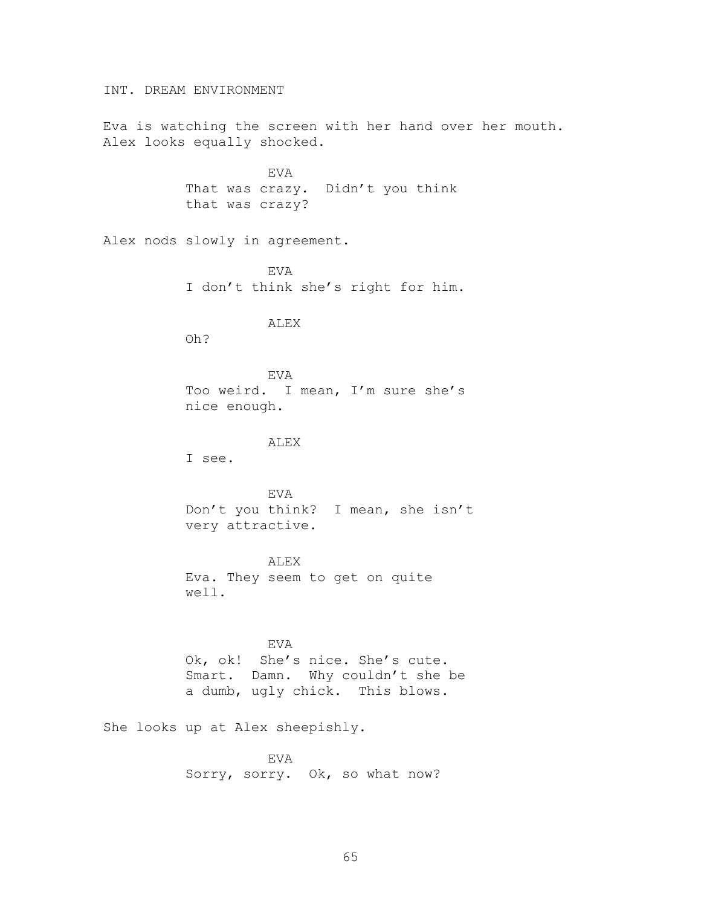INT. DREAM ENVIRONMENT

Eva is watching the screen with her hand over her mouth. Alex looks equally shocked.

> EVA That was crazy. Didn't you think that was crazy?

Alex nods slowly in agreement.

EVA I don't think she's right for him.

ALEX

Oh?

EVA Too weird. I mean, I'm sure she's nice enough.

ALEX

I see.

EVA Don't you think? I mean, she isn't very attractive.

ALEX Eva. They seem to get on quite well.

EVA Ok, ok! She's nice. She's cute. Smart. Damn. Why couldn't she be a dumb, ugly chick. This blows.

She looks up at Alex sheepishly.

EVA Sorry, sorry. Ok, so what now?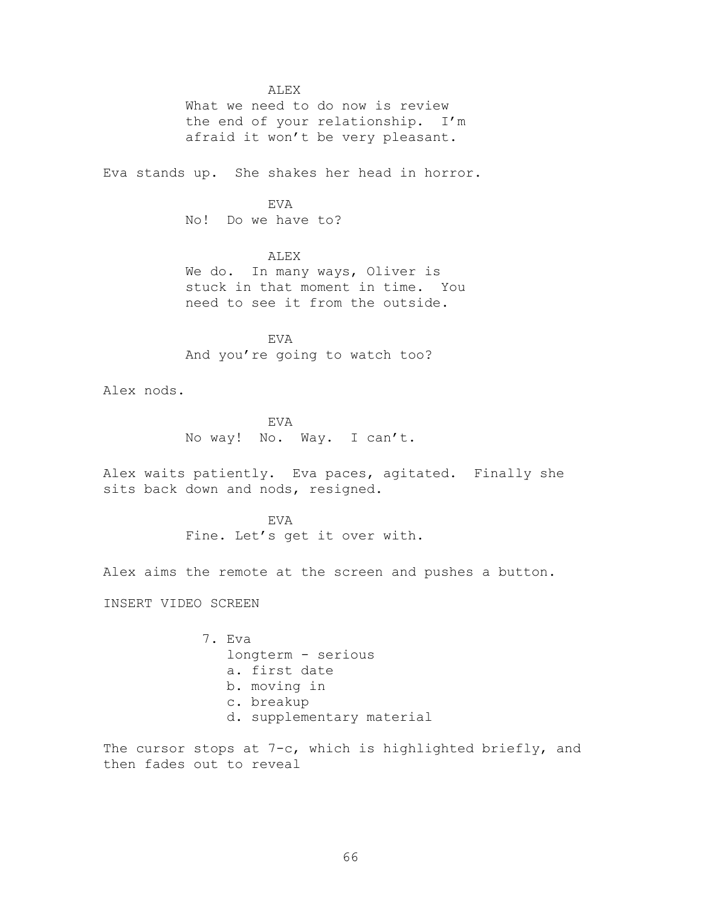ALEX

What we need to do now is review the end of your relationship. I'm afraid it won't be very pleasant.

Eva stands up. She shakes her head in horror.

EVA No! Do we have to?

ALEX

We do. In many ways, Oliver is stuck in that moment in time. You need to see it from the outside.

EVA And you're going to watch too?

Alex nods.

EVA No way! No. Way. I can't.

Alex waits patiently. Eva paces, agitated. Finally she sits back down and nods, resigned.

> EVA Fine. Let's get it over with.

Alex aims the remote at the screen and pushes a button.

INSERT VIDEO SCREEN

7. Eva longterm - serious a. first date b. moving in c. breakup d. supplementary material

The cursor stops at 7-c, which is highlighted briefly, and then fades out to reveal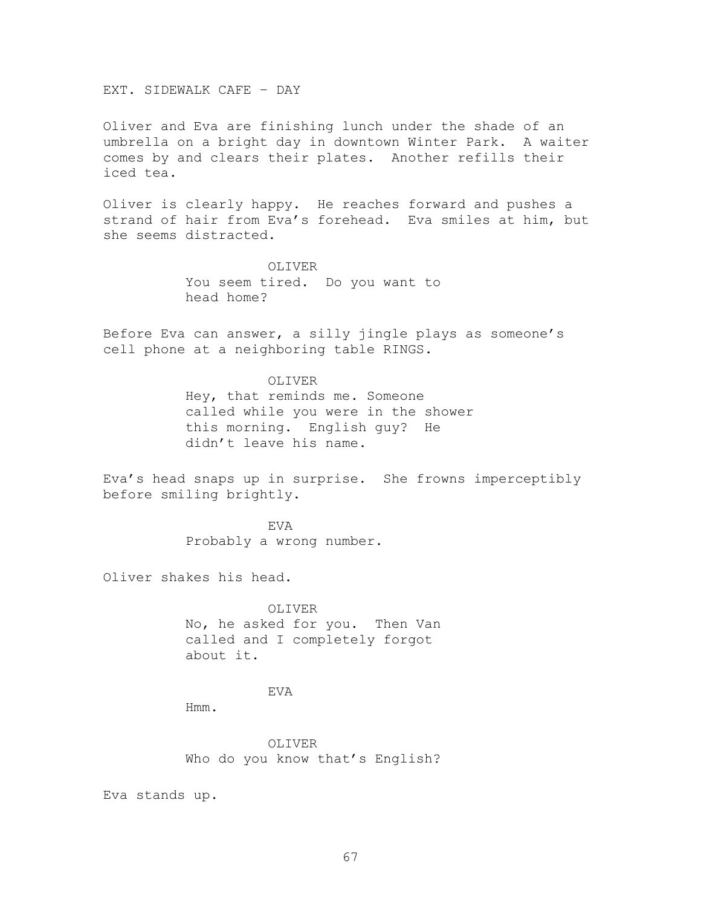EXT. SIDEWALK CAFE – DAY

Oliver and Eva are finishing lunch under the shade of an umbrella on a bright day in downtown Winter Park. A waiter comes by and clears their plates. Another refills their iced tea.

Oliver is clearly happy. He reaches forward and pushes a strand of hair from Eva's forehead. Eva smiles at him, but she seems distracted.

> OLIVER You seem tired. Do you want to head home?

Before Eva can answer, a silly jingle plays as someone's cell phone at a neighboring table RINGS.

> OLIVER Hey, that reminds me. Someone called while you were in the shower this morning. English guy? He didn't leave his name.

Eva's head snaps up in surprise. She frowns imperceptibly before smiling brightly.

> EVA Probably a wrong number.

Oliver shakes his head.

OLIVER No, he asked for you. Then Van called and I completely forgot about it.

EVA

Hmm.

OLIVER Who do you know that's English?

Eva stands up.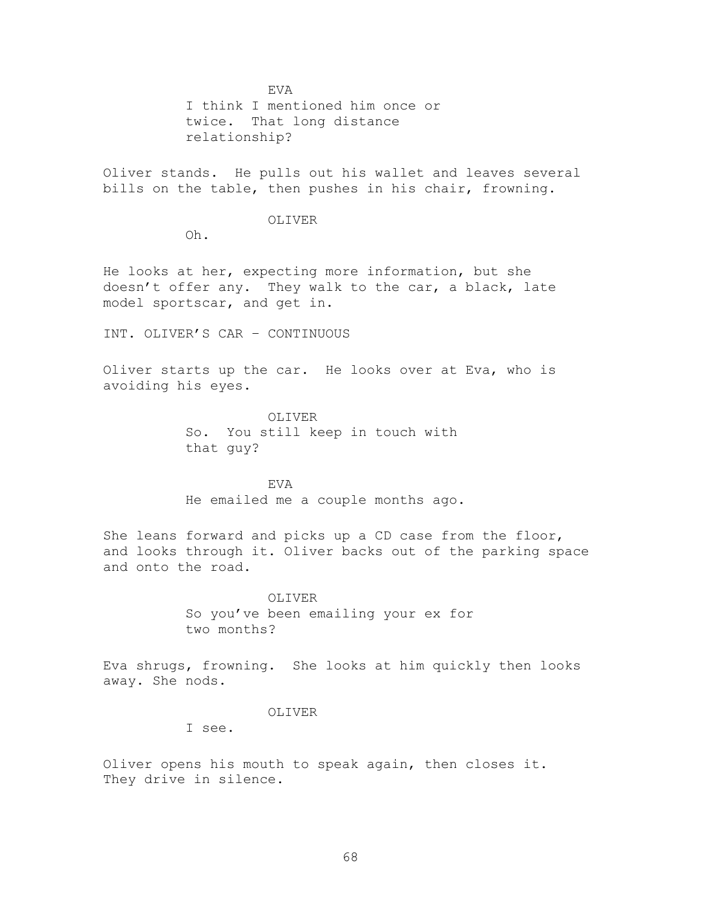EVA

I think I mentioned him once or twice. That long distance relationship?

Oliver stands. He pulls out his wallet and leaves several bills on the table, then pushes in his chair, frowning.

#### OLIVER

Oh.

He looks at her, expecting more information, but she doesn't offer any. They walk to the car, a black, late model sportscar, and get in.

INT. OLIVER'S CAR – CONTINUOUS

Oliver starts up the car. He looks over at Eva, who is avoiding his eyes.

> OLIVER So. You still keep in touch with that guy?

EVA He emailed me a couple months ago.

She leans forward and picks up a CD case from the floor, and looks through it. Oliver backs out of the parking space and onto the road.

> OLIVER So you've been emailing your ex for two months?

Eva shrugs, frowning. She looks at him quickly then looks away. She nods.

### OLIVER

I see.

Oliver opens his mouth to speak again, then closes it. They drive in silence.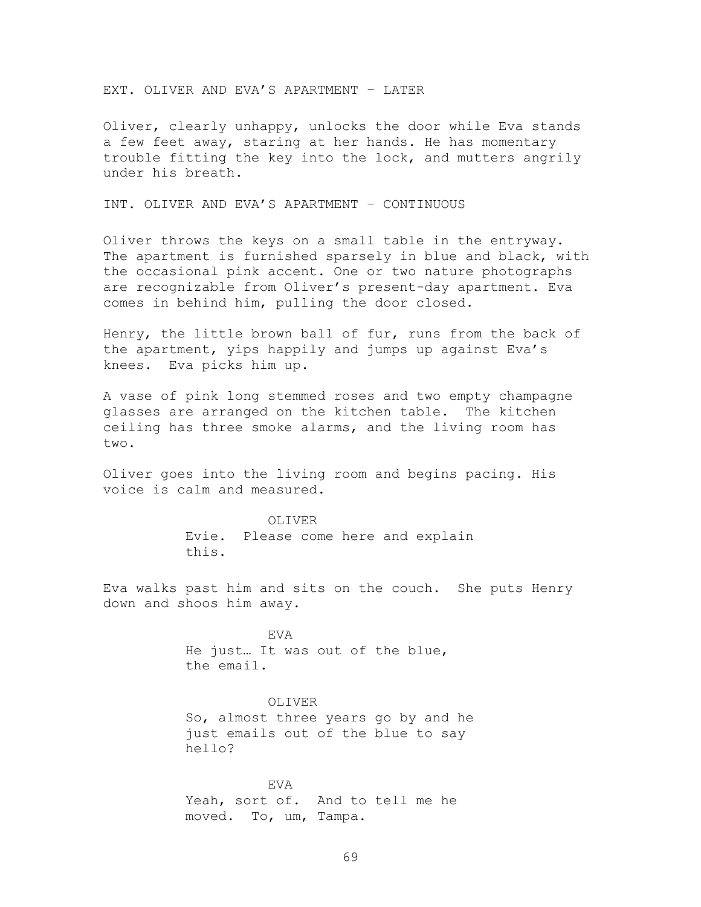EXT. OLIVER AND EVA'S APARTMENT – LATER

Oliver, clearly unhappy, unlocks the door while Eva stands a few feet away, staring at her hands. He has momentary trouble fitting the key into the lock, and mutters angrily under his breath.

INT. OLIVER AND EVA'S APARTMENT – CONTINUOUS

Oliver throws the keys on a small table in the entryway. The apartment is furnished sparsely in blue and black, with the occasional pink accent. One or two nature photographs are recognizable from Oliver's present-day apartment. Eva comes in behind him, pulling the door closed.

Henry, the little brown ball of fur, runs from the back of the apartment, yips happily and jumps up against Eva's knees. Eva picks him up.

A vase of pink long stemmed roses and two empty champagne glasses are arranged on the kitchen table. The kitchen ceiling has three smoke alarms, and the living room has two.

Oliver goes into the living room and begins pacing. His voice is calm and measured.

> OLIVER Evie. Please come here and explain this.

Eva walks past him and sits on the couch. She puts Henry down and shoos him away.

> EVA He just… It was out of the blue, the email.

> > OLIVER

So, almost three years go by and he just emails out of the blue to say hello?

EVA Yeah, sort of. And to tell me he moved. To, um, Tampa.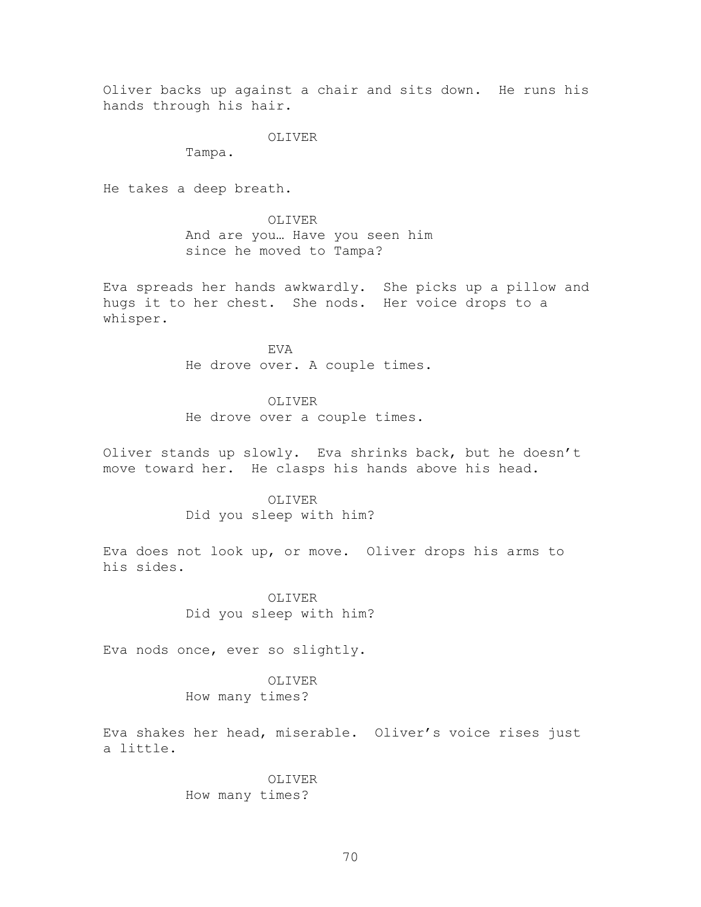Oliver backs up against a chair and sits down. He runs his hands through his hair.

OLIVER

Tampa.

He takes a deep breath.

OLIVER

And are you… Have you seen him since he moved to Tampa?

Eva spreads her hands awkwardly. She picks up a pillow and hugs it to her chest. She nods. Her voice drops to a whisper.

> EVA He drove over. A couple times.

OLIVER He drove over a couple times.

Oliver stands up slowly. Eva shrinks back, but he doesn't move toward her. He clasps his hands above his head.

> OLIVER Did you sleep with him?

Eva does not look up, or move. Oliver drops his arms to his sides.

> OLIVER Did you sleep with him?

Eva nods once, ever so slightly.

OLIVER How many times?

Eva shakes her head, miserable. Oliver's voice rises just a little.

> OLIVER How many times?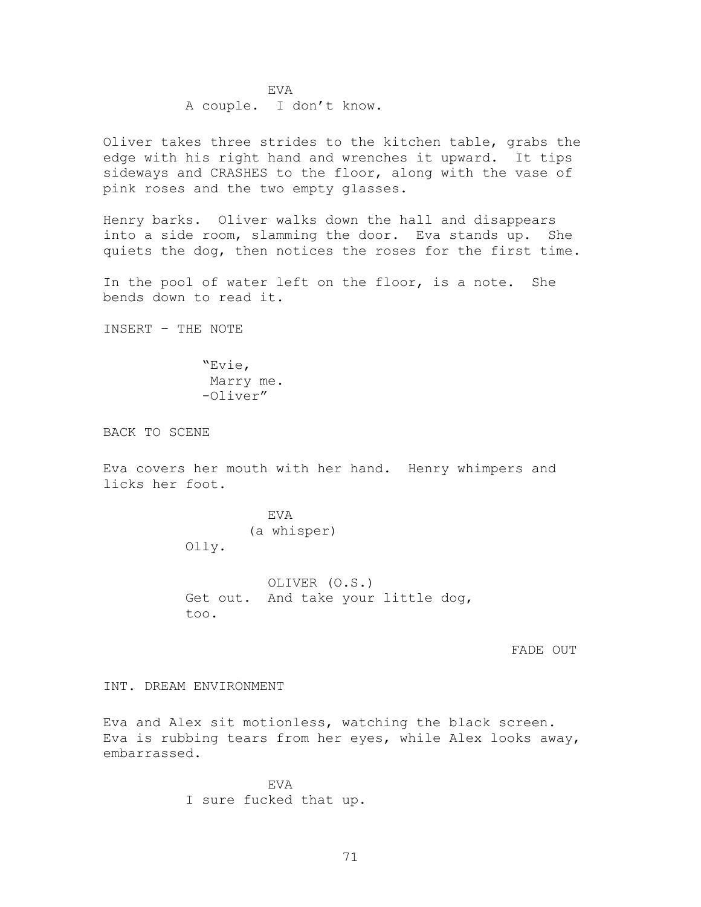EVA A couple. I don't know.

Oliver takes three strides to the kitchen table, grabs the edge with his right hand and wrenches it upward. It tips sideways and CRASHES to the floor, along with the vase of pink roses and the two empty glasses.

Henry barks. Oliver walks down the hall and disappears into a side room, slamming the door. Eva stands up. She quiets the dog, then notices the roses for the first time.

In the pool of water left on the floor, is a note. She bends down to read it.

INSERT – THE NOTE

―Evie, Marry me. -Oliver"

BACK TO SCENE

Eva covers her mouth with her hand. Henry whimpers and licks her foot.

> EVA (a whisper) Olly.

OLIVER (O.S.) Get out. And take your little dog, too.

FADE OUT

INT. DREAM ENVIRONMENT

Eva and Alex sit motionless, watching the black screen. Eva is rubbing tears from her eyes, while Alex looks away, embarrassed.

> EVA I sure fucked that up.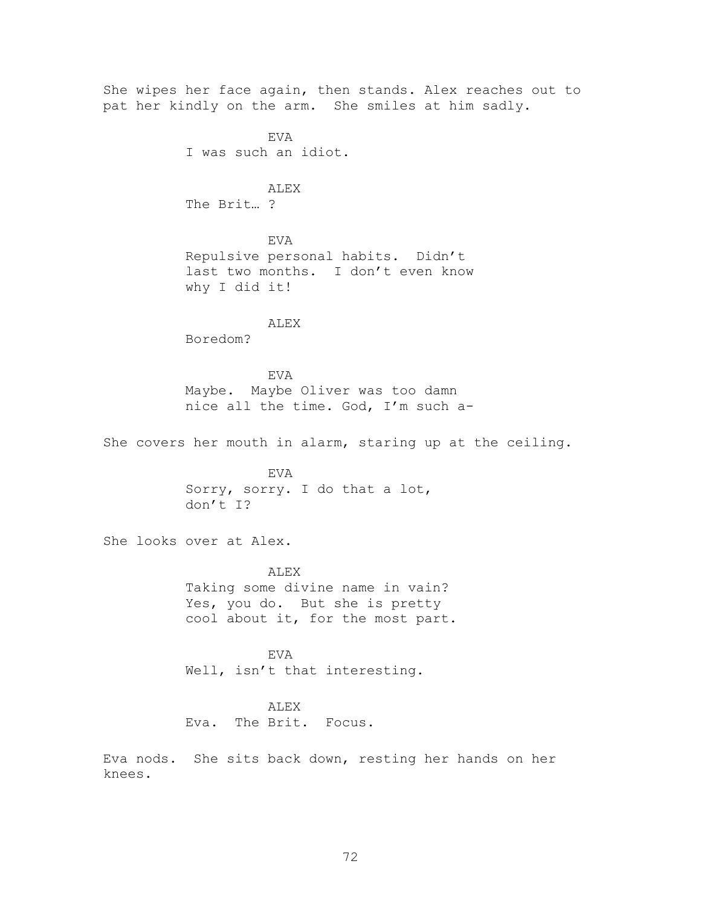She wipes her face again, then stands. Alex reaches out to pat her kindly on the arm. She smiles at him sadly. EVA I was such an idiot. ALEX The Brit… ? EVA Repulsive personal habits. Didn't last two months. I don't even know why I did it! ALEX Boredom? EVA Maybe. Maybe Oliver was too damn nice all the time. God, I'm such a-She covers her mouth in alarm, staring up at the ceiling. EVA Sorry, sorry. I do that a lot, don't I? She looks over at Alex. ALEX Taking some divine name in vain? Yes, you do. But she is pretty cool about it, for the most part. EVA Well, isn't that interesting. ALEX Eva. The Brit. Focus. Eva nods. She sits back down, resting her hands on her knees.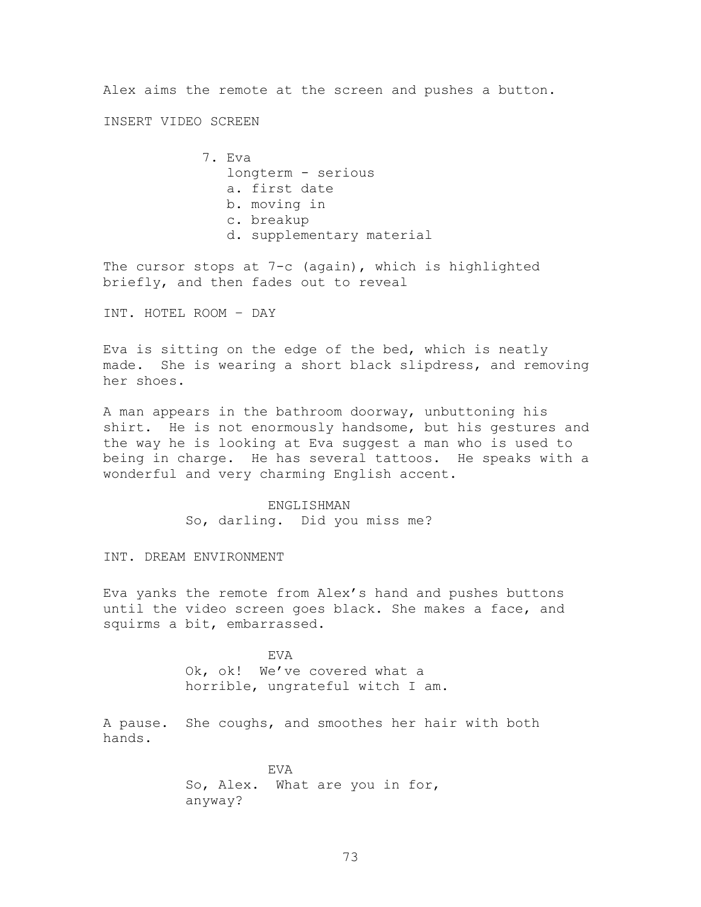Alex aims the remote at the screen and pushes a button.

INSERT VIDEO SCREEN

7. Eva longterm - serious a. first date b. moving in c. breakup d. supplementary material

The cursor stops at 7-c (again), which is highlighted briefly, and then fades out to reveal

INT. HOTEL ROOM – DAY

Eva is sitting on the edge of the bed, which is neatly made. She is wearing a short black slipdress, and removing her shoes.

A man appears in the bathroom doorway, unbuttoning his shirt. He is not enormously handsome, but his gestures and the way he is looking at Eva suggest a man who is used to being in charge. He has several tattoos. He speaks with a wonderful and very charming English accent.

> ENGLISHMAN So, darling. Did you miss me?

INT. DREAM ENVIRONMENT

Eva yanks the remote from Alex's hand and pushes buttons until the video screen goes black. She makes a face, and squirms a bit, embarrassed.

> EVA Ok, ok! We've covered what a horrible, ungrateful witch I am.

A pause. She coughs, and smoothes her hair with both hands.

> EVA So, Alex. What are you in for, anyway?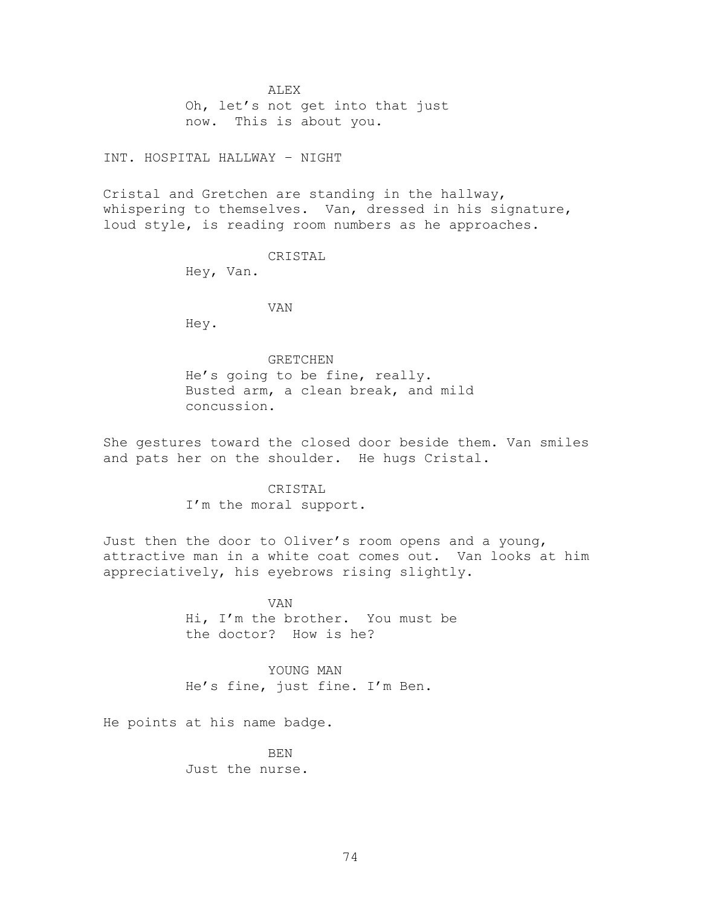ALEX

Oh, let's not get into that just now. This is about you.

# INT. HOSPITAL HALLWAY – NIGHT

Cristal and Gretchen are standing in the hallway, whispering to themselves. Van, dressed in his signature, loud style, is reading room numbers as he approaches.

#### CRISTAL

Hey, Van.

VAN

Hey.

#### GRETCHEN

He's going to be fine, really. Busted arm, a clean break, and mild concussion.

She gestures toward the closed door beside them. Van smiles and pats her on the shoulder. He hugs Cristal.

# CRISTAL

I'm the moral support.

Just then the door to Oliver's room opens and a young, attractive man in a white coat comes out. Van looks at him appreciatively, his eyebrows rising slightly.

> VAN Hi, I'm the brother. You must be the doctor? How is he?

YOUNG MAN He's fine, just fine. I'm Ben.

He points at his name badge.

BEN Just the nurse.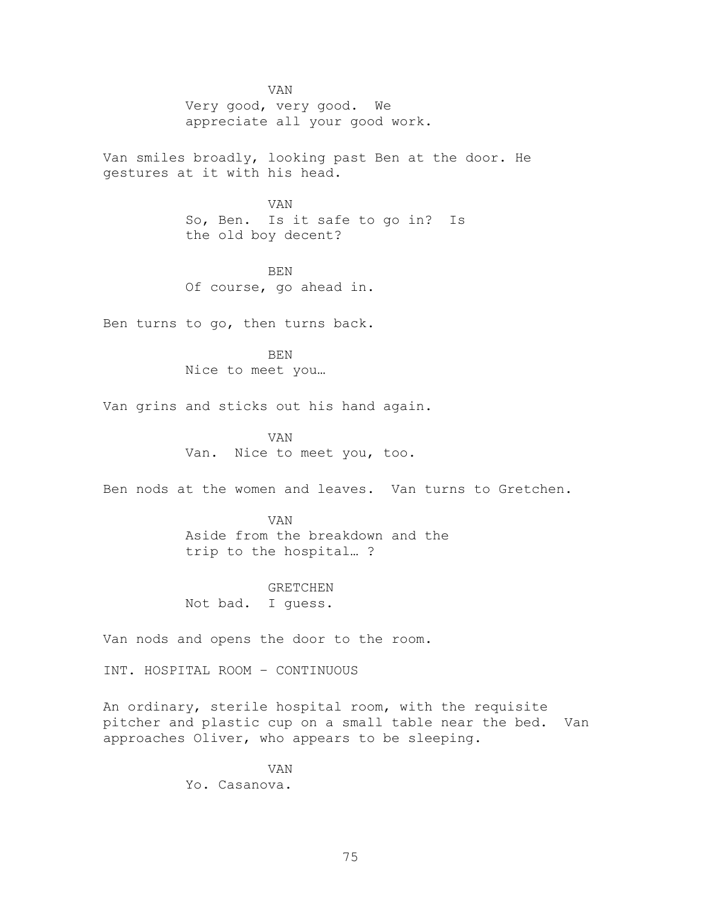VAN Very good, very good. We appreciate all your good work.

Van smiles broadly, looking past Ben at the door. He gestures at it with his head.

> VAN So, Ben. Is it safe to go in? Is the old boy decent?

BEN Of course, go ahead in.

Ben turns to go, then turns back.

BEN Nice to meet you…

Van grins and sticks out his hand again.

VAN Van. Nice to meet you, too.

Ben nods at the women and leaves. Van turns to Gretchen.

VAN Aside from the breakdown and the trip to the hospital… ?

GRETCHEN Not bad. I guess.

Van nods and opens the door to the room.

INT. HOSPITAL ROOM – CONTINUOUS

An ordinary, sterile hospital room, with the requisite pitcher and plastic cup on a small table near the bed. Van approaches Oliver, who appears to be sleeping.

> VAN Yo. Casanova.

> > 75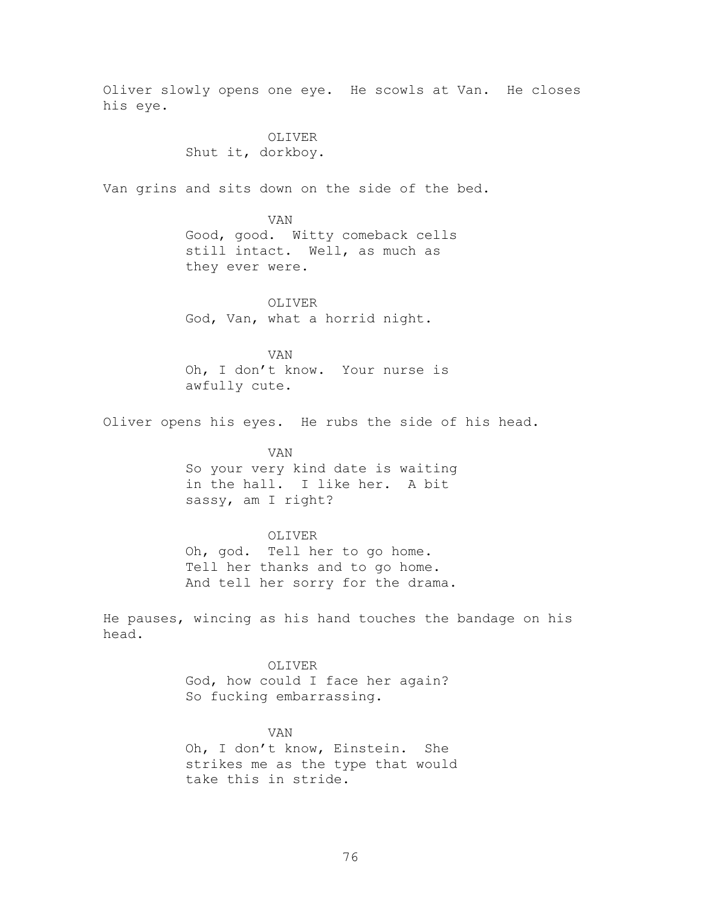Oliver slowly opens one eye. He scowls at Van. He closes his eye. OLIVER Shut it, dorkboy. Van grins and sits down on the side of the bed. VAN Good, good. Witty comeback cells still intact. Well, as much as they ever were. OLIVER God, Van, what a horrid night. VAN Oh, I don't know. Your nurse is awfully cute. Oliver opens his eyes. He rubs the side of his head. VAN So your very kind date is waiting in the hall. I like her. A bit sassy, am I right? OLIVER Oh, god. Tell her to go home. Tell her thanks and to go home. And tell her sorry for the drama. He pauses, wincing as his hand touches the bandage on his head. OLIVER God, how could I face her again? So fucking embarrassing. VAN Oh, I don't know, Einstein. She strikes me as the type that would take this in stride.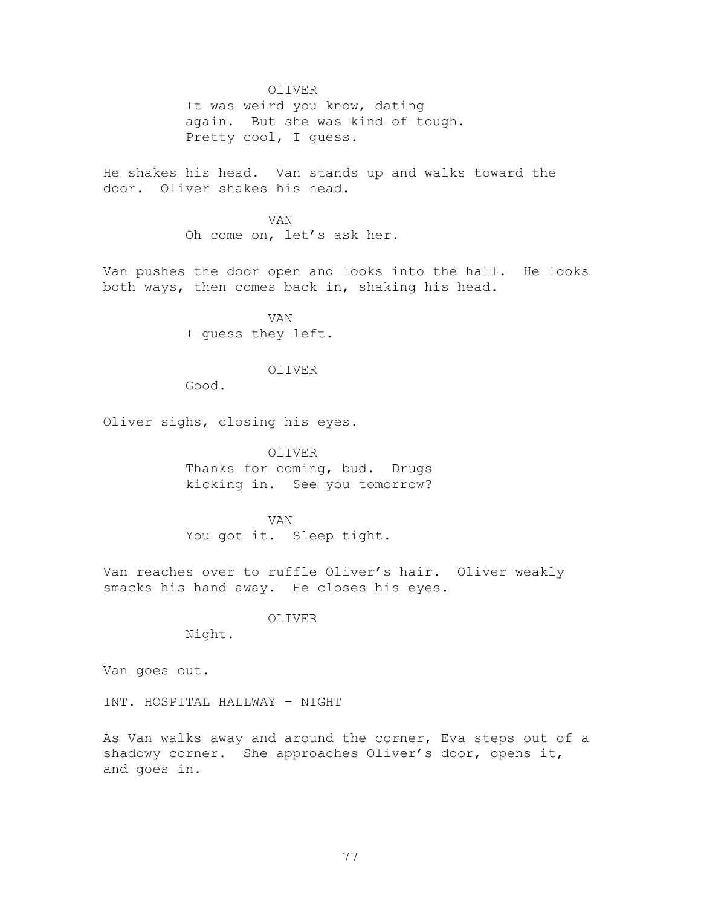#### OLIVER

It was weird you know, dating again. But she was kind of tough. Pretty cool, I guess.

He shakes his head. Van stands up and walks toward the door. Oliver shakes his head.

> VAN Oh come on, let's ask her.

Van pushes the door open and looks into the hall. He looks both ways, then comes back in, shaking his head.

> VAN I guess they left.

### OLIVER

Good.

Oliver sighs, closing his eyes.

OLIVER Thanks for coming, bud. Drugs kicking in. See you tomorrow?

VAN You got it. Sleep tight.

Van reaches over to ruffle Oliver's hair. Oliver weakly smacks his hand away. He closes his eyes.

OLIVER

Night.

Van goes out.

INT. HOSPITAL HALLWAY – NIGHT

As Van walks away and around the corner, Eva steps out of a shadowy corner. She approaches Oliver's door, opens it, and goes in.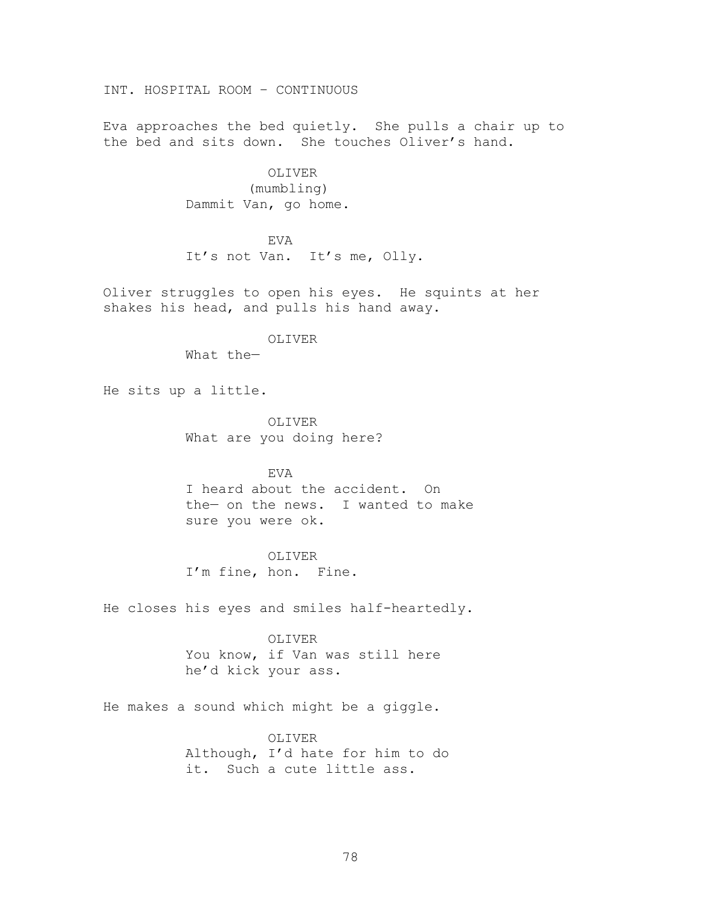INT. HOSPITAL ROOM – CONTINUOUS

Eva approaches the bed quietly. She pulls a chair up to the bed and sits down. She touches Oliver's hand.

> OLIVER (mumbling) Dammit Van, go home.

> > EVA

It's not Van. It's me, Olly.

Oliver struggles to open his eyes. He squints at her shakes his head, and pulls his hand away.

OLIVER

What the—

He sits up a little.

OLIVER What are you doing here?

EVA I heard about the accident. On the— on the news. I wanted to make sure you were ok.

OLIVER I'm fine, hon. Fine.

He closes his eyes and smiles half-heartedly.

OLIVER You know, if Van was still here he'd kick your ass.

He makes a sound which might be a giggle.

OLIVER Although, I'd hate for him to do it. Such a cute little ass.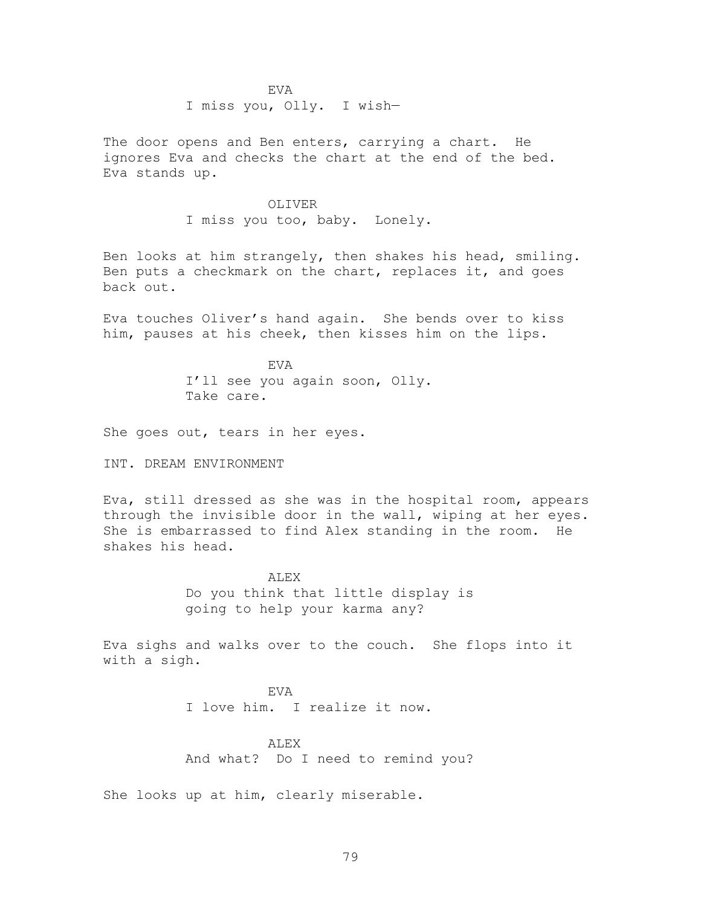EVA I miss you, Olly. I wish—

The door opens and Ben enters, carrying a chart. He ignores Eva and checks the chart at the end of the bed. Eva stands up.

> OLIVER I miss you too, baby. Lonely.

Ben looks at him strangely, then shakes his head, smiling. Ben puts a checkmark on the chart, replaces it, and goes back out.

Eva touches Oliver's hand again. She bends over to kiss him, pauses at his cheek, then kisses him on the lips.

> EVA I'll see you again soon, Olly. Take care.

She goes out, tears in her eyes.

INT. DREAM ENVIRONMENT

Eva, still dressed as she was in the hospital room, appears through the invisible door in the wall, wiping at her eyes. She is embarrassed to find Alex standing in the room. He shakes his head.

> ALEX Do you think that little display is going to help your karma any?

Eva sighs and walks over to the couch. She flops into it with a sigh.

> EVA I love him. I realize it now.

ALEX And what? Do I need to remind you?

She looks up at him, clearly miserable.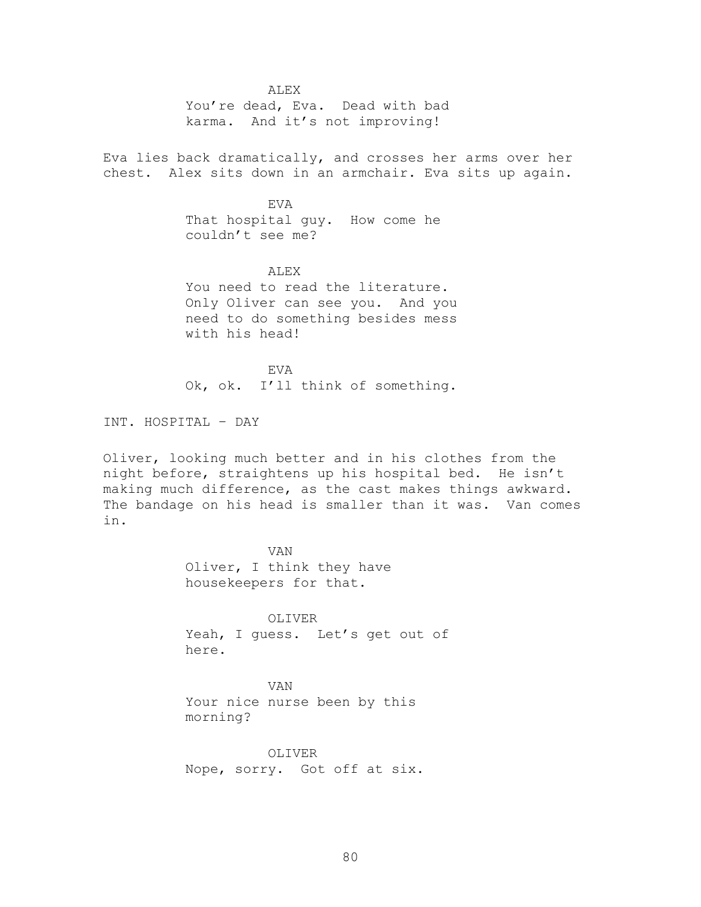ALEX

You're dead, Eva. Dead with bad karma. And it's not improving!

Eva lies back dramatically, and crosses her arms over her chest. Alex sits down in an armchair. Eva sits up again.

> EVA That hospital guy. How come he couldn't see me?

ALEX You need to read the literature. Only Oliver can see you. And you need to do something besides mess with his head!

EVA Ok, ok. I'll think of something.

INT. HOSPITAL – DAY

Oliver, looking much better and in his clothes from the night before, straightens up his hospital bed. He isn't making much difference, as the cast makes things awkward. The bandage on his head is smaller than it was. Van comes in.

> VAN Oliver, I think they have housekeepers for that.

OLIVER Yeah, I guess. Let's get out of here.

VAN Your nice nurse been by this morning?

OLIVER Nope, sorry. Got off at six.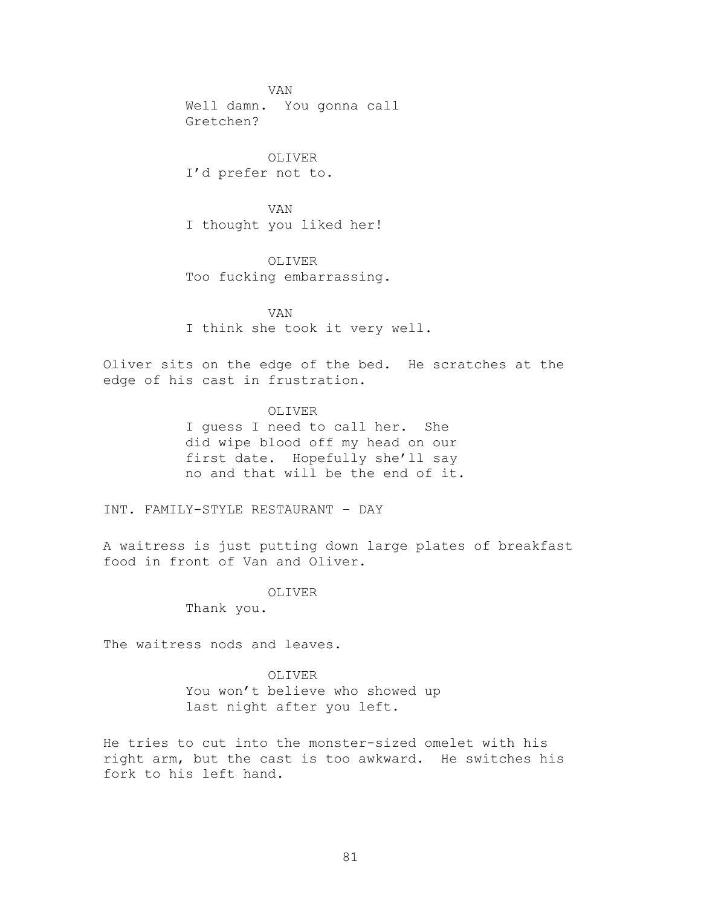VAN Well damn. You gonna call Gretchen?

OLIVER I'd prefer not to.

VAN I thought you liked her!

OLIVER

Too fucking embarrassing.

VAN I think she took it very well.

Oliver sits on the edge of the bed. He scratches at the edge of his cast in frustration.

OLIVER

I guess I need to call her. She did wipe blood off my head on our first date. Hopefully she'll say no and that will be the end of it.

INT. FAMILY-STYLE RESTAURANT – DAY

A waitress is just putting down large plates of breakfast food in front of Van and Oliver.

> OLIVER Thank you.

The waitress nods and leaves.

OLIVER

You won't believe who showed up last night after you left.

He tries to cut into the monster-sized omelet with his right arm, but the cast is too awkward. He switches his fork to his left hand.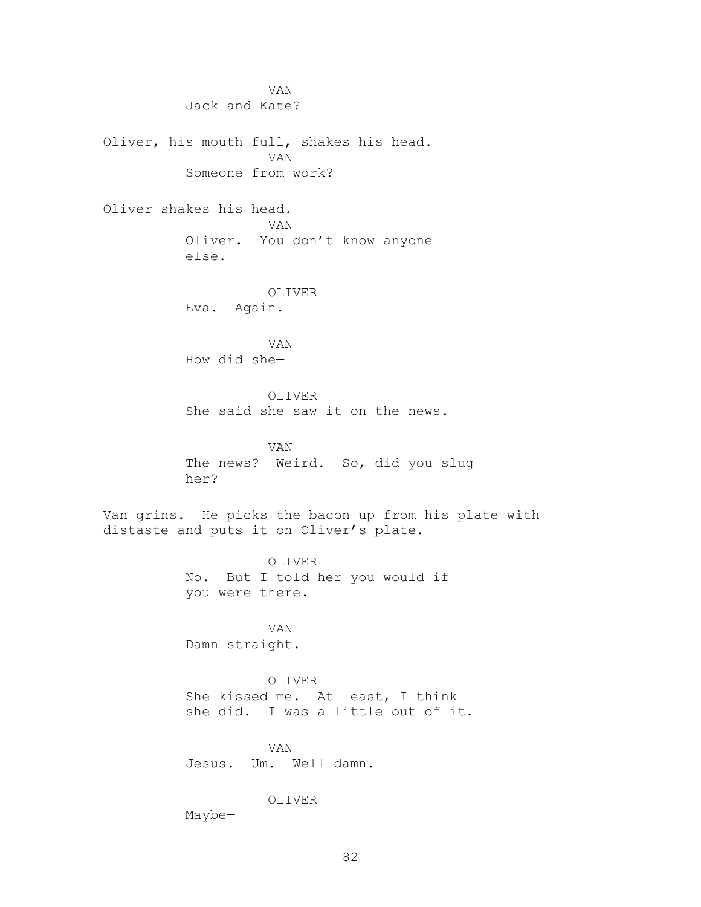VAN Jack and Kate? Oliver, his mouth full, shakes his head. VAN Someone from work? Oliver shakes his head. VAN Oliver. You don't know anyone else. OLIVER Eva. Again. VAN How did she— OLIVER She said she saw it on the news. VAN The news? Weird. So, did you slug her? Van grins. He picks the bacon up from his plate with distaste and puts it on Oliver's plate. OLIVER No. But I told her you would if you were there. VAN Damn straight.

> OLIVER She kissed me. At least, I think she did. I was a little out of it.

VAN

Jesus. Um. Well damn.

# OLIVER

Maybe—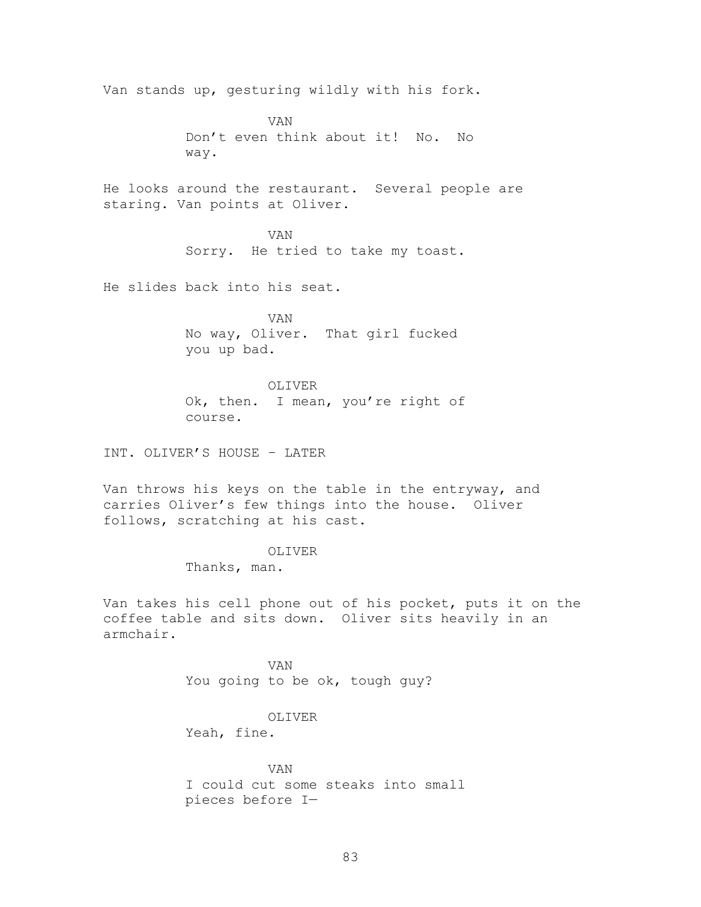Van stands up, gesturing wildly with his fork.

VAN Don't even think about it! No. No way.

He looks around the restaurant. Several people are staring. Van points at Oliver.

> VAN Sorry. He tried to take my toast.

He slides back into his seat.

VAN No way, Oliver. That girl fucked you up bad.

OLIVER Ok, then. I mean, you're right of course.

INT. OLIVER'S HOUSE – LATER

Van throws his keys on the table in the entryway, and carries Oliver's few things into the house. Oliver follows, scratching at his cast.

#### OLIVER

Thanks, man.

Van takes his cell phone out of his pocket, puts it on the coffee table and sits down. Oliver sits heavily in an armchair.

> VAN You going to be ok, tough guy?

### OLIVER

Yeah, fine.

VAN I could cut some steaks into small pieces before I—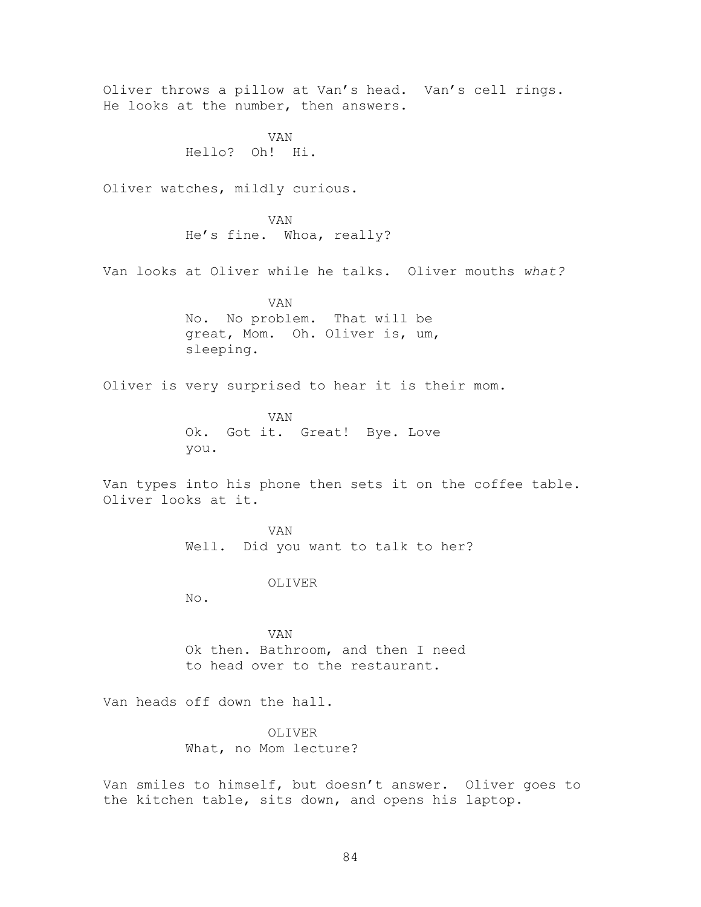Oliver throws a pillow at Van's head. Van's cell rings. He looks at the number, then answers. VAN Hello? Oh! Hi. Oliver watches, mildly curious. VAN He's fine. Whoa, really? Van looks at Oliver while he talks. Oliver mouths *what?* VAN No. No problem. That will be great, Mom. Oh. Oliver is, um, sleeping. Oliver is very surprised to hear it is their mom. VAN Ok. Got it. Great! Bye. Love you. Van types into his phone then sets it on the coffee table. Oliver looks at it. VAN Well. Did you want to talk to her? OLIVER No. VAN Ok then. Bathroom, and then I need to head over to the restaurant. Van heads off down the hall. OLIVER What, no Mom lecture? Van smiles to himself, but doesn't answer. Oliver goes to

the kitchen table, sits down, and opens his laptop.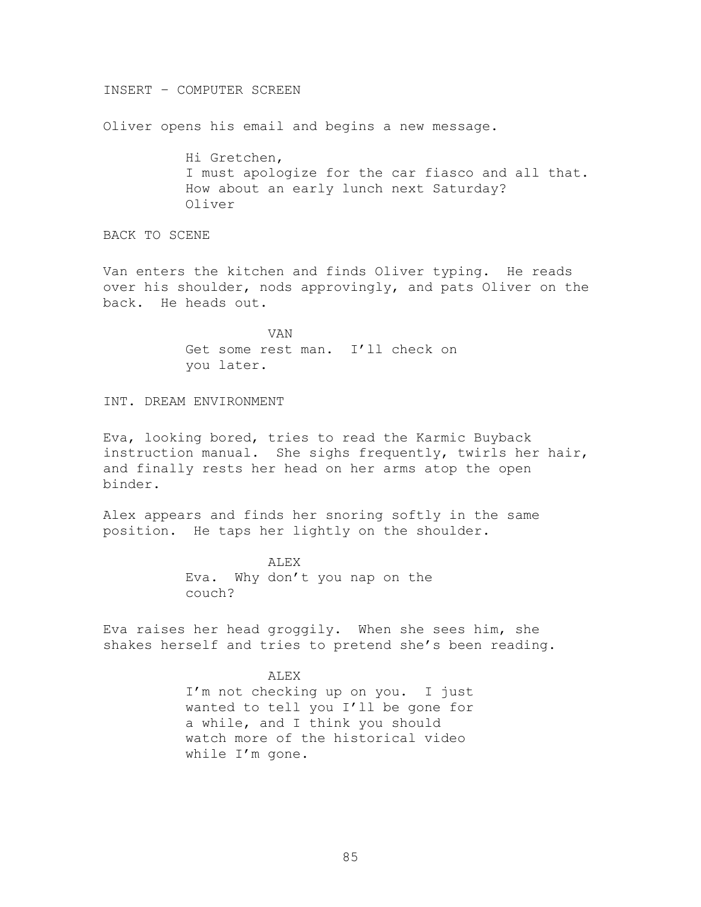#### INSERT – COMPUTER SCREEN

Oliver opens his email and begins a new message.

Hi Gretchen, I must apologize for the car fiasco and all that. How about an early lunch next Saturday? Oliver

BACK TO SCENE

Van enters the kitchen and finds Oliver typing. He reads over his shoulder, nods approvingly, and pats Oliver on the back. He heads out.

> VAN Get some rest man. I'll check on you later.

INT. DREAM ENVIRONMENT

Eva, looking bored, tries to read the Karmic Buyback instruction manual. She sighs frequently, twirls her hair, and finally rests her head on her arms atop the open binder.

Alex appears and finds her snoring softly in the same position. He taps her lightly on the shoulder.

> ALEX Eva. Why don't you nap on the couch?

Eva raises her head groggily. When she sees him, she shakes herself and tries to pretend she's been reading.

#### ALEX

I'm not checking up on you. I just wanted to tell you I'll be gone for a while, and I think you should watch more of the historical video while I'm gone.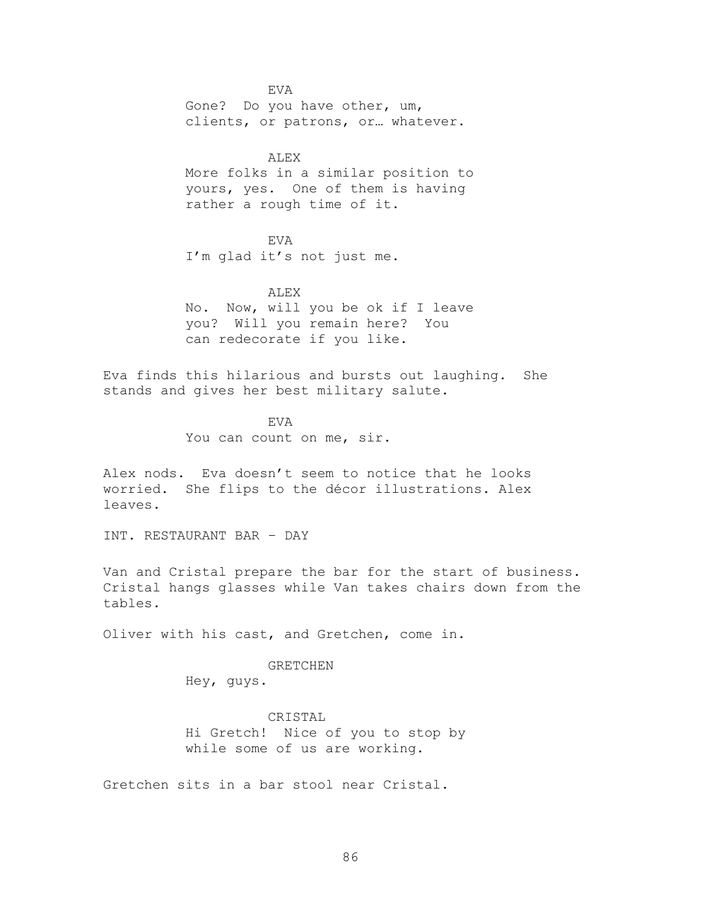EVA Gone? Do you have other, um, clients, or patrons, or… whatever.

### ALEX

More folks in a similar position to yours, yes. One of them is having rather a rough time of it.

EVA I'm glad it's not just me.

ALEX No. Now, will you be ok if I leave you? Will you remain here? You can redecorate if you like.

Eva finds this hilarious and bursts out laughing. She stands and gives her best military salute.

> EVA You can count on me, sir.

Alex nods. Eva doesn't seem to notice that he looks worried. She flips to the décor illustrations. Alex leaves.

INT. RESTAURANT BAR – DAY

Van and Cristal prepare the bar for the start of business. Cristal hangs glasses while Van takes chairs down from the tables.

Oliver with his cast, and Gretchen, come in.

#### GRETCHEN

Hey, guys.

CRISTAL Hi Gretch! Nice of you to stop by while some of us are working.

Gretchen sits in a bar stool near Cristal.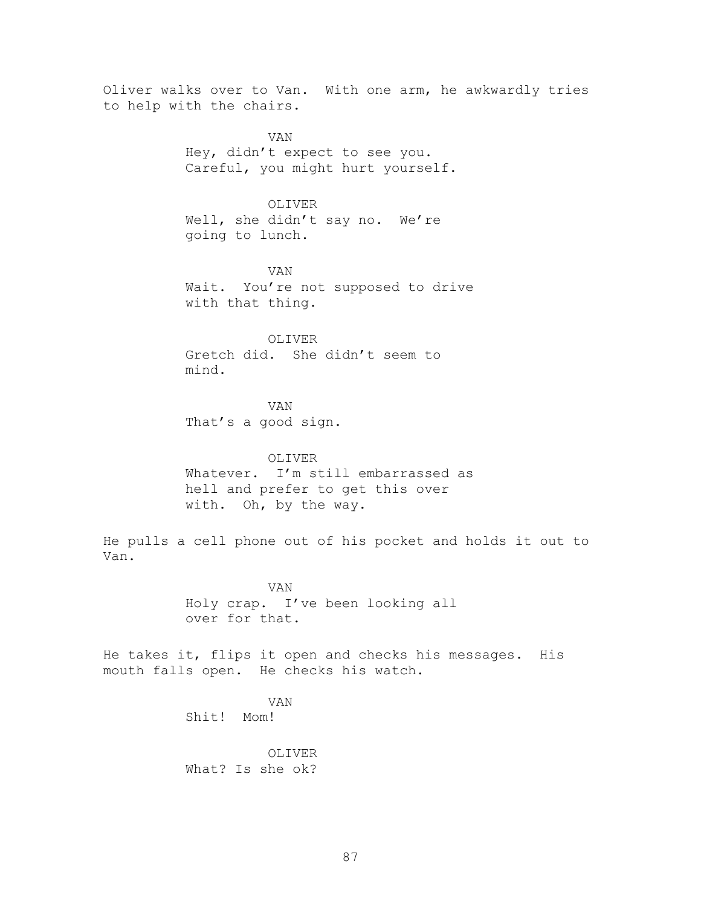Oliver walks over to Van. With one arm, he awkwardly tries to help with the chairs.

> VAN Hey, didn't expect to see you. Careful, you might hurt yourself.

> > OLIVER

Well, she didn't say no. We're going to lunch.

VAN Wait. You're not supposed to drive with that thing.

OLIVER Gretch did. She didn't seem to mind.

VAN That's a good sign.

OLIVER Whatever. I'm still embarrassed as hell and prefer to get this over with. Oh, by the way.

He pulls a cell phone out of his pocket and holds it out to Van.

> VAN Holy crap. I've been looking all over for that.

He takes it, flips it open and checks his messages. His mouth falls open. He checks his watch.

> VAN Shit! Mom!

OLIVER What? Is she ok?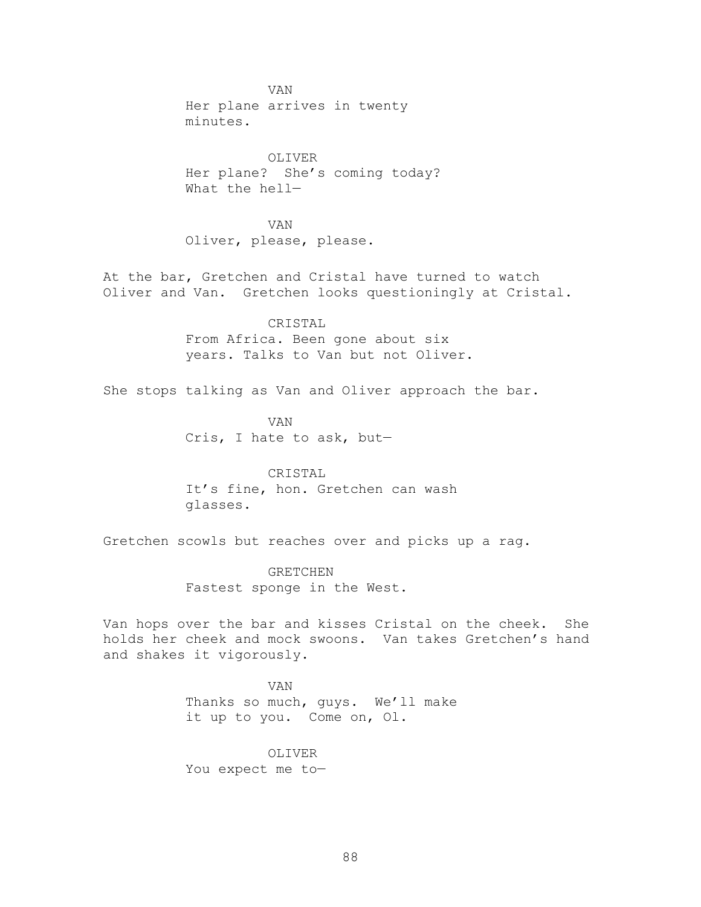VAN Her plane arrives in twenty minutes.

OLIVER Her plane? She's coming today? What the hell—

VAN Oliver, please, please.

At the bar, Gretchen and Cristal have turned to watch Oliver and Van. Gretchen looks questioningly at Cristal.

> CRISTAL From Africa. Been gone about six years. Talks to Van but not Oliver.

She stops talking as Van and Oliver approach the bar.

VAN Cris, I hate to ask, but—

CRISTAL It's fine, hon. Gretchen can wash glasses.

Gretchen scowls but reaches over and picks up a rag.

GRETCHEN Fastest sponge in the West.

Van hops over the bar and kisses Cristal on the cheek. She holds her cheek and mock swoons. Van takes Gretchen's hand and shakes it vigorously.

> VAN Thanks so much, guys. We'll make it up to you. Come on, Ol.

OLIVER You expect me to—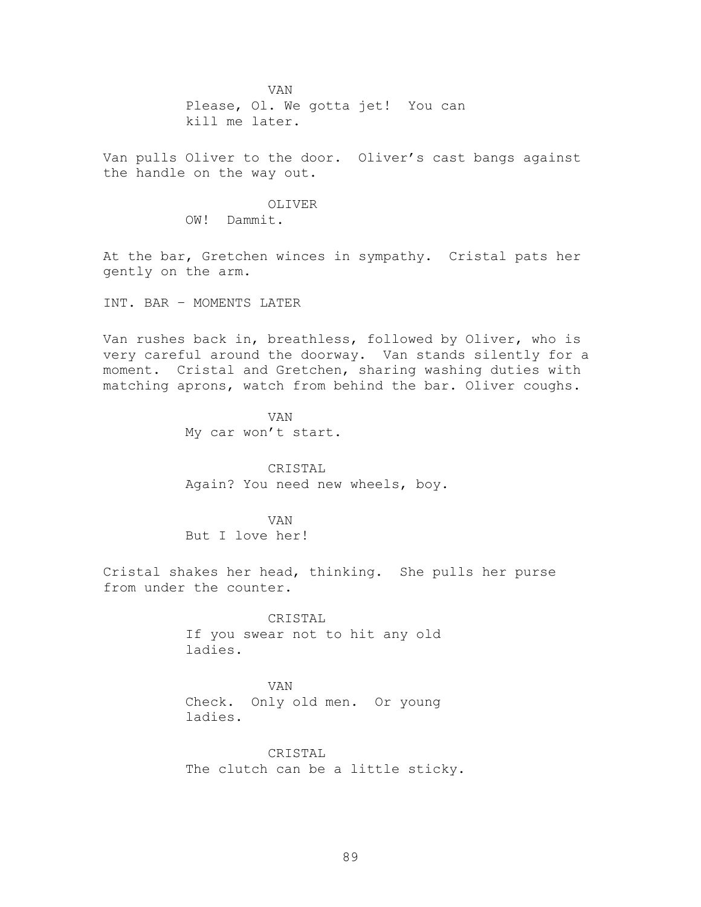VAN Please, Ol. We gotta jet! You can kill me later.

Van pulls Oliver to the door. Oliver's cast bangs against the handle on the way out.

> OLIVER OW! Dammit.

At the bar, Gretchen winces in sympathy. Cristal pats her gently on the arm.

INT. BAR – MOMENTS LATER

Van rushes back in, breathless, followed by Oliver, who is very careful around the doorway. Van stands silently for a moment. Cristal and Gretchen, sharing washing duties with matching aprons, watch from behind the bar. Oliver coughs.

> VAN My car won't start.

CRISTAL Again? You need new wheels, boy.

VAN But I love her!

Cristal shakes her head, thinking. She pulls her purse from under the counter.

> CRISTAL If you swear not to hit any old ladies.

> VAN Check. Only old men. Or young ladies.

CRISTAL The clutch can be a little sticky.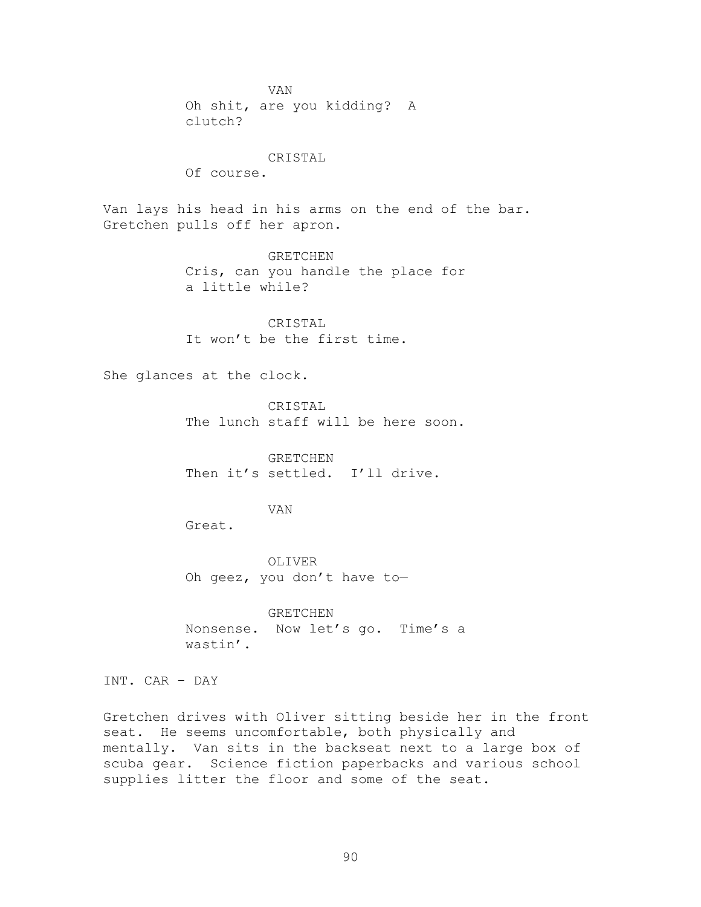VAN Oh shit, are you kidding? A clutch?

### CRISTAL

Of course.

Van lays his head in his arms on the end of the bar. Gretchen pulls off her apron.

> GRETCHEN Cris, can you handle the place for a little while?

CRISTAL It won't be the first time.

She glances at the clock.

CRISTAL The lunch staff will be here soon.

GRETCHEN Then it's settled. I'll drive.

# VAN

Great.

OLIVER Oh geez, you don't have to—

GRETCHEN Nonsense. Now let's go. Time's a wastin'.

INT. CAR – DAY

Gretchen drives with Oliver sitting beside her in the front seat. He seems uncomfortable, both physically and mentally. Van sits in the backseat next to a large box of scuba gear. Science fiction paperbacks and various school supplies litter the floor and some of the seat.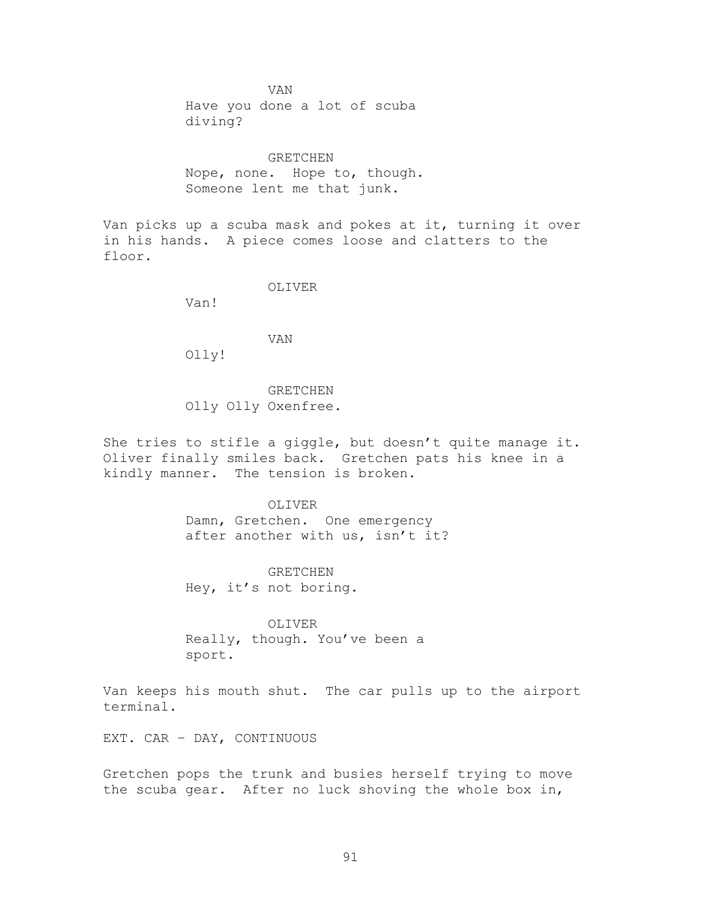VAN Have you done a lot of scuba diving?

GRETCHEN Nope, none. Hope to, though. Someone lent me that junk.

Van picks up a scuba mask and pokes at it, turning it over in his hands. A piece comes loose and clatters to the floor.

OLIVER

Van!

VAN

Olly!

GRETCHEN Olly Olly Oxenfree.

She tries to stifle a giggle, but doesn't quite manage it. Oliver finally smiles back. Gretchen pats his knee in a kindly manner. The tension is broken.

> OLIVER Damn, Gretchen. One emergency after another with us, isn't it?

GRETCHEN Hey, it's not boring.

OLIVER Really, though. You've been a sport.

Van keeps his mouth shut. The car pulls up to the airport terminal.

EXT. CAR – DAY, CONTINUOUS

Gretchen pops the trunk and busies herself trying to move the scuba gear. After no luck shoving the whole box in,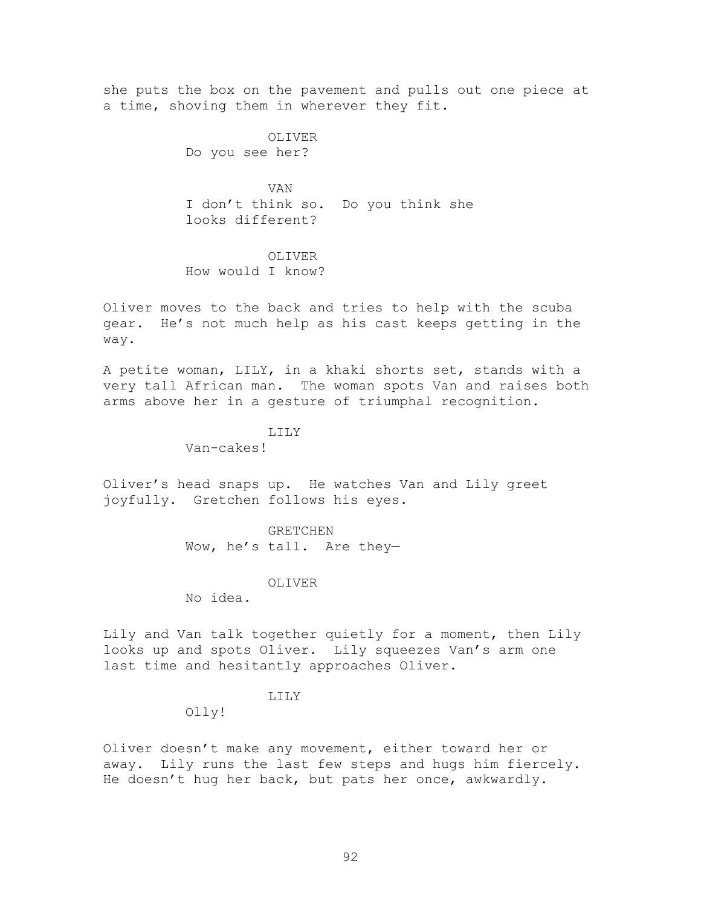she puts the box on the pavement and pulls out one piece at a time, shoving them in wherever they fit.

> OLIVER Do you see her?

VAN I don't think so. Do you think she looks different?

OLIVER How would I know?

Oliver moves to the back and tries to help with the scuba gear. He's not much help as his cast keeps getting in the way.

A petite woman, LILY, in a khaki shorts set, stands with a very tall African man. The woman spots Van and raises both arms above her in a gesture of triumphal recognition.

LILY

Van-cakes!

Oliver's head snaps up. He watches Van and Lily greet joyfully. Gretchen follows his eyes.

> GRETCHEN Wow, he's tall. Are they—

> > OLIVER

No idea.

Lily and Van talk together quietly for a moment, then Lily looks up and spots Oliver. Lily squeezes Van's arm one last time and hesitantly approaches Oliver.

### LILY

Olly!

Oliver doesn't make any movement, either toward her or away. Lily runs the last few steps and hugs him fiercely. He doesn't hug her back, but pats her once, awkwardly.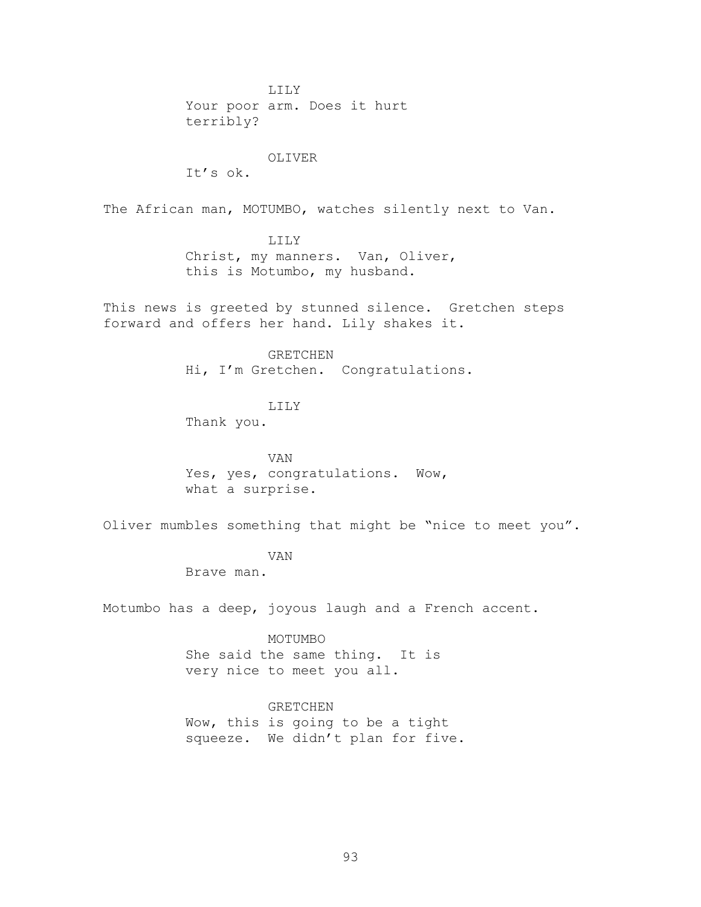LILY Your poor arm. Does it hurt terribly?

### OLIVER

 $T^{\dagger}$ 's ok.

The African man, MOTUMBO, watches silently next to Van.

### LILY

Christ, my manners. Van, Oliver, this is Motumbo, my husband.

This news is greeted by stunned silence. Gretchen steps forward and offers her hand. Lily shakes it.

#### GRETCHEN

Hi, I'm Gretchen. Congratulations.

### LILY

Thank you.

VAN Yes, yes, congratulations. Wow, what a surprise.

Oliver mumbles something that might be "nice to meet you".

### VAN

Brave man.

Motumbo has a deep, joyous laugh and a French accent.

### MOTUMBO

She said the same thing. It is very nice to meet you all.

### GRETCHEN

Wow, this is going to be a tight squeeze. We didn't plan for five.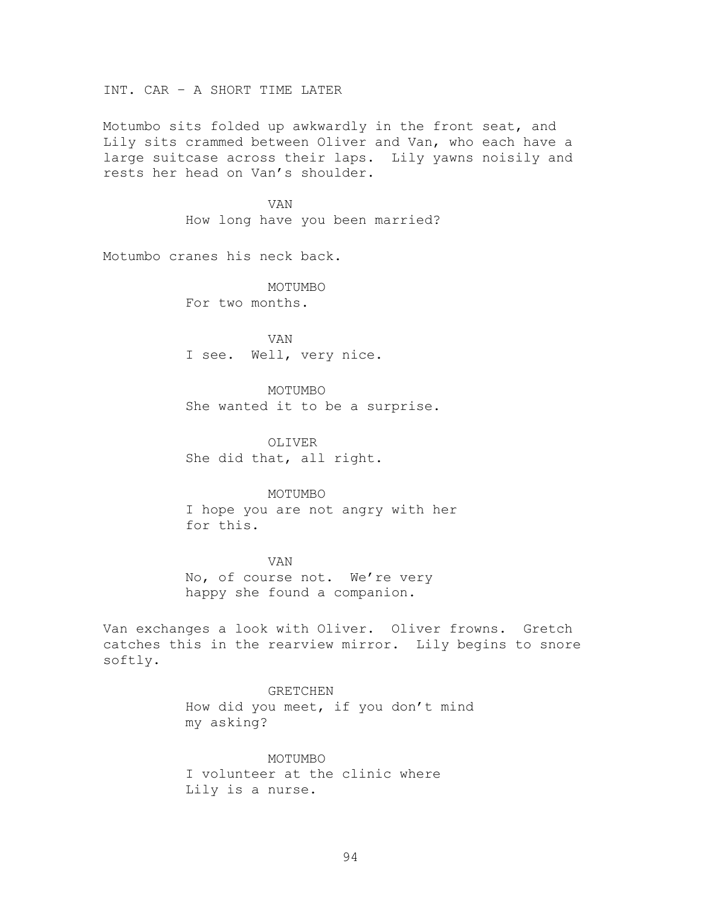INT. CAR – A SHORT TIME LATER

Motumbo sits folded up awkwardly in the front seat, and Lily sits crammed between Oliver and Van, who each have a large suitcase across their laps. Lily yawns noisily and rests her head on Van's shoulder.

> VAN How long have you been married?

Motumbo cranes his neck back.

MOTUMBO For two months.

VAN I see. Well, very nice.

MOTUMBO She wanted it to be a surprise.

OLIVER She did that, all right.

### MOTUMBO

I hope you are not angry with her for this.

VAN No, of course not. We're very happy she found a companion.

Van exchanges a look with Oliver. Oliver frowns. Gretch catches this in the rearview mirror. Lily begins to snore softly.

> GRETCHEN How did you meet, if you don't mind my asking?

MOTUMBO I volunteer at the clinic where Lily is a nurse.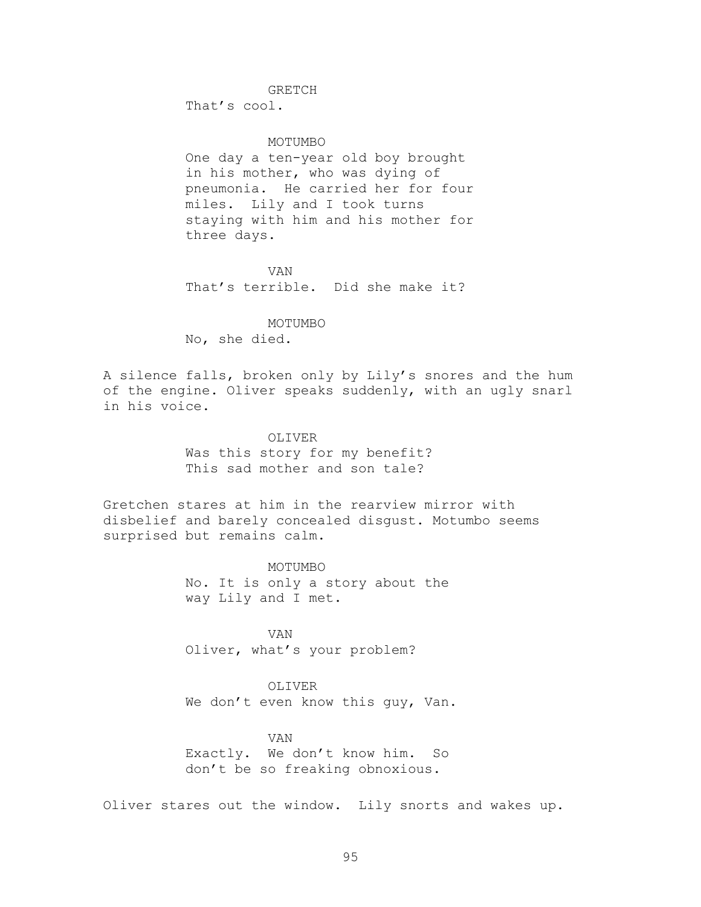# GRETCH

That's cool.

### MOTUMBO

One day a ten-year old boy brought in his mother, who was dying of pneumonia. He carried her for four miles. Lily and I took turns staying with him and his mother for three days.

VAN That's terrible. Did she make it?

MOTUMBO No, she died.

A silence falls, broken only by Lily's snores and the hum of the engine. Oliver speaks suddenly, with an ugly snarl in his voice.

### OLIVER

Was this story for my benefit? This sad mother and son tale?

Gretchen stares at him in the rearview mirror with disbelief and barely concealed disgust. Motumbo seems surprised but remains calm.

> MOTUMBO No. It is only a story about the way Lily and I met.

VAN Oliver, what's your problem?

# OLIVER

We don't even know this guy, Van.

VAN Exactly. We don't know him. So don't be so freaking obnoxious.

Oliver stares out the window. Lily snorts and wakes up.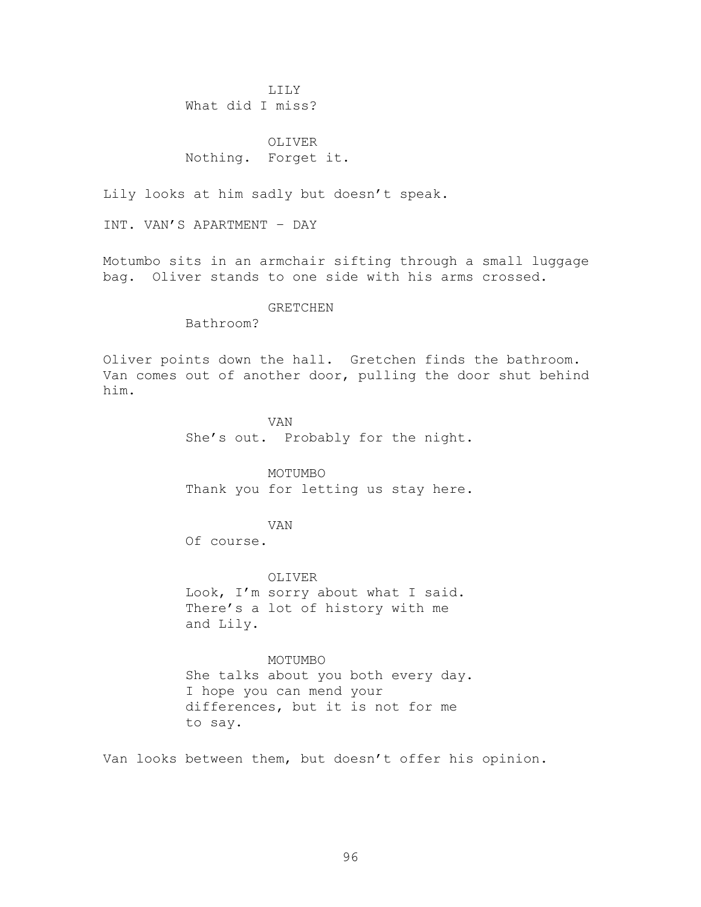LILY What did I miss?

OLIVER Nothing. Forget it.

Lily looks at him sadly but doesn't speak.

INT. VAN'S APARTMENT – DAY

Motumbo sits in an armchair sifting through a small luggage bag. Oliver stands to one side with his arms crossed.

### GRETCHEN

Bathroom?

Oliver points down the hall. Gretchen finds the bathroom. Van comes out of another door, pulling the door shut behind him.

> VAN She's out. Probably for the night.

> MOTUMBO Thank you for letting us stay here.

> > VAN

Of course.

to say.

OLIVER Look, I'm sorry about what I said. There's a lot of history with me and Lily.

MOTUMBO She talks about you both every day. I hope you can mend your differences, but it is not for me

Van looks between them, but doesn't offer his opinion.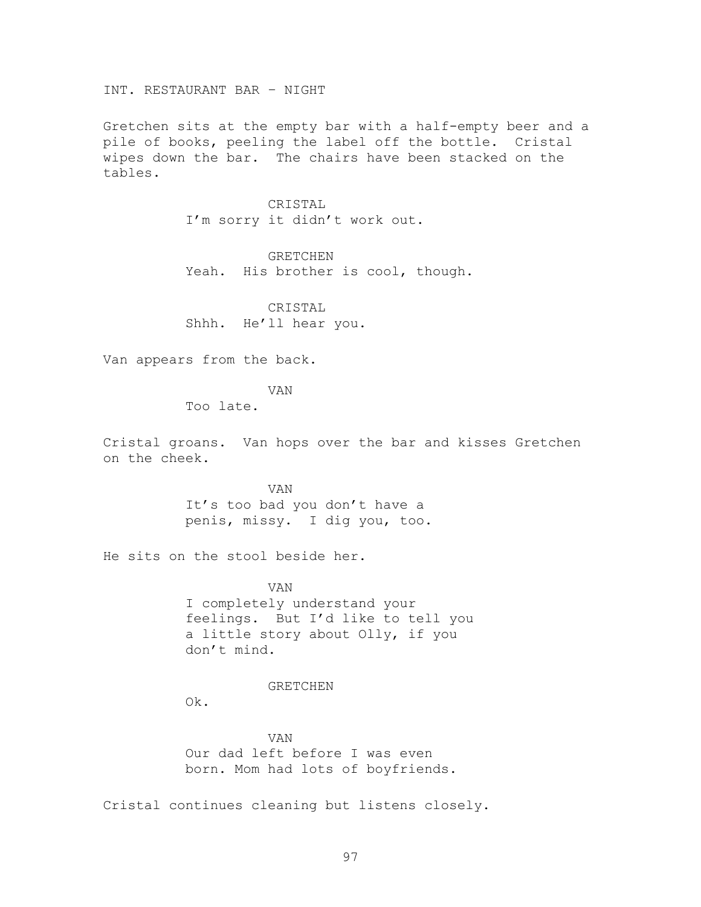INT. RESTAURANT BAR – NIGHT

Gretchen sits at the empty bar with a half-empty beer and a pile of books, peeling the label off the bottle. Cristal wipes down the bar. The chairs have been stacked on the tables.

> CRISTAL I'm sorry it didn't work out.

GRETCHEN Yeah. His brother is cool, though.

CRISTAL Shhh. He'll hear you.

Van appears from the back.

VAN

Too late.

Cristal groans. Van hops over the bar and kisses Gretchen on the cheek.

> VAN It's too bad you don't have a penis, missy. I dig you, too.

He sits on the stool beside her.

VAN I completely understand your feelings. But I'd like to tell you a little story about Olly, if you don't mind.

#### GRETCHEN

Ok.

VAN Our dad left before I was even born. Mom had lots of boyfriends.

Cristal continues cleaning but listens closely.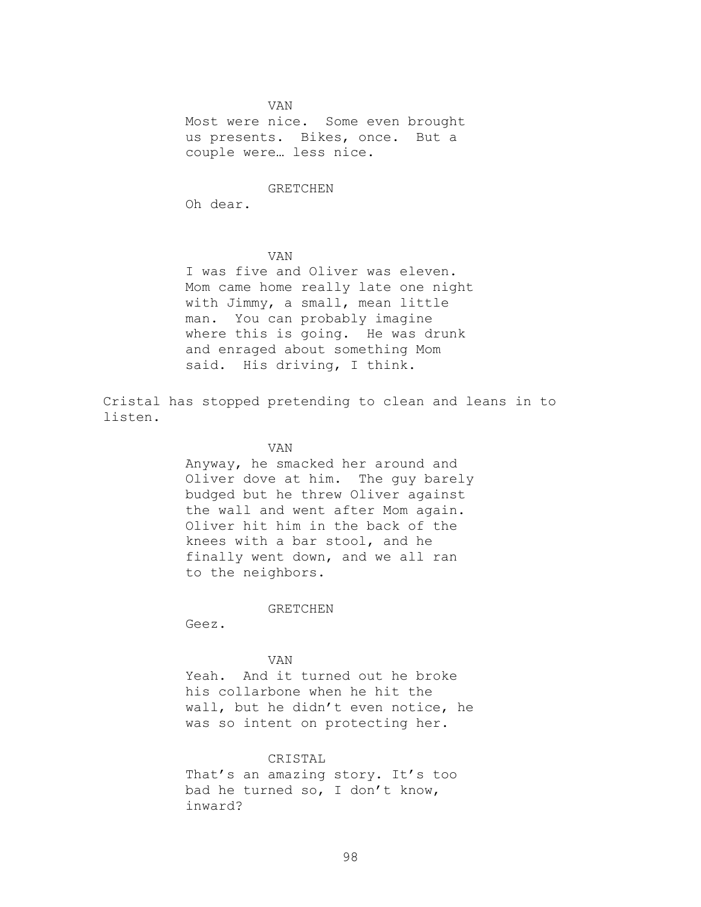VAN Most were nice. Some even brought us presents. Bikes, once. But a couple were… less nice.

### GRETCHEN

Oh dear.

#### VAN

I was five and Oliver was eleven. Mom came home really late one night with Jimmy, a small, mean little man. You can probably imagine where this is going. He was drunk and enraged about something Mom said. His driving, I think.

Cristal has stopped pretending to clean and leans in to listen.

### VAN

Anyway, he smacked her around and Oliver dove at him. The guy barely budged but he threw Oliver against the wall and went after Mom again. Oliver hit him in the back of the knees with a bar stool, and he finally went down, and we all ran to the neighbors.

GRETCHEN

Geez.

### VAN

Yeah. And it turned out he broke his collarbone when he hit the wall, but he didn't even notice, he was so intent on protecting her.

### CRISTAL

That's an amazing story. It's too bad he turned so, I don't know, inward?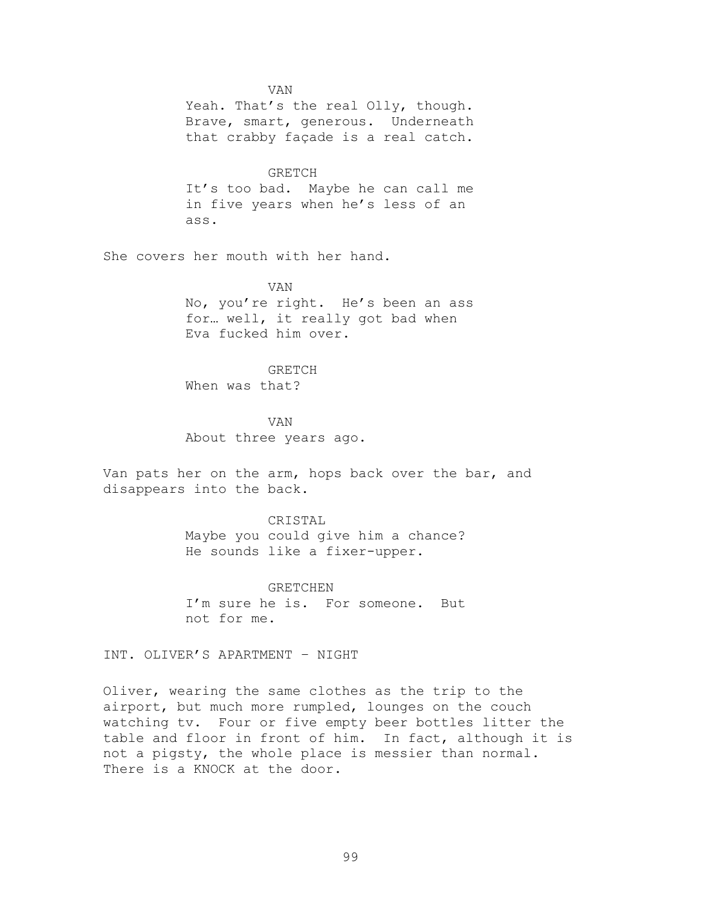VAN

Yeah. That's the real Olly, though. Brave, smart, generous. Underneath that crabby façade is a real catch.

GRETCH It's too bad. Maybe he can call me in five years when he's less of an ass.

She covers her mouth with her hand.

VAN No, you're right. He's been an ass for… well, it really got bad when Eva fucked him over.

GRETCH When was that?

VAN About three years ago.

Van pats her on the arm, hops back over the bar, and disappears into the back.

CRISTAL

Maybe you could give him a chance? He sounds like a fixer-upper.

GRETCHEN I'm sure he is. For someone. But not for me.

INT. OLIVER'S APARTMENT – NIGHT

Oliver, wearing the same clothes as the trip to the airport, but much more rumpled, lounges on the couch watching tv. Four or five empty beer bottles litter the table and floor in front of him. In fact, although it is not a pigsty, the whole place is messier than normal. There is a KNOCK at the door.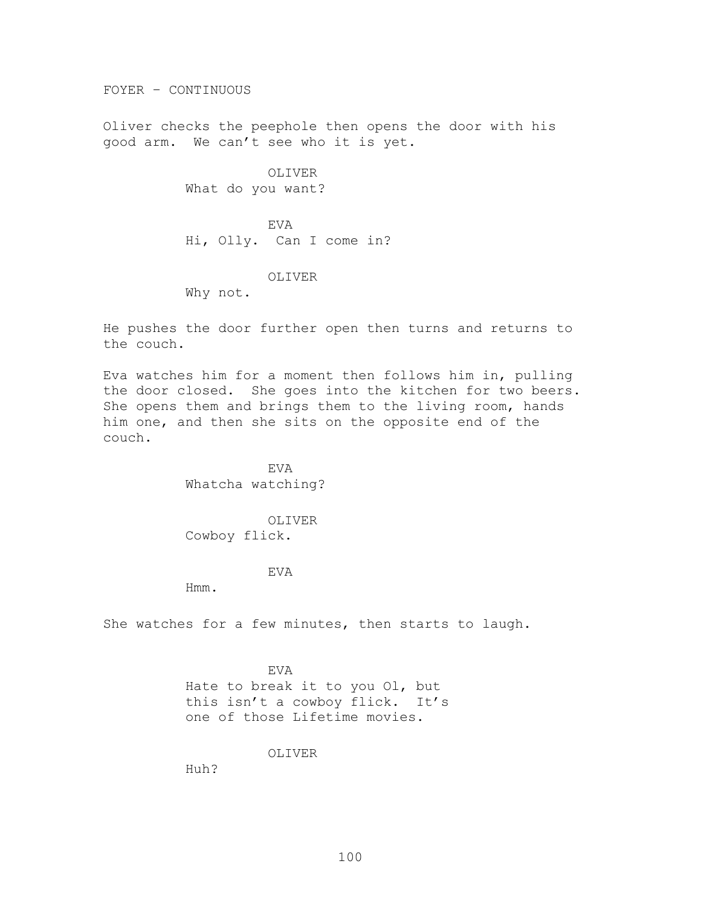FOYER – CONTINUOUS

Oliver checks the peephole then opens the door with his good arm. We can't see who it is yet.

> OLIVER What do you want?

EVA Hi, Olly. Can I come in?

### OLIVER

Why not.

He pushes the door further open then turns and returns to the couch.

Eva watches him for a moment then follows him in, pulling the door closed. She goes into the kitchen for two beers. She opens them and brings them to the living room, hands him one, and then she sits on the opposite end of the couch.

> EVA Whatcha watching?

OLIVER Cowboy flick.

### EVA

Hmm.

She watches for a few minutes, then starts to laugh.

EVA Hate to break it to you Ol, but this isn't a cowboy flick. It's one of those Lifetime movies.

OLIVER

Huh?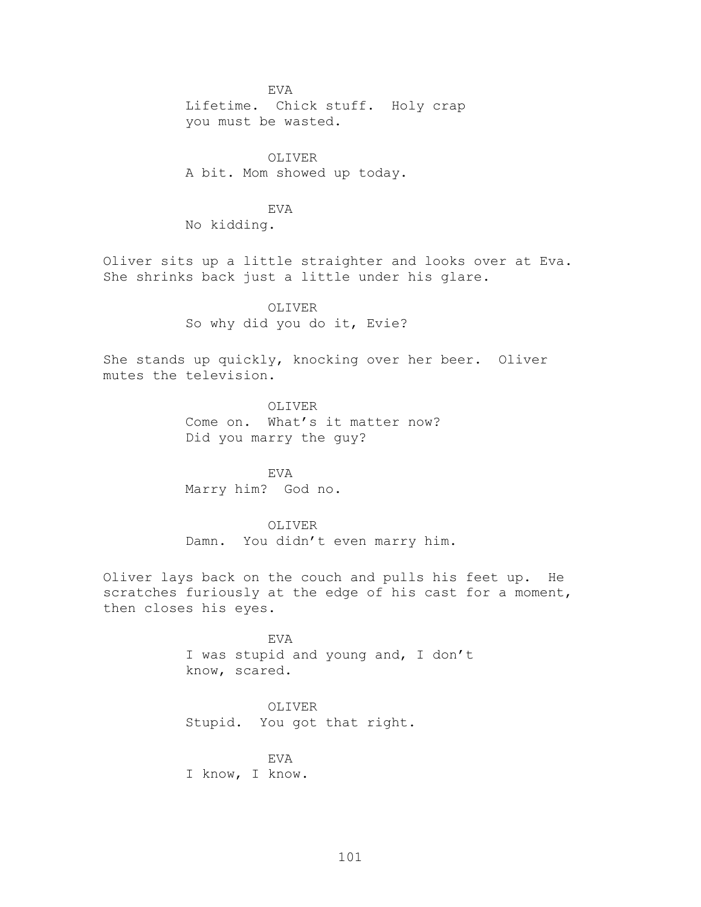EVA Lifetime. Chick stuff. Holy crap you must be wasted.

OLIVER A bit. Mom showed up today.

EVA No kidding.

Oliver sits up a little straighter and looks over at Eva. She shrinks back just a little under his glare.

OLIVER

So why did you do it, Evie?

She stands up quickly, knocking over her beer. Oliver mutes the television.

> OLIVER Come on. What's it matter now? Did you marry the guy?

EVA Marry him? God no.

OLIVER

Damn. You didn't even marry him.

Oliver lays back on the couch and pulls his feet up. He scratches furiously at the edge of his cast for a moment, then closes his eyes.

> EVA I was stupid and young and, I don't know, scared.

OLIVER Stupid. You got that right.

EVA I know, I know.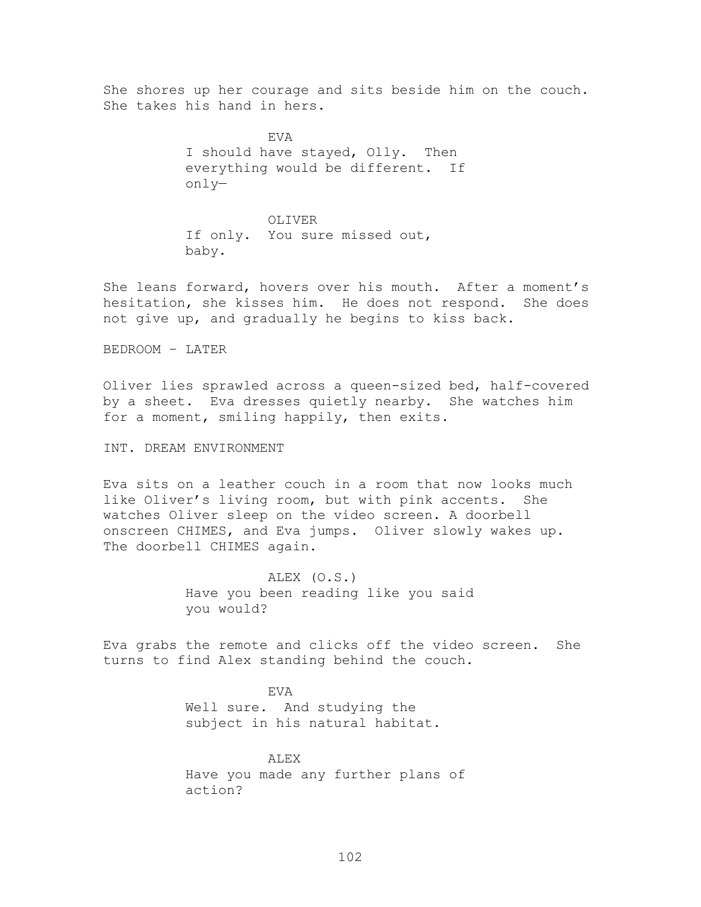She shores up her courage and sits beside him on the couch. She takes his hand in hers.

> EVA I should have stayed, Olly. Then everything would be different. If only—

OLIVER If only. You sure missed out, baby.

She leans forward, hovers over his mouth. After a moment's hesitation, she kisses him. He does not respond. She does not give up, and gradually he begins to kiss back.

BEDROOM – LATER

Oliver lies sprawled across a queen-sized bed, half-covered by a sheet. Eva dresses quietly nearby. She watches him for a moment, smiling happily, then exits.

INT. DREAM ENVIRONMENT

Eva sits on a leather couch in a room that now looks much like Oliver's living room, but with pink accents. She watches Oliver sleep on the video screen. A doorbell onscreen CHIMES, and Eva jumps. Oliver slowly wakes up. The doorbell CHIMES again.

> ALEX (O.S.) Have you been reading like you said you would?

Eva grabs the remote and clicks off the video screen. She turns to find Alex standing behind the couch.

> EVA Well sure. And studying the subject in his natural habitat.

ALEX Have you made any further plans of action?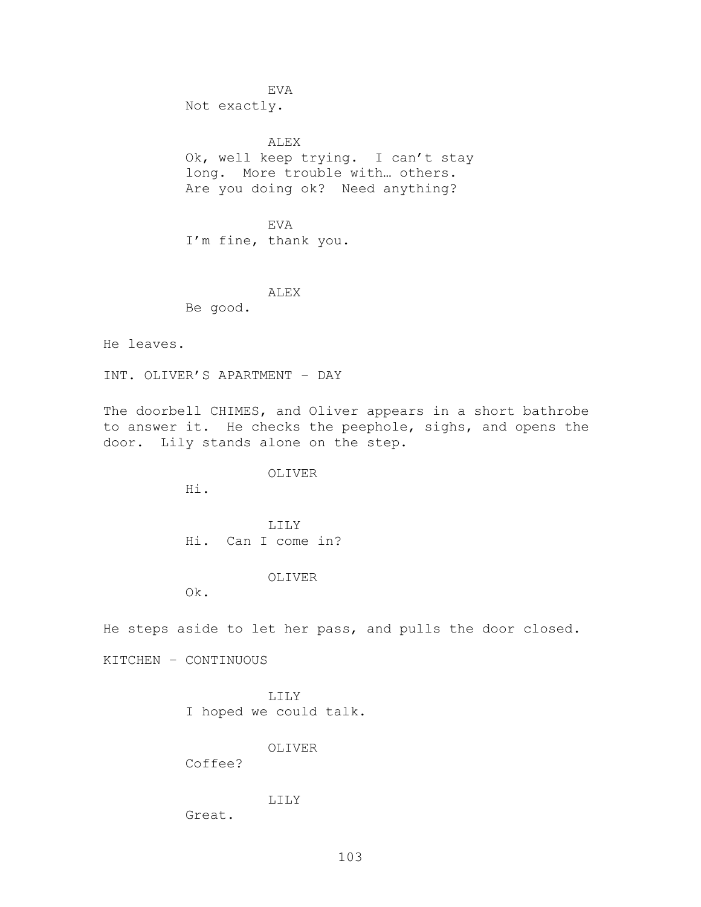EVA Not exactly.

ALEX Ok, well keep trying. I can't stay long. More trouble with… others. Are you doing ok? Need anything?

EVA I'm fine, thank you.

#### ALEX

Be good.

He leaves.

INT. OLIVER'S APARTMENT – DAY

The doorbell CHIMES, and Oliver appears in a short bathrobe to answer it. He checks the peephole, sighs, and opens the door. Lily stands alone on the step.

OLIVER

Hi.

LILY Hi. Can I come in?

#### OLIVER

Ok.

He steps aside to let her pass, and pulls the door closed.

KITCHEN – CONTINUOUS

LILY I hoped we could talk.

OLIVER

Coffee?

# LILY

Great.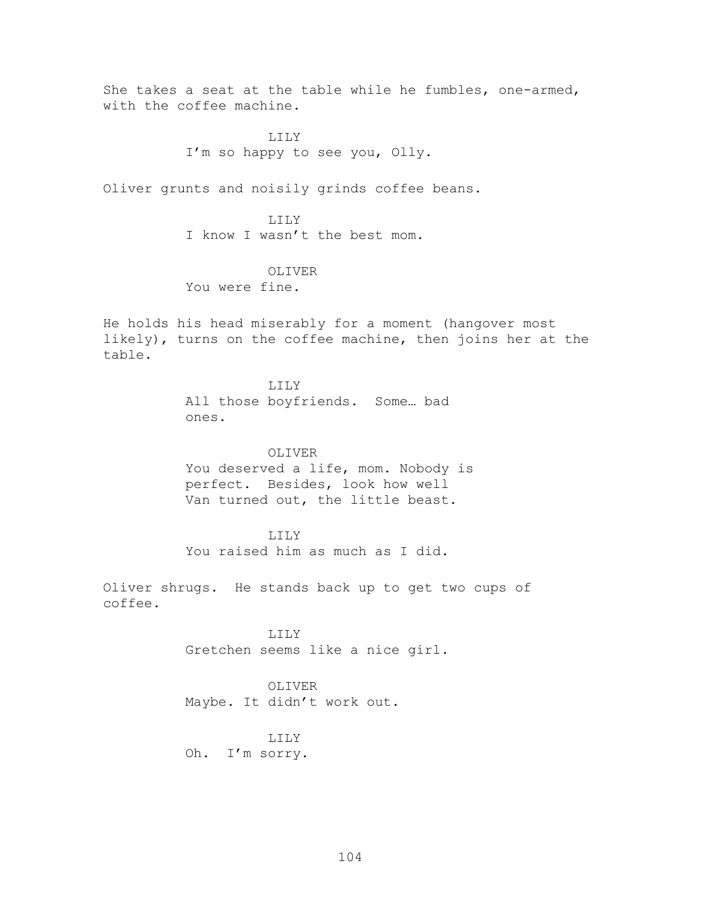She takes a seat at the table while he fumbles, one-armed, with the coffee machine. LILY I'm so happy to see you, Olly. Oliver grunts and noisily grinds coffee beans. LILY I know I wasn't the best mom. OLIVER You were fine. He holds his head miserably for a moment (hangover most likely), turns on the coffee machine, then joins her at the table. LILY All those boyfriends. Some… bad ones. OLIVER You deserved a life, mom. Nobody is perfect. Besides, look how well Van turned out, the little beast. LILY You raised him as much as I did. Oliver shrugs. He stands back up to get two cups of coffee. LILY Gretchen seems like a nice girl. OLIVER Maybe. It didn't work out. LILY Oh. I'm sorry.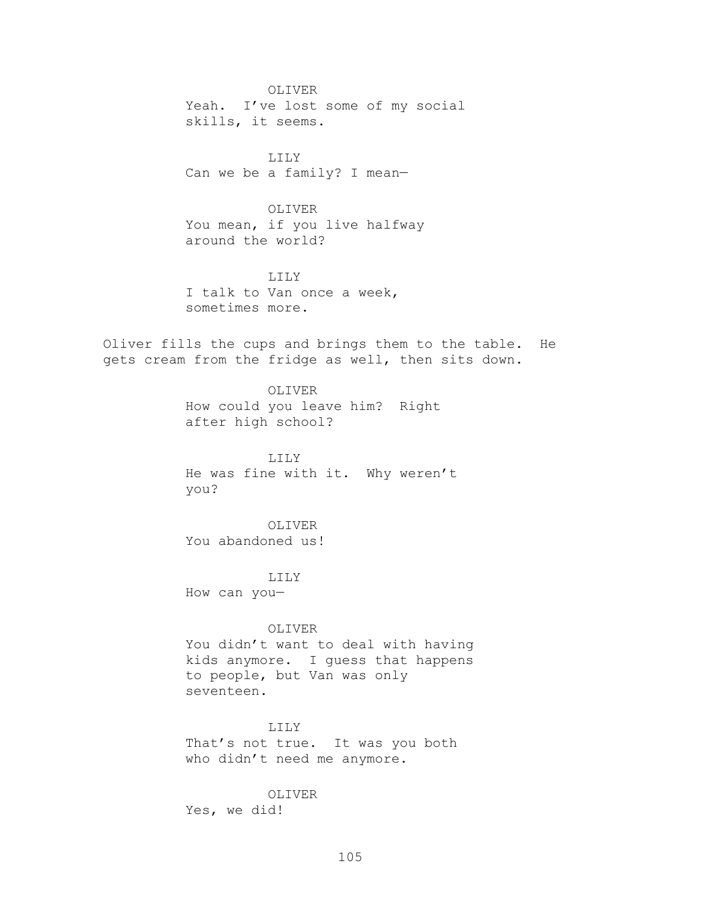OLIVER Yeah. I've lost some of my social skills, it seems.

LILY Can we be a family? I mean—

OLIVER You mean, if you live halfway around the world?

LILY I talk to Van once a week, sometimes more.

Oliver fills the cups and brings them to the table. He gets cream from the fridge as well, then sits down.

> OLIVER How could you leave him? Right after high school?

LILY He was fine with it. Why weren't you?

OLIVER You abandoned us!

LILY How can you—

OLIVER

You didn't want to deal with having kids anymore. I guess that happens to people, but Van was only seventeen.

LILY

That's not true. It was you both who didn't need me anymore.

OLIVER Yes, we did!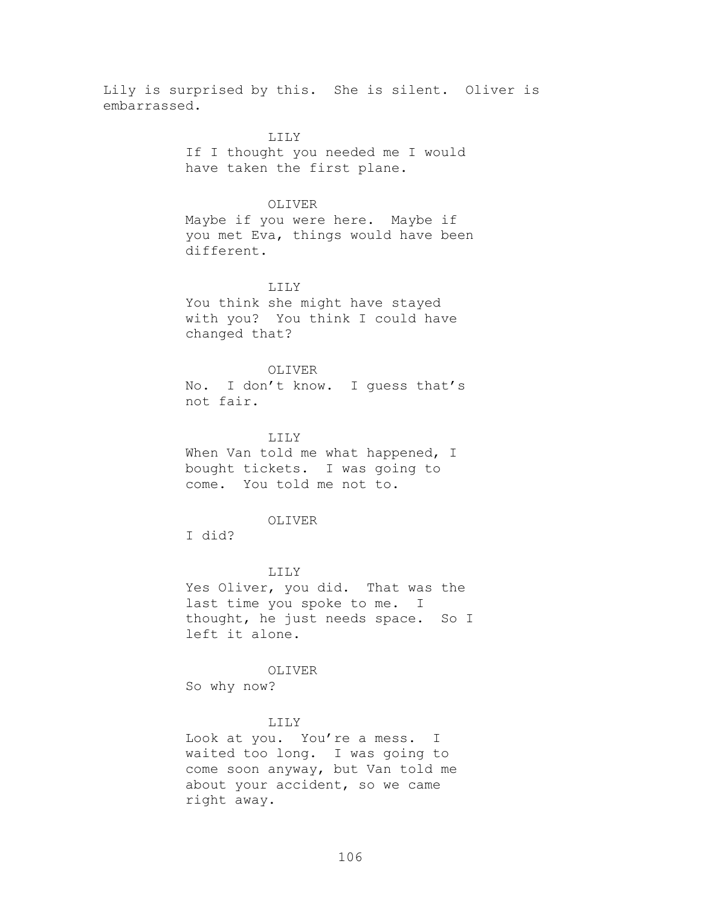Lily is surprised by this. She is silent. Oliver is embarrassed.

> LILY If I thought you needed me I would have taken the first plane.

#### OLIVER

Maybe if you were here. Maybe if you met Eva, things would have been different.

## LILY

You think she might have stayed with you? You think I could have changed that?

## OLIVER

No. I don't know. I guess that's not fair.

#### LILY

When Van told me what happened, I bought tickets. I was going to come. You told me not to.

#### OLIVER

I did?

#### LILY

Yes Oliver, you did. That was the last time you spoke to me. I thought, he just needs space. So I left it alone.

#### OLIVER

So why now?

#### LILY

Look at you. You're a mess. I waited too long. I was going to come soon anyway, but Van told me about your accident, so we came right away.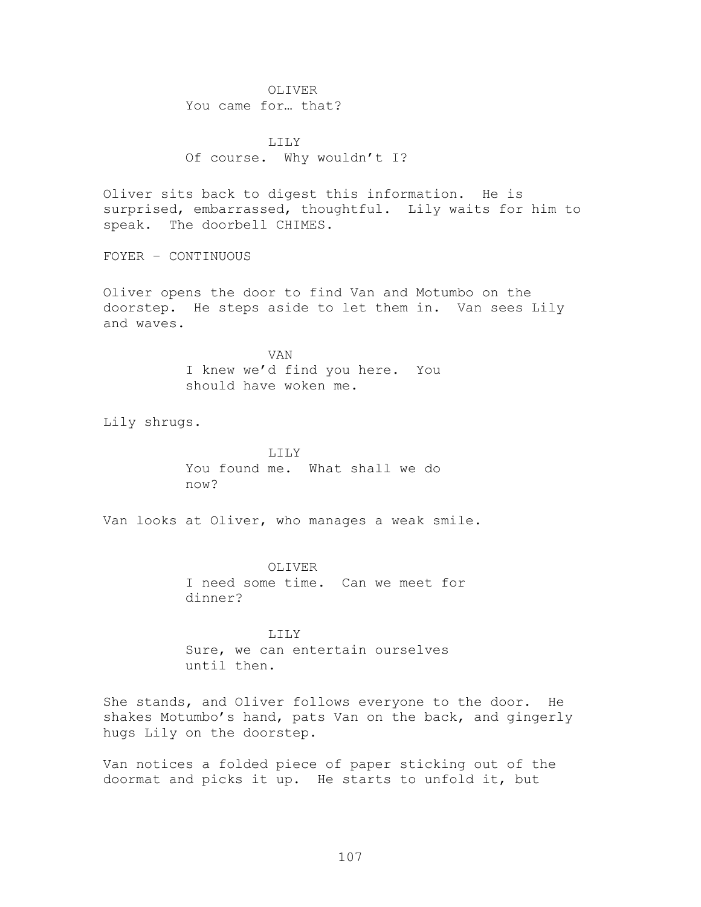OLIVER You came for… that?

LILY Of course. Why wouldn't I?

Oliver sits back to digest this information. He is surprised, embarrassed, thoughtful. Lily waits for him to speak. The doorbell CHIMES.

FOYER – CONTINUOUS

Oliver opens the door to find Van and Motumbo on the doorstep. He steps aside to let them in. Van sees Lily and waves.

> VAN I knew we'd find you here. You should have woken me.

Lily shrugs.

LILY You found me. What shall we do now?

Van looks at Oliver, who manages a weak smile.

OLIVER I need some time. Can we meet for dinner?

LILY Sure, we can entertain ourselves until then.

She stands, and Oliver follows everyone to the door. He shakes Motumbo's hand, pats Van on the back, and gingerly hugs Lily on the doorstep.

Van notices a folded piece of paper sticking out of the doormat and picks it up. He starts to unfold it, but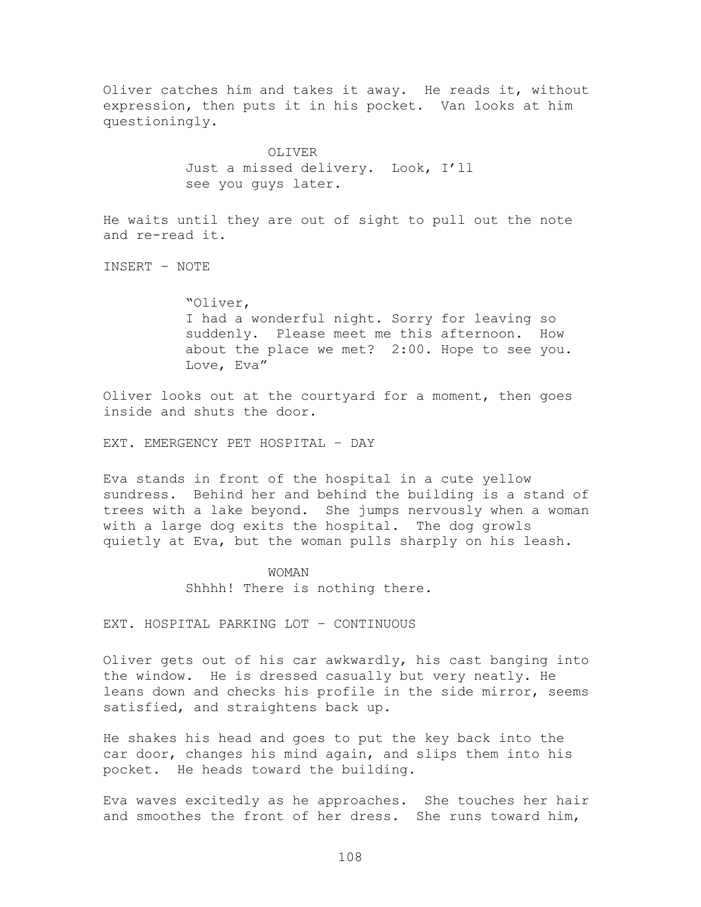Oliver catches him and takes it away. He reads it, without expression, then puts it in his pocket. Van looks at him questioningly. OLIVER Just a missed delivery. Look, I'll see you guys later. He waits until they are out of sight to pull out the note and re-read it. INSERT – NOTE ―Oliver, I had a wonderful night. Sorry for leaving so suddenly. Please meet me this afternoon. How about the place we met? 2:00. Hope to see you. Love, Eva"

Oliver looks out at the courtyard for a moment, then goes inside and shuts the door.

EXT. EMERGENCY PET HOSPITAL – DAY

Eva stands in front of the hospital in a cute yellow sundress. Behind her and behind the building is a stand of trees with a lake beyond. She jumps nervously when a woman with a large dog exits the hospital. The dog growls quietly at Eva, but the woman pulls sharply on his leash.

## WOMAN

Shhhh! There is nothing there.

EXT. HOSPITAL PARKING LOT – CONTINUOUS

Oliver gets out of his car awkwardly, his cast banging into the window. He is dressed casually but very neatly. He leans down and checks his profile in the side mirror, seems satisfied, and straightens back up.

He shakes his head and goes to put the key back into the car door, changes his mind again, and slips them into his pocket. He heads toward the building.

Eva waves excitedly as he approaches. She touches her hair and smoothes the front of her dress. She runs toward him,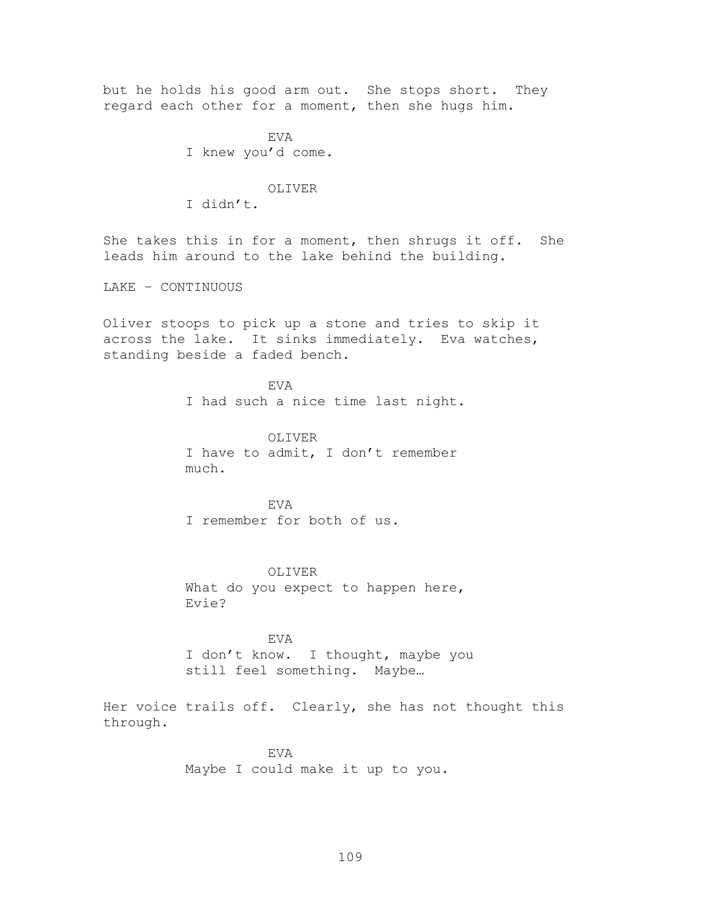but he holds his good arm out. She stops short. They regard each other for a moment, then she hugs him. EVA I knew you'd come. OLIVER I didn't. She takes this in for a moment, then shrugs it off. She leads him around to the lake behind the building. LAKE – CONTINUOUS Oliver stoops to pick up a stone and tries to skip it across the lake. It sinks immediately. Eva watches, standing beside a faded bench. EVA I had such a nice time last night. OLIVER I have to admit, I don't remember much. EVA I remember for both of us. OLIVER What do you expect to happen here, Evie? EVA I don't know. I thought, maybe you still feel something. Maybe… Her voice trails off. Clearly, she has not thought this through. EVA

Maybe I could make it up to you.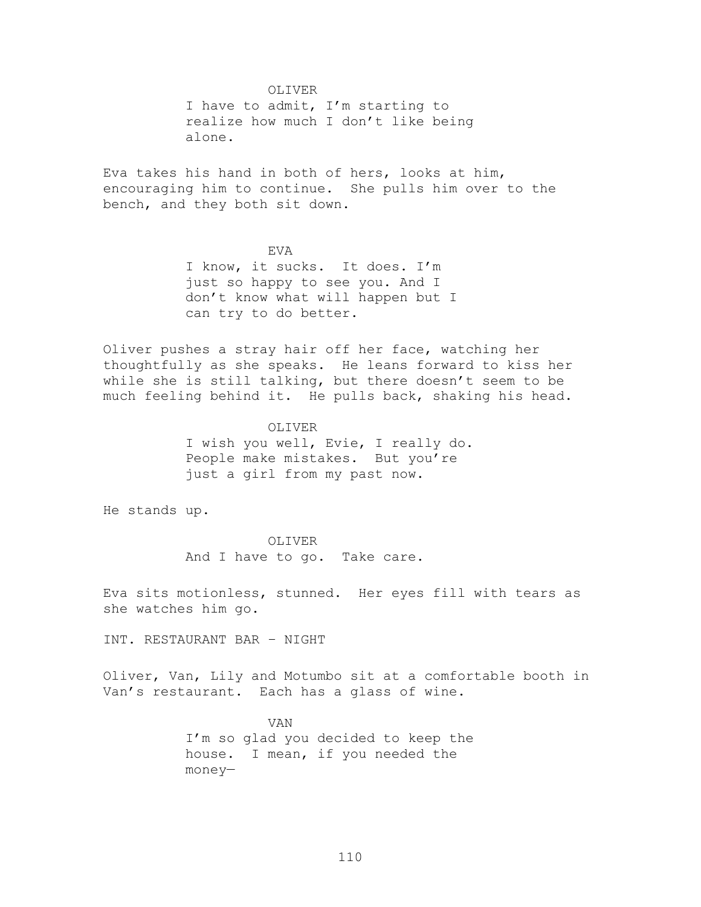OLIVER

I have to admit, I'm starting to realize how much I don't like being alone.

Eva takes his hand in both of hers, looks at him, encouraging him to continue. She pulls him over to the bench, and they both sit down.

> EVA I know, it sucks. It does. I'm just so happy to see you. And I don't know what will happen but I can try to do better.

Oliver pushes a stray hair off her face, watching her thoughtfully as she speaks. He leans forward to kiss her while she is still talking, but there doesn't seem to be much feeling behind it. He pulls back, shaking his head.

> OLIVER I wish you well, Evie, I really do. People make mistakes. But you're just a girl from my past now.

He stands up.

OLIVER And I have to go. Take care.

Eva sits motionless, stunned. Her eyes fill with tears as she watches him go.

INT. RESTAURANT BAR – NIGHT

Oliver, Van, Lily and Motumbo sit at a comfortable booth in Van's restaurant. Each has a glass of wine.

> VAN I'm so glad you decided to keep the house. I mean, if you needed the money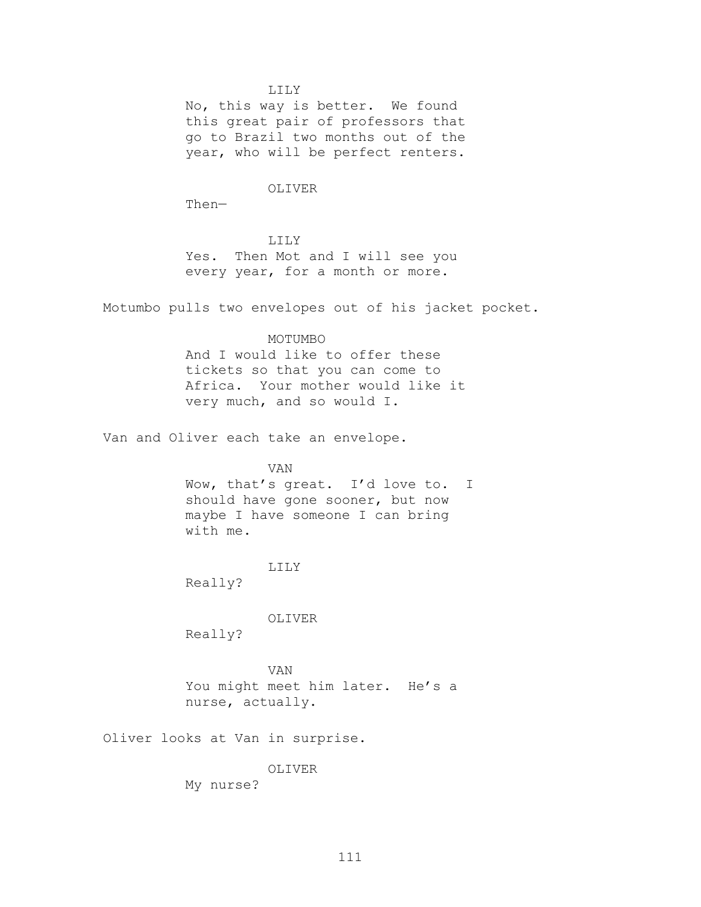LILY

No, this way is better. We found this great pair of professors that go to Brazil two months out of the year, who will be perfect renters.

## OLIVER

Then—

#### LILY

Yes. Then Mot and I will see you every year, for a month or more.

Motumbo pulls two envelopes out of his jacket pocket.

#### MOTUMBO

And I would like to offer these tickets so that you can come to Africa. Your mother would like it very much, and so would I.

Van and Oliver each take an envelope.

#### VAN

Wow, that's great. I'd love to. I should have gone sooner, but now maybe I have someone I can bring with me.

## LILY

Really?

#### OLIVER

Really?

VAN You might meet him later. He's a nurse, actually.

Oliver looks at Van in surprise.

## OLIVER

My nurse?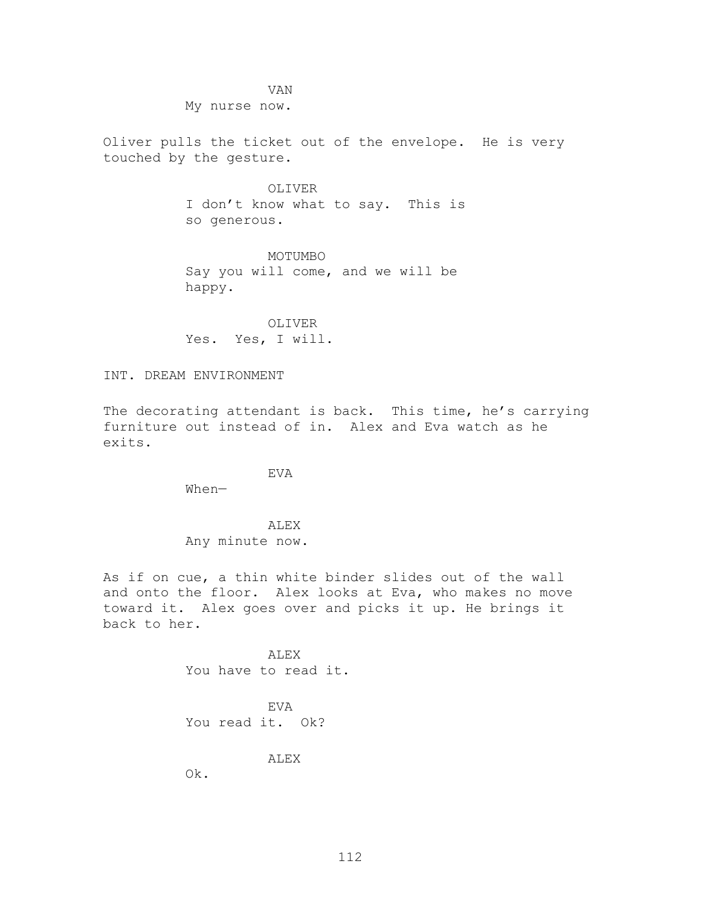VAN

My nurse now.

Oliver pulls the ticket out of the envelope. He is very touched by the gesture.

> OLIVER I don't know what to say. This is so generous.

MOTUMBO Say you will come, and we will be happy.

OLIVER Yes. Yes, I will.

INT. DREAM ENVIRONMENT

The decorating attendant is back. This time, he's carrying furniture out instead of in. Alex and Eva watch as he exits.

EVA

When—

ALEX

Any minute now.

As if on cue, a thin white binder slides out of the wall and onto the floor. Alex looks at Eva, who makes no move toward it. Alex goes over and picks it up. He brings it back to her.

> ALEX You have to read it.

EVA You read it. Ok?

ALEX

Ok.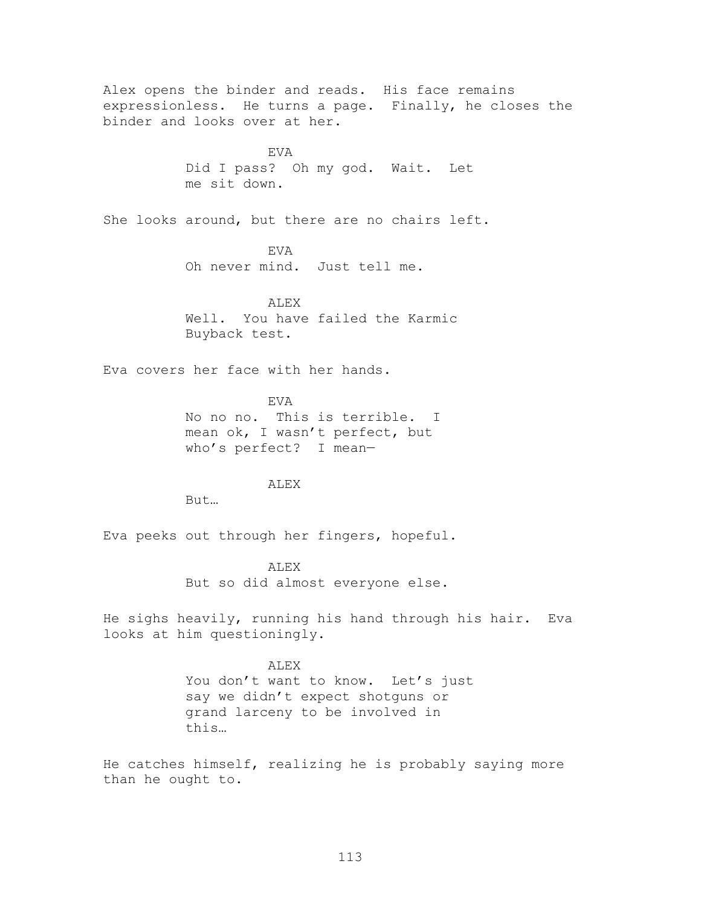Alex opens the binder and reads. His face remains expressionless. He turns a page. Finally, he closes the binder and looks over at her. EVA Did I pass? Oh my god. Wait. Let me sit down. She looks around, but there are no chairs left. EVA Oh never mind. Just tell me. ALEX Well. You have failed the Karmic Buyback test. Eva covers her face with her hands. EVA No no no. This is terrible. I mean ok, I wasn't perfect, but who's perfect? I mean— ALEX But… Eva peeks out through her fingers, hopeful. ALEX But so did almost everyone else. He sighs heavily, running his hand through his hair. Eva looks at him questioningly. ALEX You don't want to know. Let's just say we didn't expect shotguns or grand larceny to be involved in this… He catches himself, realizing he is probably saying more than he ought to.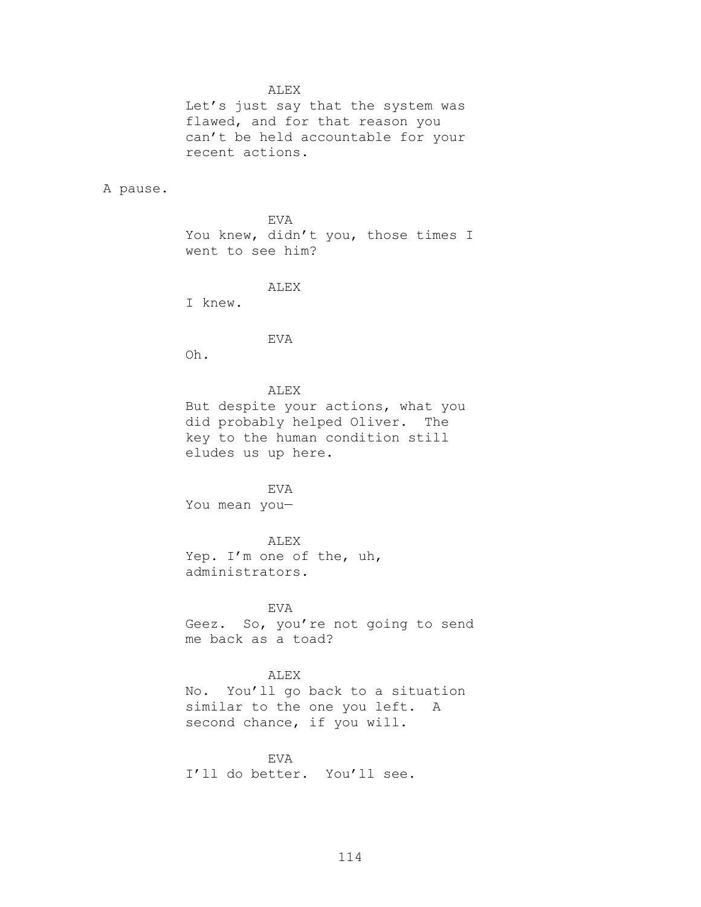#### ALEX

Let's just say that the system was flawed, and for that reason you can't be held accountable for your recent actions.

A pause.

EVA You knew, didn't you, those times I went to see him?

ALEX

I knew.

EVA

Oh.

## ALEX

But despite your actions, what you did probably helped Oliver. The key to the human condition still eludes us up here.

#### EVA

You mean you—

## ALEX

Yep. I'm one of the, uh, administrators.

## EVA

Geez. So, you're not going to send me back as a toad?

## ALEX

No. You'll go back to a situation similar to the one you left. A second chance, if you will.

## EVA

I'll do better. You'll see.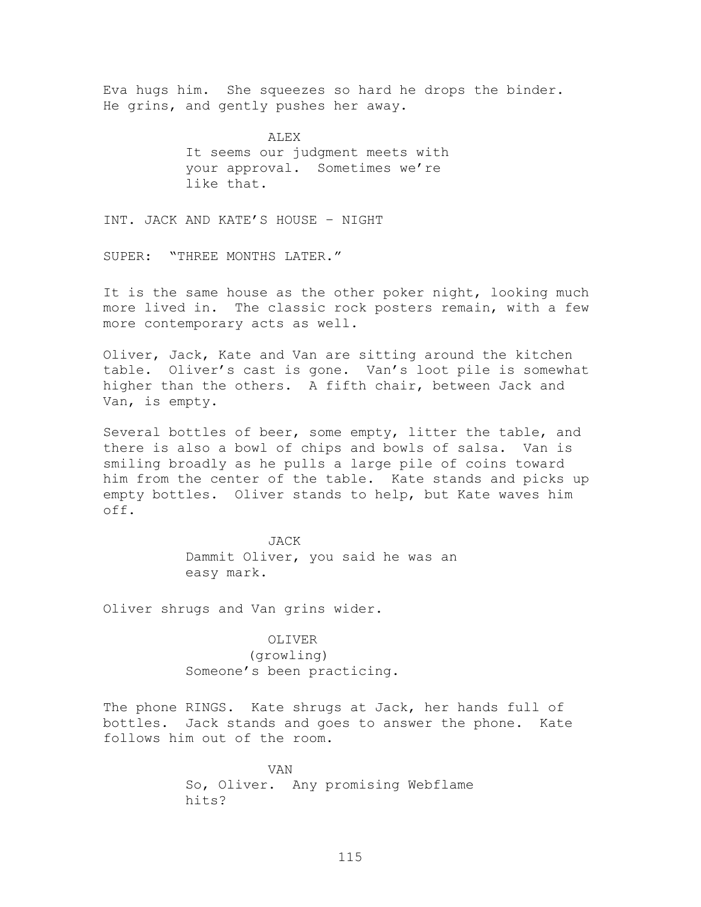Eva hugs him. She squeezes so hard he drops the binder. He grins, and gently pushes her away.

> ALEX It seems our judgment meets with your approval. Sometimes we're like that.

INT. JACK AND KATE'S HOUSE – NIGHT

SUPER: "THREE MONTHS LATER."

It is the same house as the other poker night, looking much more lived in. The classic rock posters remain, with a few more contemporary acts as well.

Oliver, Jack, Kate and Van are sitting around the kitchen table. Oliver's cast is gone. Van's loot pile is somewhat higher than the others. A fifth chair, between Jack and Van, is empty.

Several bottles of beer, some empty, litter the table, and there is also a bowl of chips and bowls of salsa. Van is smiling broadly as he pulls a large pile of coins toward him from the center of the table. Kate stands and picks up empty bottles. Oliver stands to help, but Kate waves him off.

> JACK Dammit Oliver, you said he was an easy mark.

Oliver shrugs and Van grins wider.

#### OLIVER

(growling) Someone's been practicing.

The phone RINGS. Kate shrugs at Jack, her hands full of bottles. Jack stands and goes to answer the phone. Kate follows him out of the room.

> VAN So, Oliver. Any promising Webflame hits?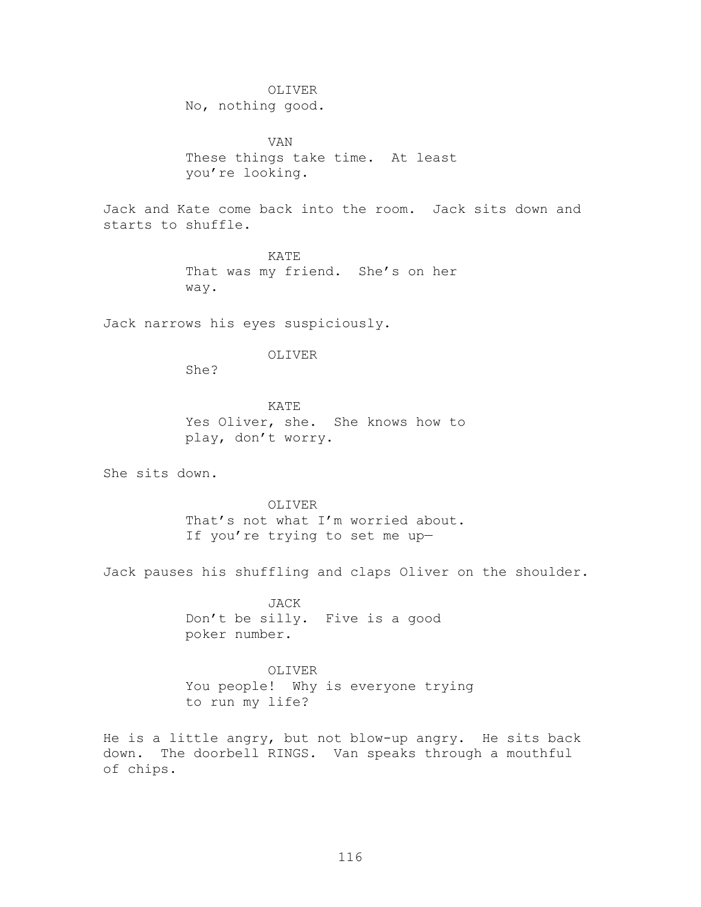#### OLIVER

No, nothing good.

VAN These things take time. At least you're looking.

Jack and Kate come back into the room. Jack sits down and starts to shuffle.

> KATE That was my friend. She's on her way.

Jack narrows his eyes suspiciously.

## OLIVER

She?

KATE Yes Oliver, she. She knows how to play, don't worry.

She sits down.

# OLIVER That's not what I'm worried about. If you're trying to set me up—

Jack pauses his shuffling and claps Oliver on the shoulder.

JACK Don't be silly. Five is a good poker number.

# OLIVER You people! Why is everyone trying to run my life?

He is a little angry, but not blow-up angry. He sits back down. The doorbell RINGS. Van speaks through a mouthful of chips.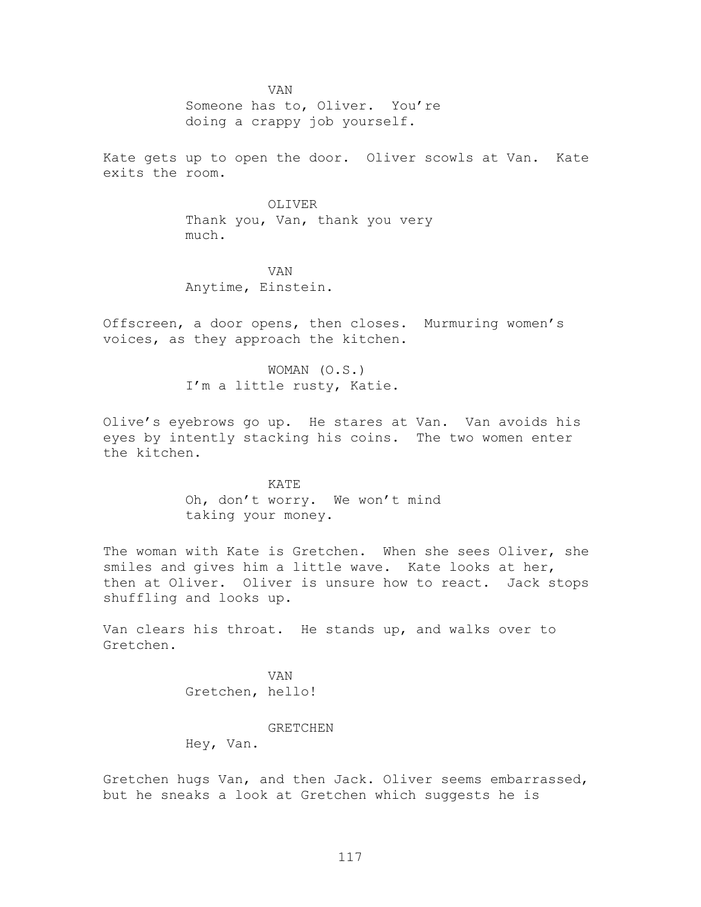VAN Someone has to, Oliver. You're doing a crappy job yourself.

Kate gets up to open the door. Oliver scowls at Van. Kate exits the room.

> OLIVER Thank you, Van, thank you very much.

VAN Anytime, Einstein.

Offscreen, a door opens, then closes. Murmuring women's voices, as they approach the kitchen.

> WOMAN (O.S.) I'm a little rusty, Katie.

Olive's eyebrows go up. He stares at Van. Van avoids his eyes by intently stacking his coins. The two women enter the kitchen.

> KATE Oh, don't worry. We won't mind taking your money.

The woman with Kate is Gretchen. When she sees Oliver, she smiles and gives him a little wave. Kate looks at her, then at Oliver. Oliver is unsure how to react. Jack stops shuffling and looks up.

Van clears his throat. He stands up, and walks over to Gretchen.

> VAN Gretchen, hello!

#### GRETCHEN

Hey, Van.

Gretchen hugs Van, and then Jack. Oliver seems embarrassed, but he sneaks a look at Gretchen which suggests he is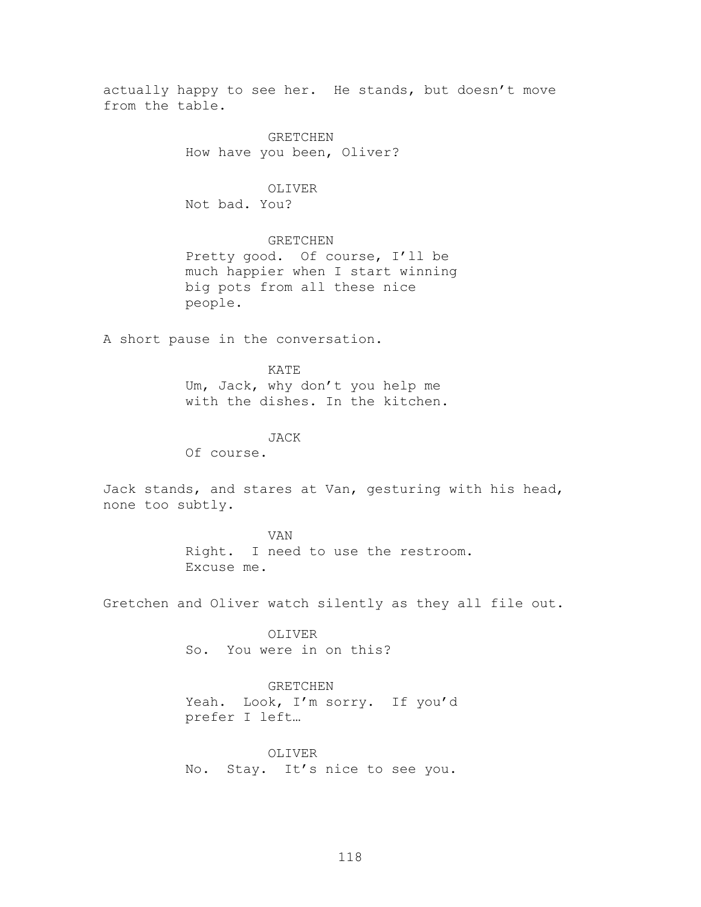actually happy to see her. He stands, but doesn't move from the table.

> GRETCHEN How have you been, Oliver?

# OLIVER

Not bad. You?

## GRETCHEN

Pretty good. Of course, I'll be much happier when I start winning big pots from all these nice people.

A short pause in the conversation.

## KATE

Um, Jack, why don't you help me with the dishes. In the kitchen.

## JACK

Of course.

Jack stands, and stares at Van, gesturing with his head, none too subtly.

# VAN Right. I need to use the restroom. Excuse me.

Gretchen and Oliver watch silently as they all file out.

OLIVER So. You were in on this?

#### GRETCHEN

Yeah. Look, I'm sorry. If you'd prefer I left…

OLIVER No. Stay. It's nice to see you.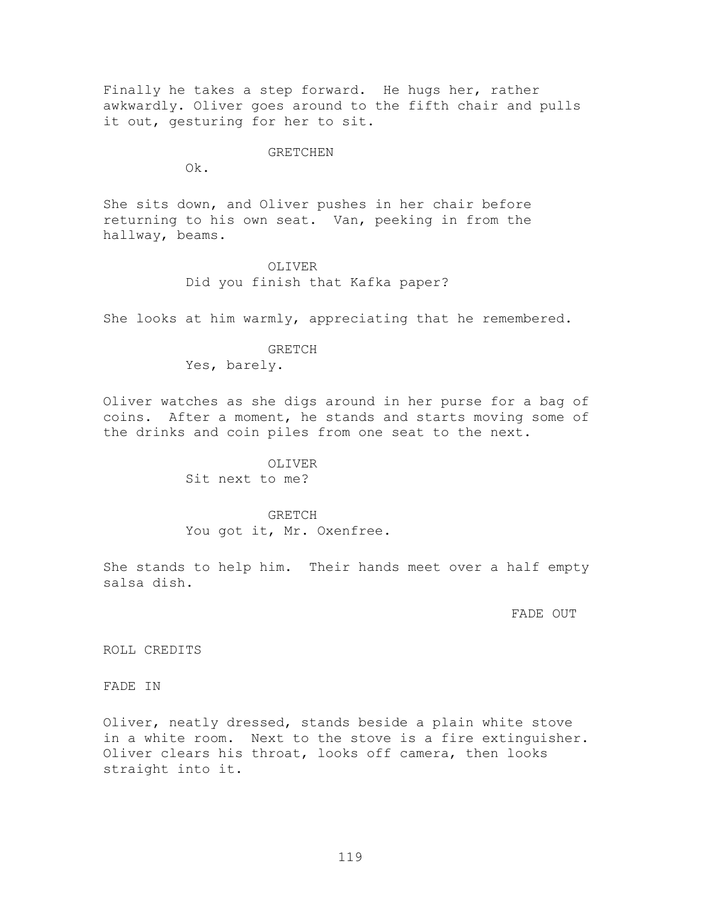Finally he takes a step forward. He hugs her, rather awkwardly. Oliver goes around to the fifth chair and pulls it out, gesturing for her to sit.

## GRETCHEN

Ok.

She sits down, and Oliver pushes in her chair before returning to his own seat. Van, peeking in from the hallway, beams.

## OLIVER Did you finish that Kafka paper?

She looks at him warmly, appreciating that he remembered.

## GRETCH Yes, barely.

Oliver watches as she digs around in her purse for a bag of coins. After a moment, he stands and starts moving some of the drinks and coin piles from one seat to the next.

# OLIVER Sit next to me?

# GRETCH You got it, Mr. Oxenfree.

She stands to help him. Their hands meet over a half empty salsa dish.

#### FADE OUT

ROLL CREDITS

FADE IN

Oliver, neatly dressed, stands beside a plain white stove in a white room. Next to the stove is a fire extinguisher. Oliver clears his throat, looks off camera, then looks straight into it.